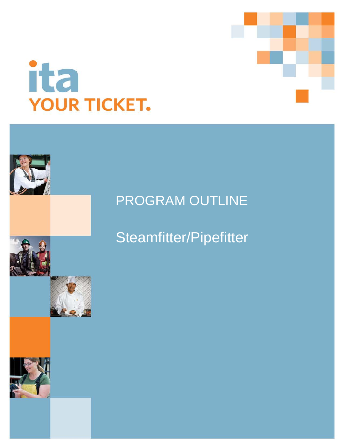



# PROGRAM OUTLINE

Steamfitter/Pipefitter

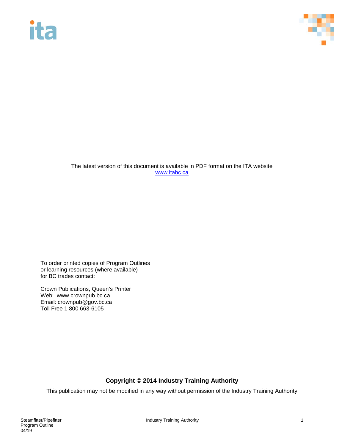# **ita**



The latest version of this document is available in PDF format on the ITA website [www.itabc.ca](http://www.itabc.ca/)

To order printed copies of Program Outlines or learning resources (where available) for BC trades contact:

Crown Publications, Queen's Printer Web: www.crownpub.bc.ca Email: crownpub@gov.bc.ca Toll Free 1 800 663-6105

## **Copyright © 2014 Industry Training Authority**

This publication may not be modified in any way without permission of the Industry Training Authority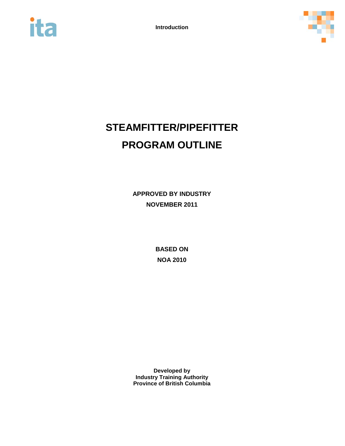



## **STEAMFITTER/PIPEFITTER PROGRAM OUTLINE**

**APPROVED BY INDUSTRY NOVEMBER 2011**

> **BASED ON NOA 2010**

**Developed by Industry Training Authority Province of British Columbia**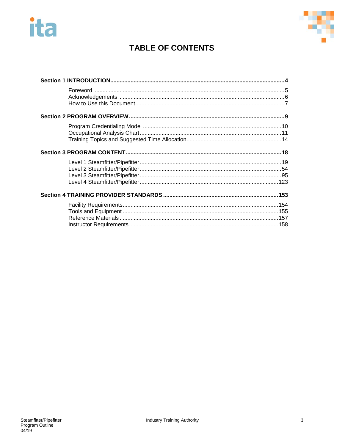# ita



## **TABLE OF CONTENTS**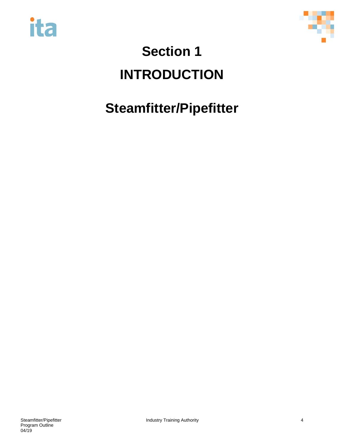



# <span id="page-4-0"></span>**Section 1 INTRODUCTION**

# **Steamfitter/Pipefitter**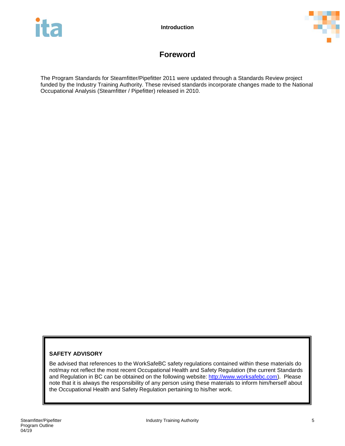



## **Foreword**

<span id="page-5-0"></span>The Program Standards for Steamfitter/Pipefitter 2011 were updated through a Standards Review project funded by the Industry Training Authority. These revised standards incorporate changes made to the National Occupational Analysis (Steamfitter / Pipefitter) released in 2010.

## **SAFETY ADVISORY**

Be advised that references to the WorkSafeBC safety regulations contained within these materials do not/may not reflect the most recent Occupational Health and Safety Regulation (the current Standards and Regulation in BC can be obtained on the following website: [http://www.worksafebc.com\)](http://www.worksafebc.com/). Please note that it is always the responsibility of any person using these materials to inform him/herself about the Occupational Health and Safety Regulation pertaining to his/her work.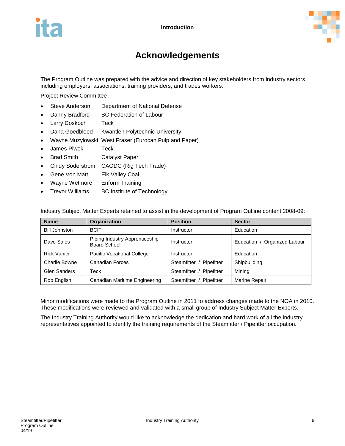

## **Acknowledgements**

<span id="page-6-0"></span>The Program Outline was prepared with the advice and direction of key stakeholders from industry sectors including employers, associations, training providers, and trades workers.

Project Review Committee

- Steve Anderson Department of National Defense
- Danny Bradford BC Federation of Labour
- Larry Doskoch Teck
- Dana Goedbloed Kwantlen Polytechnic University
- Wayne Muzylowski West Fraser (Eurocan Pulp and Paper)
- James Piwek Teck
- Brad Smith Catalyst Paper
- Cindy Soderstrom CAODC (Rig Tech Trade)
- Gene Von Matt Elk Valley Coal
- Wayne Wetmore Enform Training
- Trevor Williams BC Institute of Technology

Industry Subject Matter Experts retained to assist in the development of Program Outline content 2008-09:

| <b>Name</b>          | <b>Organization</b>                            | <b>Position</b>             | <b>Sector</b>                |
|----------------------|------------------------------------------------|-----------------------------|------------------------------|
| <b>Bill Johnston</b> | <b>BCIT</b>                                    | Instructor                  | Education                    |
| Dave Sales           | Piping Industry Apprenticeship<br>Board School | Instructor                  | Education / Organized Labour |
| <b>Rick Vanier</b>   | Pacific Vocational College                     | Instructor                  | Education                    |
| Charlie Bowne        | <b>Canadian Forces</b>                         | Steamfitter / Pipefitter    | Shipbuilding                 |
| Glen Sanders         | Teck                                           | Steamfitter /<br>Pipefitter | Mining                       |
| Rob English          | Canadian Maritime Engineering                  | Steamfitter /<br>Pipefitter | <b>Marine Repair</b>         |

Minor modifications were made to the Program Outline in 2011 to address changes made to the NOA in 2010. These modifications were reviewed and validated with a small group of Industry Subject Matter Experts.

The Industry Training Authority would like to acknowledge the dedication and hard work of all the industry representatives appointed to identify the training requirements of the Steamfitter / Pipefitter occupation.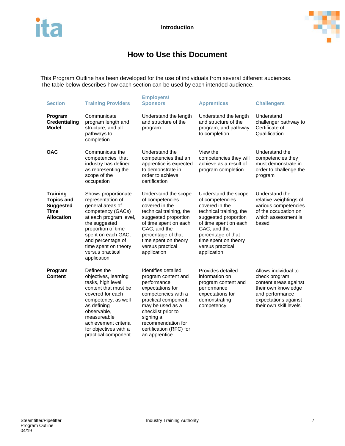

## **How to Use this Document**

<span id="page-7-0"></span>This Program Outline has been developed for the use of individuals from several different audiences. The table below describes how each section can be used by each intended audience.

| <b>Section</b>                                                                               | <b>Training Providers</b>                                                                                                                                                                                                                                | <b>Employers/</b><br><b>Sponsors</b>                                                                                                                                                                                                                  | <b>Apprentices</b>                                                                                                                                                                                                                     | <b>Challengers</b>                                                                                                                                         |
|----------------------------------------------------------------------------------------------|----------------------------------------------------------------------------------------------------------------------------------------------------------------------------------------------------------------------------------------------------------|-------------------------------------------------------------------------------------------------------------------------------------------------------------------------------------------------------------------------------------------------------|----------------------------------------------------------------------------------------------------------------------------------------------------------------------------------------------------------------------------------------|------------------------------------------------------------------------------------------------------------------------------------------------------------|
| Program<br><b>Credentialing</b><br><b>Model</b>                                              | Communicate<br>program length and<br>structure, and all<br>pathways to<br>completion                                                                                                                                                                     | Understand the length<br>and structure of the<br>program                                                                                                                                                                                              | Understand the length<br>and structure of the<br>program, and pathway<br>to completion                                                                                                                                                 | Understand<br>challenger pathway to<br>Certificate of<br>Qualification                                                                                     |
| <b>OAC</b>                                                                                   | Communicate the<br>competencies that<br>industry has defined<br>as representing the<br>scope of the<br>occupation                                                                                                                                        | Understand the<br>competencies that an<br>apprentice is expected<br>to demonstrate in<br>order to achieve<br>certification                                                                                                                            | View the<br>competencies they will<br>achieve as a result of<br>program completion                                                                                                                                                     | Understand the<br>competencies they<br>must demonstrate in<br>order to challenge the<br>program                                                            |
| <b>Training</b><br><b>Topics and</b><br><b>Suggested</b><br><b>Time</b><br><b>Allocation</b> | Shows proportionate<br>representation of<br>general areas of<br>competency (GACs)<br>at each program level,<br>the suggested<br>proportion of time<br>spent on each GAC,<br>and percentage of<br>time spent on theory<br>versus practical<br>application | Understand the scope<br>of competencies<br>covered in the<br>technical training, the<br>suggested proportion<br>of time spent on each<br>GAC, and the<br>percentage of that<br>time spent on theory<br>versus practical<br>application                | Understand the scope<br>of competencies<br>covered in the<br>technical training, the<br>suggested proportion<br>of time spent on each<br>GAC, and the<br>percentage of that<br>time spent on theory<br>versus practical<br>application | Understand the<br>relative weightings of<br>various competencies<br>of the occupation on<br>which assessment is<br>based                                   |
| Program<br>Content                                                                           | Defines the<br>objectives, learning<br>tasks, high level<br>content that must be<br>covered for each<br>competency, as well<br>as defining<br>observable,<br>measureable<br>achievement criteria<br>for objectives with a<br>practical component         | Identifies detailed<br>program content and<br>performance<br>expectations for<br>competencies with a<br>practical component;<br>may be used as a<br>checklist prior to<br>signing a<br>recommendation for<br>certification (RFC) for<br>an apprentice | Provides detailed<br>information on<br>program content and<br>performance<br>expectations for<br>demonstrating<br>competency                                                                                                           | Allows individual to<br>check program<br>content areas against<br>their own knowledge<br>and performance<br>expectations against<br>their own skill levels |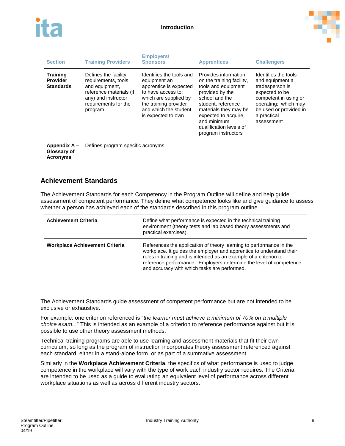



| <b>Section</b>                                         | <b>Training Providers</b>                                                                                                                          | <b>Employers/</b><br><b>Sponsors</b>                                                                                                                                                      | <b>Apprentices</b>                                                                                                                                                                                                                                    | <b>Challengers</b>                                                                                                                                                                   |
|--------------------------------------------------------|----------------------------------------------------------------------------------------------------------------------------------------------------|-------------------------------------------------------------------------------------------------------------------------------------------------------------------------------------------|-------------------------------------------------------------------------------------------------------------------------------------------------------------------------------------------------------------------------------------------------------|--------------------------------------------------------------------------------------------------------------------------------------------------------------------------------------|
| <b>Training</b><br><b>Provider</b><br><b>Standards</b> | Defines the facility<br>requirements, tools<br>and equipment,<br>reference materials (if<br>any) and instructor<br>requirements for the<br>program | Identifies the tools and<br>equipment an<br>apprentice is expected<br>to have access to:<br>which are supplied by<br>the training provider<br>and which the student<br>is expected to own | Provides information<br>on the training facility,<br>tools and equipment<br>provided by the<br>school and the<br>student, reference<br>materials they may be<br>expected to acquire.<br>and minimum<br>qualification levels of<br>program instructors | Identifies the tools<br>and equipment a<br>tradesperson is<br>expected to be<br>competent in using or<br>operating; which may<br>be used or provided in<br>a practical<br>assessment |
| Appendix A -<br>Glossary of                            | Defines program specific acronyms                                                                                                                  |                                                                                                                                                                                           |                                                                                                                                                                                                                                                       |                                                                                                                                                                                      |

**Acronyms**

## **Achievement Standards**

The Achievement Standards for each Competency in the Program Outline will define and help guide assessment of competent performance. They define what competence looks like and give guidance to assess whether a person has achieved each of the standards described in this program outline.

| <b>Achievement Criteria</b>           | Define what performance is expected in the technical training<br>environment (theory tests and lab based theory assessments and<br>practical exercises).                                                                                                                                                                               |
|---------------------------------------|----------------------------------------------------------------------------------------------------------------------------------------------------------------------------------------------------------------------------------------------------------------------------------------------------------------------------------------|
| <b>Workplace Achievement Criteria</b> | References the application of theory learning to performance in the<br>workplace. It guides the employer and apprentice to understand their<br>roles in training and is intended as an example of a criterion to<br>reference performance. Employers determine the level of competence<br>and accuracy with which tasks are performed. |

The Achievement Standards guide assessment of competent performance but are not intended to be exclusive or exhaustive.

For example: one criterion referenced is "*the learner must achieve a minimum of 70% on a multiple choice exam...*" This is intended as an example of a criterion to reference performance against but it is possible to use other theory assessment methods.

Technical training programs are able to use learning and assessment materials that fit their own curriculum, so long as the program of instruction incorporates theory assessment referenced against each standard, either in a stand-alone form, or as part of a summative assessment.

Similarly in the **Workplace Achievement Criteria**, the specifics of what performance is used to judge competence in the workplace will vary with the type of work each industry sector requires. The Criteria are intended to be used as a guide to evaluating an equivalent level of performance across different workplace situations as well as across different industry sectors.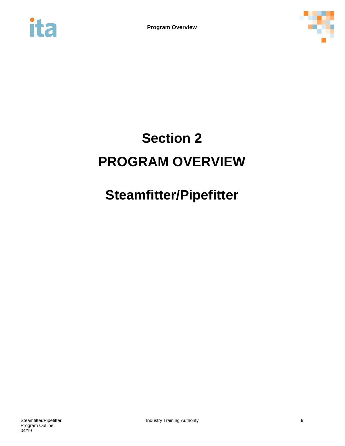<span id="page-9-0"></span>



# **Section 2 PROGRAM OVERVIEW**

# **Steamfitter/Pipefitter**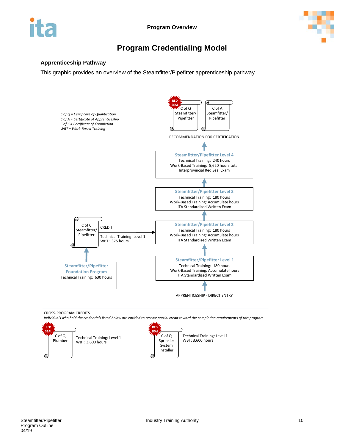



## **Program Credentialing Model**

### <span id="page-10-0"></span>**Apprenticeship Pathway**

This graphic provides an overview of the Steamfitter/Pipefitter apprenticeship pathway.



CROSS-PROGRAM CREDITS

*Individuals who hold the credentials listed below are entitled to receive partial credit toward the completion requirements of this program*

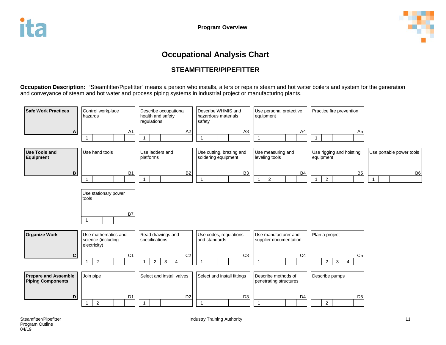

## **Occupational Analysis Chart**

## **STEAMFITTER/PIPEFITTER**

**Occupation Description:** "Steamfitter/Pipefitter" means a person who installs, alters or repairs steam and hot water boilers and system for the generation and conveyance of steam and hot water and process piping systems in industrial project or manufacturing plants.

<span id="page-11-0"></span>

| <b>Safe Work Practices</b>                              | Control workplace<br>hazards                              | Describe occupational<br>health and safety<br>regulations                              | Describe WHMIS and<br>hazardous materials<br>safety | Use personal protective<br>equipment           | Practice fire prevention                                           |                          |
|---------------------------------------------------------|-----------------------------------------------------------|----------------------------------------------------------------------------------------|-----------------------------------------------------|------------------------------------------------|--------------------------------------------------------------------|--------------------------|
| A                                                       | A <sub>1</sub><br>$\mathbf{1}$                            | A <sub>2</sub><br>$\mathbf{1}$                                                         | A <sub>3</sub><br>$\mathbf{1}$                      | A4<br>1                                        | A <sub>5</sub>                                                     |                          |
| <b>Use Tools and</b><br><b>Equipment</b>                | Use hand tools                                            | Use ladders and<br>platforms                                                           | Use cutting, brazing and<br>soldering equipment     | Use measuring and<br>leveling tools            | Use rigging and hoisting<br>equipment                              | Use portable power tools |
| B                                                       | <b>B1</b><br>$\mathbf{1}$                                 | B <sub>2</sub><br>$\mathbf{1}$                                                         | B <sub>3</sub><br>1                                 | B <sub>4</sub><br>$\overline{2}$               | B <sub>5</sub><br>$\overline{2}$                                   | B <sub>6</sub>           |
|                                                         | Use stationary power<br>tools<br>B7<br>$\overline{1}$     |                                                                                        |                                                     |                                                |                                                                    |                          |
| <b>Organize Work</b>                                    | Use mathematics and<br>science (including<br>electricity) | Read drawings and<br>specifications                                                    | Use codes, regulations<br>and standards             | Use manufacturer and<br>supplier documentation | Plan a project                                                     |                          |
| C                                                       | C <sub>1</sub><br>$\overline{2}$<br>$\mathbf{1}$          | C <sub>2</sub><br>$\overline{2}$<br>3 <sup>1</sup><br>$\overline{4}$<br>$\overline{1}$ | C <sub>3</sub><br>$\mathbf{1}$                      | C <sub>4</sub><br>1                            | C <sub>5</sub><br>$\mathbf{3}$<br>$\overline{2}$<br>$\overline{4}$ |                          |
| <b>Prepare and Assemble</b><br><b>Piping Components</b> | Join pipe                                                 | Select and install valves                                                              | Select and install fittings                         | Describe methods of<br>penetrating structures  | Describe pumps                                                     |                          |
| D                                                       | D <sub>1</sub><br>$\overline{2}$<br>$\mathbf{1}$          | D <sub>2</sub><br>$\mathbf 1$                                                          | D <sub>3</sub><br>1                                 | D <sub>4</sub><br>1                            | D <sub>5</sub><br>$\overline{2}$                                   |                          |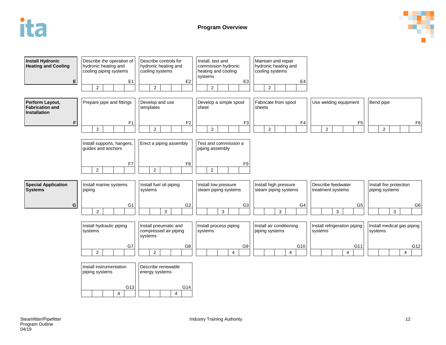

**Program Overview**



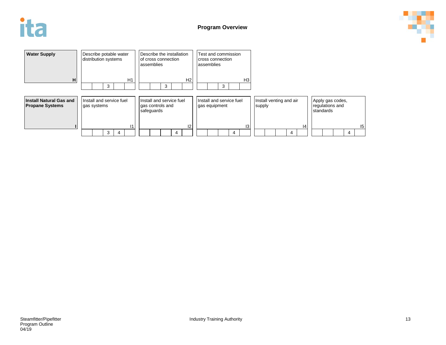



| <b>Water Supply</b><br>Describe potable water<br>distribution systems<br>H<br>3                     | Describe the installation<br>of cross connection<br>assemblies<br>H1<br>3 | H <sub>2</sub> | Test and commission<br>cross connection<br>assemblies<br>3 | H <sub>3</sub> |                                   |   |    |           |                                     |   |    |
|-----------------------------------------------------------------------------------------------------|---------------------------------------------------------------------------|----------------|------------------------------------------------------------|----------------|-----------------------------------|---|----|-----------|-------------------------------------|---|----|
| Install and service fuel<br><b>Install Natural Gas and</b><br><b>Propane Systems</b><br>gas systems | Install and service fuel<br>gas controls and<br>safeguards<br>11          | 12             | Install and service fuel<br>gas equipment                  | 3              | Install venting and air<br>supply |   | 14 | standards | Apply gas codes,<br>regulations and |   | 15 |
| 3<br>4                                                                                              |                                                                           | 4              |                                                            | 4              |                                   | 4 |    |           |                                     | 4 |    |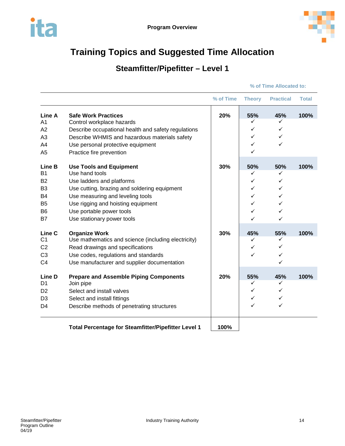<span id="page-14-0"></span>



## **Steamfitter/Pipefitter – Level 1**

|                                                                                        |                                                                                                                                                                                                                                                                   | % of Time | <b>Theory</b>                          | <b>Practical</b>                       | <b>Total</b> |
|----------------------------------------------------------------------------------------|-------------------------------------------------------------------------------------------------------------------------------------------------------------------------------------------------------------------------------------------------------------------|-----------|----------------------------------------|----------------------------------------|--------------|
| Line A<br>A <sub>1</sub><br>A <sub>2</sub><br>A <sub>3</sub><br>A4<br>A <sub>5</sub>   | <b>Safe Work Practices</b><br>Control workplace hazards<br>Describe occupational health and safety regulations<br>Describe WHMIS and hazardous materials safety<br>Use personal protective equipment<br>Practice fire prevention                                  | 20%       | 55%<br>✓<br>✓<br>✓<br>✓<br>✓           | 45%<br>✓<br>✓<br>✓<br>✓                | 100%         |
| Line B<br><b>B1</b><br><b>B2</b><br>B <sub>3</sub><br>B4<br>B <sub>5</sub><br>B6<br>B7 | <b>Use Tools and Equipment</b><br>Use hand tools<br>Use ladders and platforms<br>Use cutting, brazing and soldering equipment<br>Use measuring and leveling tools<br>Use rigging and hoisting equipment<br>Use portable power tools<br>Use stationary power tools | 30%       | 50%<br>✓<br>✓<br>✓<br>✓<br>✓<br>✓<br>✓ | 50%<br>✓<br>✓<br>✓<br>✓<br>✓<br>✓<br>✓ | 100%         |
| Line C<br>C <sub>1</sub><br>C <sub>2</sub><br>C <sub>3</sub><br>C <sub>4</sub>         | <b>Organize Work</b><br>Use mathematics and science (including electricity)<br>Read drawings and specifications<br>Use codes, regulations and standards<br>Use manufacturer and supplier documentation                                                            | 30%       | 45%<br>✓<br>✓<br>✓                     | 55%<br>✓<br>✓<br>✓<br>$\checkmark$     | 100%         |
| Line D<br>D <sub>1</sub><br>D <sub>2</sub><br>D <sub>3</sub><br>D <sub>4</sub>         | <b>Prepare and Assemble Piping Components</b><br>Join pipe<br>Select and install valves<br>Select and install fittings<br>Describe methods of penetrating structures                                                                                              | 20%       | 55%<br>✓<br>$\checkmark$<br>✓<br>✓     | 45%<br>✓<br>✓<br>✓<br>✓                | 100%         |
|                                                                                        | Total Percentage for Steamfitter/Pipefitter Level 1                                                                                                                                                                                                               | 100%      |                                        |                                        |              |

### **% of Time Allocated to:**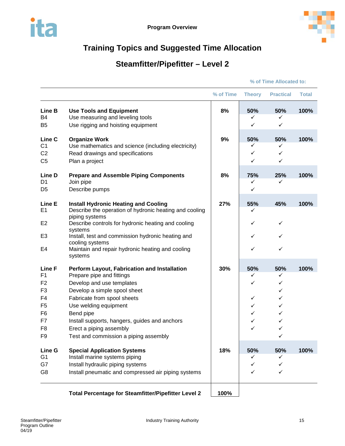

## **Steamfitter/Pipefitter – Level 2**

|                                            |                                                                                                          | % of Time | <b>Theory</b> | <b>Practical</b> | <b>Total</b> |
|--------------------------------------------|----------------------------------------------------------------------------------------------------------|-----------|---------------|------------------|--------------|
| Line B<br>B <sub>4</sub><br>B <sub>5</sub> | <b>Use Tools and Equipment</b><br>Use measuring and leveling tools<br>Use rigging and hoisting equipment | 8%        | 50%<br>✓<br>✓ | 50%<br>✓<br>✓    | 100%         |
|                                            |                                                                                                          |           |               |                  |              |
| Line C                                     | <b>Organize Work</b>                                                                                     | 9%        | 50%           | 50%              | 100%         |
| C <sub>1</sub><br>C <sub>2</sub>           | Use mathematics and science (including electricity)<br>Read drawings and specifications                  |           | ✓<br>✓        | ✓<br>✓           |              |
| C <sub>5</sub>                             | Plan a project                                                                                           |           | ✓             | $\checkmark$     |              |
| Line D                                     | <b>Prepare and Assemble Piping Components</b>                                                            | 8%        | 75%           | 25%              | 100%         |
| D <sub>1</sub>                             | Join pipe                                                                                                |           | ✓             | ✓                |              |
| D <sub>5</sub>                             | Describe pumps                                                                                           |           | ✓             |                  |              |
| Line E<br>E <sub>1</sub>                   | <b>Install Hydronic Heating and Cooling</b><br>Describe the operation of hydronic heating and cooling    | 27%       | 55%<br>✓      | 45%              | 100%         |
| E <sub>2</sub>                             | piping systems<br>Describe controls for hydronic heating and cooling                                     |           | ✓             | ✓                |              |
| E <sub>3</sub>                             | systems<br>Install, test and commission hydronic heating and                                             |           | ✓             | ✓                |              |
|                                            | cooling systems                                                                                          |           |               |                  |              |
| E4                                         | Maintain and repair hydronic heating and cooling<br>systems                                              |           | $\checkmark$  | ✓                |              |
| Line F                                     | Perform Layout, Fabrication and Installation                                                             | 30%       | 50%           | 50%              | 100%         |
| F <sub>1</sub>                             | Prepare pipe and fittings                                                                                |           | ✓             | ✓                |              |
| F <sub>2</sub><br>F <sub>3</sub>           | Develop and use templates<br>Develop a simple spool sheet                                                |           | ✓             | ✓<br>✓           |              |
| F4                                         | Fabricate from spool sheets                                                                              |           | ✓             | ✓                |              |
| F <sub>5</sub>                             | Use welding equipment                                                                                    |           | ✓             | ✓                |              |
| F <sub>6</sub>                             | Bend pipe                                                                                                |           | ✓             | ✓                |              |
| F7                                         | Install supports, hangers, guides and anchors                                                            |           | ✓             | ✓                |              |
| F <sub>8</sub>                             | Erect a piping assembly                                                                                  |           | ✓             | ✓                |              |
| F <sub>9</sub>                             | Test and commission a piping assembly                                                                    |           |               | ✓                |              |
| Line G                                     | <b>Special Application Systems</b>                                                                       | 18%       | 50%           | 50%              | 100%         |
| G <sub>1</sub>                             | Install marine systems piping                                                                            |           | ✓             | ✓                |              |
| G7                                         | Install hydraulic piping systems                                                                         |           | ✓             | ✓                |              |
| G <sub>8</sub>                             | Install pneumatic and compressed air piping systems                                                      |           | ✓             | ✓                |              |
|                                            | Total Percentage for Steamfitter/Pipefitter Level 2                                                      | 100%      |               |                  |              |

**% of Time Allocated to:**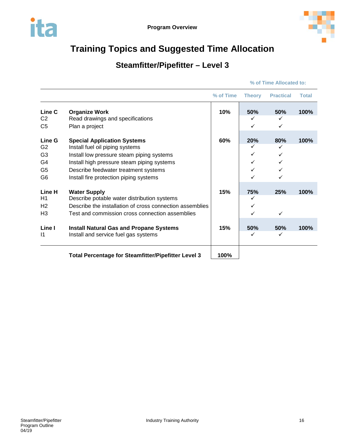



## **Steamfitter/Pipefitter – Level 3**

|                        |                                                                                        | % of Time | <b>Theory</b> | <b>Practical</b> | <b>Total</b> |
|------------------------|----------------------------------------------------------------------------------------|-----------|---------------|------------------|--------------|
| Line C                 | <b>Organize Work</b>                                                                   | 10%       | 50%           | 50%              | 100%         |
| C <sub>2</sub>         | Read drawings and specifications                                                       |           | ✓             | ✓                |              |
| C <sub>5</sub>         | Plan a project                                                                         |           | ✓             | ✓                |              |
| Line G                 | <b>Special Application Systems</b>                                                     | 60%       | 20%           | 80%              | 100%         |
| G <sub>2</sub>         | Install fuel oil piping systems                                                        |           |               |                  |              |
| G <sub>3</sub>         | Install low pressure steam piping systems                                              |           |               | ✓                |              |
| G4                     | Install high pressure steam piping systems                                             |           | ✓             |                  |              |
| G <sub>5</sub>         | Describe feedwater treatment systems                                                   |           |               |                  |              |
| G <sub>6</sub>         | Install fire protection piping systems                                                 |           |               | ✓                |              |
| Line H                 | <b>Water Supply</b>                                                                    | 15%       | 75%           | 25%              | 100%         |
| H1                     | Describe potable water distribution systems                                            |           | ✓             |                  |              |
| H <sub>2</sub>         | Describe the installation of cross connection assemblies                               |           |               |                  |              |
| H <sub>3</sub>         | Test and commission cross connection assemblies                                        |           |               | $\checkmark$     |              |
| Line I<br>$\mathsf{I}$ | <b>Install Natural Gas and Propane Systems</b><br>Install and service fuel gas systems | 15%       | 50%<br>✓      | 50%<br>✓         | 100%         |
|                        | Total Percentage for Steamfitter/Pipefitter Level 3                                    | 100%      |               |                  |              |

**% of Time Allocated to:**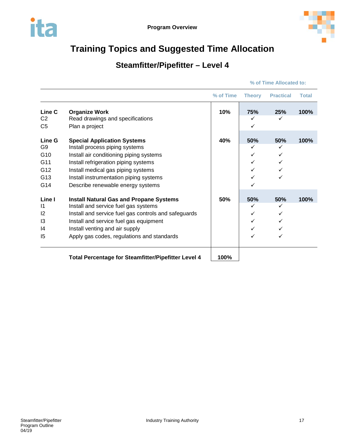

## **Steamfitter/Pipefitter – Level 4**

|  | % of Time Allocated to: |  |
|--|-------------------------|--|
|  |                         |  |

|                 |                                                            | % of Time | <b>Theory</b> | <b>Practical</b> | <b>Total</b> |
|-----------------|------------------------------------------------------------|-----------|---------------|------------------|--------------|
| Line C          | <b>Organize Work</b>                                       | 10%       | 75%           | 25%              | 100%         |
| C <sub>2</sub>  | Read drawings and specifications                           |           | ✓             | $\checkmark$     |              |
| C <sub>5</sub>  | Plan a project                                             |           |               |                  |              |
| Line G          | <b>Special Application Systems</b>                         | 40%       | 50%           | 50%              | 100%         |
| G9              | Install process piping systems                             |           | ✓             | ✓                |              |
| G10             | Install air conditioning piping systems                    |           | ✓             |                  |              |
| G11             | Install refrigeration piping systems                       |           |               |                  |              |
| G12             | Install medical gas piping systems                         |           |               |                  |              |
| G13             | Install instrumentation piping systems                     |           |               | ✓                |              |
| G14             | Describe renewable energy systems                          |           |               |                  |              |
| Line I          | <b>Install Natural Gas and Propane Systems</b>             | 50%       | 50%           | 50%              | 100%         |
| $\overline{11}$ | Install and service fuel gas systems                       |           | ✓             | ✓                |              |
| 12              | Install and service fuel gas controls and safeguards       |           | ✓             | ✓                |              |
| 13              | Install and service fuel gas equipment                     |           |               | ✓                |              |
| 14              | Install venting and air supply                             |           |               |                  |              |
| 15              | Apply gas codes, regulations and standards                 |           |               |                  |              |
|                 | <b>Total Percentage for Steamfitter/Pipefitter Level 4</b> | 100%      |               |                  |              |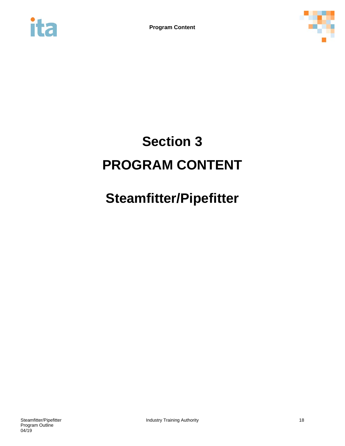<span id="page-18-0"></span>



# **Section 3 PROGRAM CONTENT**

# **Steamfitter/Pipefitter**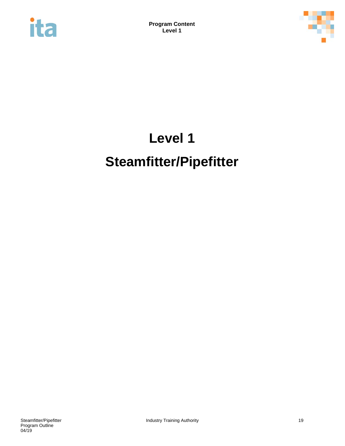<span id="page-19-0"></span>



# **Level 1 Steamfitter/Pipefitter**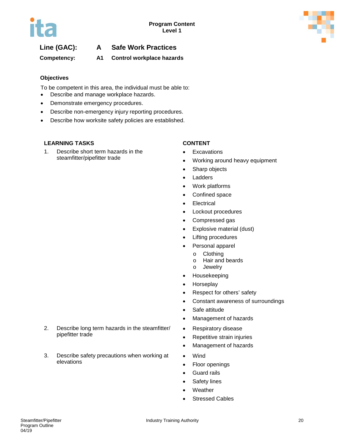

## **Line (GAC): A Safe Work Practices**

**Competency: A1 Control workplace hazards**

## **Objectives**

To be competent in this area, the individual must be able to:

- Describe and manage workplace hazards.
- Demonstrate emergency procedures.
- Describe non-emergency injury reporting procedures.
- Describe how worksite safety policies are established.

## **LEARNING TASKS CONTENT**

1. Describe short term hazards in the steamfitter/pipefitter trade

- Excavations
- Working around heavy equipment
- Sharp objects
- Ladders
- Work platforms
- Confined space
- Electrical
- Lockout procedures
- Compressed gas
- Explosive material (dust)
- Lifting procedures
- Personal apparel
	- o Clothing<br>o Hair and
	- Hair and beards
	- o Jewelry
- Housekeeping
- Horseplay
- Respect for others' safety
- Constant awareness of surroundings
- Safe attitude
- Management of hazards
- Respiratory disease
- Repetitive strain injuries
- Management of hazards
- Wind
- Floor openings
- Guard rails
- Safety lines
- Weather
- Stressed Cables
- 2. Describe long term hazards in the steamfitter/ pipefitter trade
- 3. Describe safety precautions when working at elevations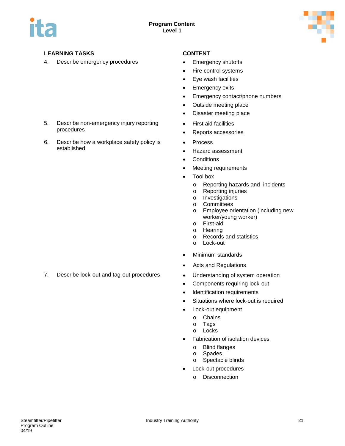

## **LEARNING TASKS CONTENT**

4. Describe emergency procedures • Emergency shutoffs

- 
- Fire control systems
- Eye wash facilities
- Emergency exits
- Emergency contact/phone numbers
- Outside meeting place
- Disaster meeting place
- First aid facilities
- Reports accessories
- Process
- Hazard assessment
- Conditions
- Meeting requirements
- Tool box
	- o Reporting hazards and incidents<br>
	o Reporting injuries
	- o Reporting injuries<br>
	o Investigations
	- Investigations
	- o Committees<br>
	o Employee or
	- Employee orientation (including new worker/young worker)
	- o First-aid<br>o Hearing
	- Hearing
	- o Records and statistics
	- o Lock-out
- Minimum standards
- Acts and Regulations
- 
- Components requiring lock-out
- Identification requirements
- Situations where lock-out is required
- Lock-out equipment
	- o Chains<br>o Tags
	- o Tags<br>o Locks
	- Locks
- Fabrication of isolation devices
	- o Blind flanges
	- o Spades<br>o Spectado
	- Spectacle blinds
- Lock-out procedures
	- o Disconnection
- 5. Describe non-emergency injury reporting procedures
- 6. Describe how a workplace safety policy is established

7. Describe lock-out and tag-out procedures • Understanding of system operation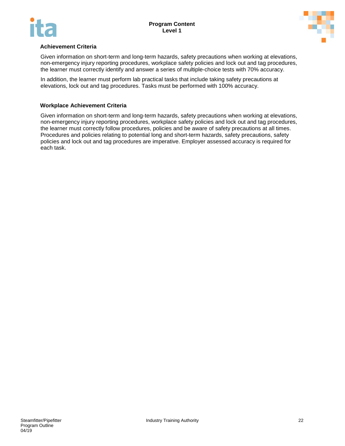



## **Achievement Criteria**

Given information on short-term and long-term hazards, safety precautions when working at elevations, non-emergency injury reporting procedures, workplace safety policies and lock out and tag procedures, the learner must correctly identify and answer a series of multiple-choice tests with 70% accuracy.

In addition, the learner must perform lab practical tasks that include taking safety precautions at elevations, lock out and tag procedures. Tasks must be performed with 100% accuracy.

### **Workplace Achievement Criteria**

Given information on short-term and long-term hazards, safety precautions when working at elevations, non-emergency injury reporting procedures, workplace safety policies and lock out and tag procedures, the learner must correctly follow procedures, policies and be aware of safety precautions at all times. Procedures and policies relating to potential long and short-term hazards, safety precautions, safety policies and lock out and tag procedures are imperative. Employer assessed accuracy is required for each task.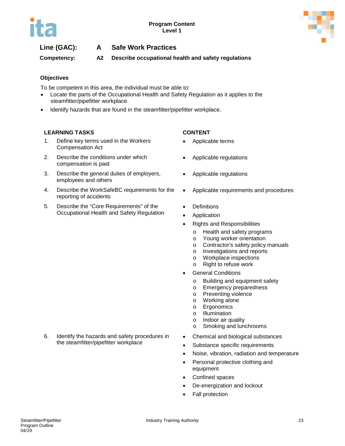



## **Line (GAC): A Safe Work Practices**

**Competency: A2 Describe occupational health and safety regulations**

## **Objectives**

To be competent in this area, the individual must be able to:

- Locate the parts of the Occupational Health and Safety Regulation as it applies to the steamfitter/pipefitter workplace.
- Identify hazards that are found in the steamfitter/pipefitter workplace.

## **LEARNING TASKS CONTENT**

- 1. Define key terms used in the Workers Compensation Act
- 2. Describe the conditions under which compensation is paid
- 3. Describe the general duties of employers, employees and others
- 4. Describe the WorkSafeBC requirements for the reporting of accidents
- 5. Describe the "Core Requirements" of the Occupational Health and Safety Regulation

- Applicable terms
- Applicable regulations
- Applicable regulations
- Applicable requirements and procedures
- **Definitions**
- **Application**
- Rights and Responsibilities
	- o Health and safety programs
	- o Young worker orientation
	- o Contractor's safety policy manuals
	- o Investigations and reports
	- o Workplace inspections<br>
	o Right to refuse work
	- Right to refuse work
- **General Conditions** 
	- o Building and equipment safety<br>
	o Emergency preparedness
	- Emergency preparedness
	- o Preventing violence
	- o Working alone
	- o Ergonomics<br>o Illumination
	- **Illumination**
	- o Indoor air quality
	- o Smoking and lunchrooms
- Chemical and biological substances
- Substance specific requirements
- Noise, vibration, radiation and temperature
- Personal protective clothing and equipment
- Confined spaces
- De-energization and lockout
- Fall protection

6. Identify the hazards and safety procedures in the steamfitter/pipefitter workplace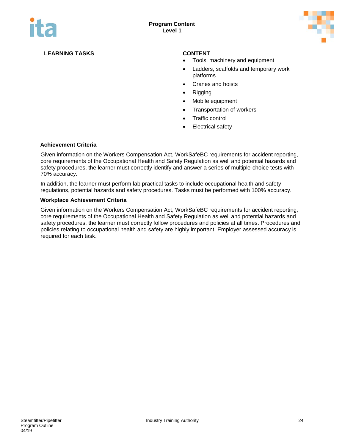

## **LEARNING TASKS CONTENT**

- Tools, machinery and equipment
- Ladders, scaffolds and temporary work platforms
- Cranes and hoists
- Rigging
- Mobile equipment
- Transportation of workers
- Traffic control
- Electrical safety

### **Achievement Criteria**

Given information on the Workers Compensation Act, WorkSafeBC requirements for accident reporting, core requirements of the Occupational Health and Safety Regulation as well and potential hazards and safety procedures, the learner must correctly identify and answer a series of multiple-choice tests with 70% accuracy.

In addition, the learner must perform lab practical tasks to include occupational health and safety regulations, potential hazards and safety procedures. Tasks must be performed with 100% accuracy.

### **Workplace Achievement Criteria**

Given information on the Workers Compensation Act, WorkSafeBC requirements for accident reporting, core requirements of the Occupational Health and Safety Regulation as well and potential hazards and safety procedures, the learner must correctly follow procedures and policies at all times. Procedures and policies relating to occupational health and safety are highly important. Employer assessed accuracy is required for each task.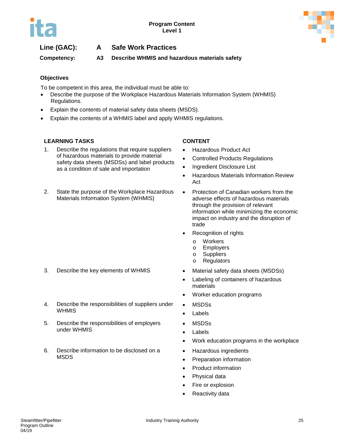



## **Line (GAC): A Safe Work Practices**

**Competency: A3 Describe WHMIS and hazardous materials safety**

## **Objectives**

To be competent in this area, the individual must be able to:

- Describe the purpose of the Workplace Hazardous Materials Information System (WHMIS) Regulations.
- Explain the contents of material safety data sheets (MSDS).
- Explain the contents of a WHMIS label and apply WHMIS regulations.

## **LEARNING TASKS CONTENT**

- 1. Describe the regulations that require suppliers of hazardous materials to provide material safety data sheets (MSDSs) and label products as a condition of sale and importation
- 2. State the purpose of the Workplace Hazardous Materials Information System (WHMIS)

### 3. Describe the key elements of WHMIS • Material safety data sheets (MSDSs)

- 4. Describe the responsibilities of suppliers under **WHMIS**
- 5. Describe the responsibilities of employers under WHMIS
- 6. Describe information to be disclosed on a MSDS

- Hazardous Product Act
- Controlled Products Regulations
- Ingredient Disclosure List
- Hazardous Materials Information Review Act
- Protection of Canadian workers from the adverse effects of hazardous materials through the provision of relevant information while minimizing the economic impact on industry and the disruption of trade
- Recognition of rights
	- o Workers<br>o Employe
	- Employers
	- o Suppliers
	- o Regulators
- 
- Labeling of containers of hazardous materials
- Worker education programs
- MSDSs
- Labels
- MSDSs
- Labels
- Work education programs in the workplace
- Hazardous ingredients
- Preparation information
- Product information
- Physical data
- Fire or explosion
- Reactivity data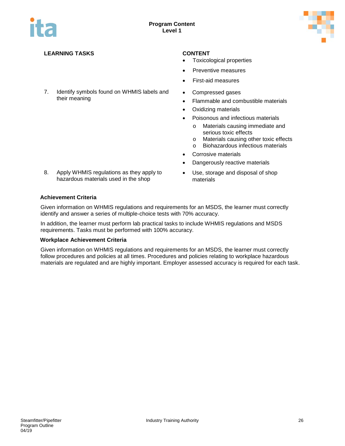

## **LEARNING TASKS CONTENT**

7. Identify symbols found on WHMIS labels and their meaning

- Toxicological properties
- Preventive measures
- First-aid measures
- Compressed gases
- Flammable and combustible materials
- Oxidizing materials
- Poisonous and infectious materials
	- o Materials causing immediate and serious toxic effects
	- o Materials causing other toxic effects<br>
	o Biohazardous infectious materials
	- Biohazardous infectious materials
- Corrosive materials
- Dangerously reactive materials
- Use, storage and disposal of shop materials
- 8. Apply WHMIS regulations as they apply to hazardous materials used in the shop

### **Achievement Criteria**

Given information on WHMIS regulations and requirements for an MSDS, the learner must correctly identify and answer a series of multiple-choice tests with 70% accuracy.

In addition, the learner must perform lab practical tasks to include WHMIS regulations and MSDS requirements. Tasks must be performed with 100% accuracy.

### **Workplace Achievement Criteria**

Given information on WHMIS regulations and requirements for an MSDS, the learner must correctly follow procedures and policies at all times. Procedures and policies relating to workplace hazardous materials are regulated and are highly important. Employer assessed accuracy is required for each task.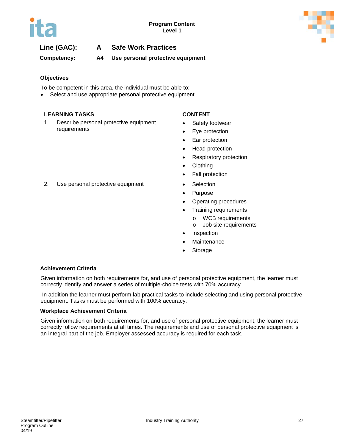

## **Line (GAC): A Safe Work Practices**

## **Competency: A4 Use personal protective equipment**

## **Objectives**

To be competent in this area, the individual must be able to:

Select and use appropriate personal protective equipment.

## **LEARNING TASKS CONTENT**

1. Describe personal protective equipment requirements

- Safety footwear
- Eye protection
- Ear protection
- Head protection
- Respiratory protection
- Clothing
- Fall protection
- 2. Use personal protective equipment Selection
	- Purpose
	- Operating procedures
	- Training requirements
		- o WCB requirements
		- o Job site requirements
	- **Inspection**
	- **Maintenance**
	- **Storage**

## **Achievement Criteria**

Given information on both requirements for, and use of personal protective equipment, the learner must correctly identify and answer a series of multiple-choice tests with 70% accuracy.

In addition the learner must perform lab practical tasks to include selecting and using personal protective equipment. Tasks must be performed with 100% accuracy.

## **Workplace Achievement Criteria**

Given information on both requirements for, and use of personal protective equipment, the learner must correctly follow requirements at all times. The requirements and use of personal protective equipment is an integral part of the job. Employer assessed accuracy is required for each task.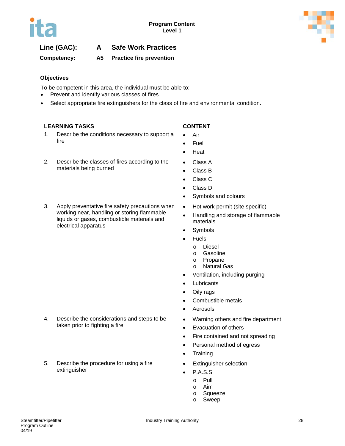

## **Line (GAC): A Safe Work Practices**

**Competency: A5 Practice fire prevention**

## **Objectives**

To be competent in this area, the individual must be able to:

- Prevent and identify various classes of fires.
- Select appropriate fire extinguishers for the class of fire and environmental condition.

## **LEARNING TASKS CONTENT**

1. Describe the conditions necessary to support a fire

- Air
- Fuel
- Heat
- 2. Describe the classes of fires according to the materials being burned
- 3. Apply preventative fire safety precautions when working near, handling or storing flammable liquids or gases, combustible materials and electrical apparatus

4. Describe the considerations and steps to be

taken prior to fighting a fire

extinguisher

5. Describe the procedure for using a fire

- 
- Class A
- Class B
- Class C
- Class D
- Symbols and colours
- Hot work permit (site specific)
- Handling and storage of flammable materials
- **Symbols**
- **Fuels** 
	- o Diesel
	- o Gasoline
	- o Propane<br>o Natural C
	- **Natural Gas**
- Ventilation, including purging
- Lubricants
- Oily rags
- Combustible metals
- **Aerosols**
- Warning others and fire department
- Evacuation of others
- Fire contained and not spreading
- Personal method of egress
- Training
- Extinguisher selection
- P.A.S.S.
	- o Pull
	- o Aim
	- o Squeeze<br>o Sweep
	- Sweep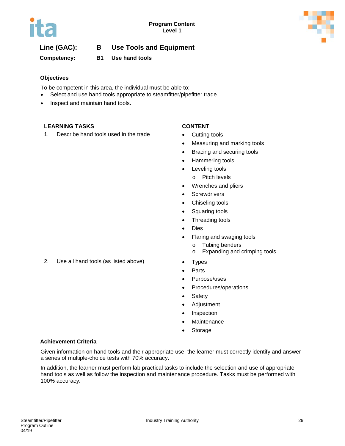

## **Line (GAC): B Use Tools and Equipment**

**Competency: B1 Use hand tools**

## **Objectives**

To be competent in this area, the individual must be able to:

- Select and use hand tools appropriate to steamfitter/pipefitter trade.
- Inspect and maintain hand tools.

## **LEARNING TASKS CONTENT**

1. Describe hand tools used in the trade • Cutting tools

- 
- Measuring and marking tools
- Bracing and securing tools
- Hammering tools
- Leveling tools
	- o Pitch levels
- Wrenches and pliers
- Screwdrivers
- Chiseling tools
- Squaring tools
- Threading tools
- Dies
- Flaring and swaging tools
	- o Tubing benders<br>
	o Expanding and
	- Expanding and crimping tools
- 2. Use all hand tools (as listed above) Types
	- **Parts**
	- Purpose/uses
	- Procedures/operations
	- Safety
	- Adjustment
	- Inspection
	- **Maintenance**
	- **Storage**

## **Achievement Criteria**

Given information on hand tools and their appropriate use, the learner must correctly identify and answer a series of multiple-choice tests with 70% accuracy.

In addition, the learner must perform lab practical tasks to include the selection and use of appropriate hand tools as well as follow the inspection and maintenance procedure. Tasks must be performed with 100% accuracy.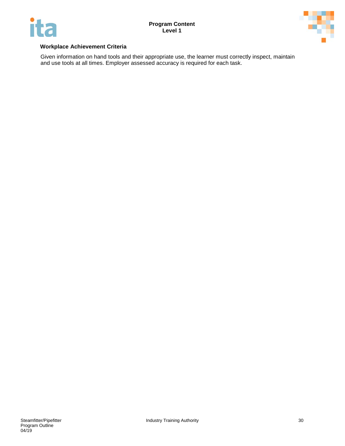



## **Workplace Achievement Criteria**

Given information on hand tools and their appropriate use, the learner must correctly inspect, maintain and use tools at all times. Employer assessed accuracy is required for each task.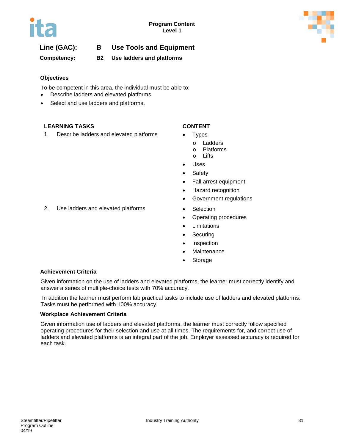

## **Line (GAC): B Use Tools and Equipment**

**Competency: B2 Use ladders and platforms**

## **Objectives**

To be competent in this area, the individual must be able to:

- Describe ladders and elevated platforms.
- Select and use ladders and platforms.

## **LEARNING TASKS CONTENT**

1. Describe ladders and elevated platforms • Types

- - o Ladders<br>o Platform:
	- o Platforms<br>o Lifts
	- Lifts
- Uses
- Safety
- Fall arrest equipment
- Hazard recognition
- Government regulations
- 2. Use ladders and elevated platforms Selection
	- Operating procedures
	- Limitations
	- Securing
	- Inspection
	- Maintenance
	- **Storage**

## **Achievement Criteria**

Given information on the use of ladders and elevated platforms, the learner must correctly identify and answer a series of multiple-choice tests with 70% accuracy.

In addition the learner must perform lab practical tasks to include use of ladders and elevated platforms. Tasks must be performed with 100% accuracy.

### **Workplace Achievement Criteria**

Given information use of ladders and elevated platforms, the learner must correctly follow specified operating procedures for their selection and use at all times. The requirements for, and correct use of ladders and elevated platforms is an integral part of the job. Employer assessed accuracy is required for each task.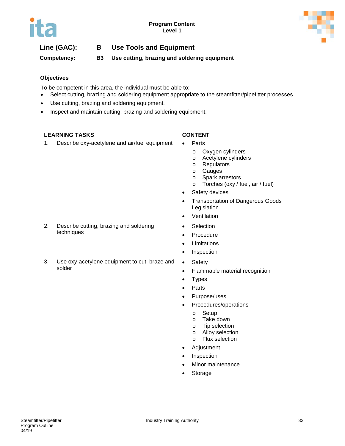

## **Line (GAC): B Use Tools and Equipment**

**Competency: B3 Use cutting, brazing and soldering equipment**

## **Objectives**

To be competent in this area, the individual must be able to:

- Select cutting, brazing and soldering equipment appropriate to the steamfitter/pipefitter processes.
- Use cutting, brazing and soldering equipment.
- Inspect and maintain cutting, brazing and soldering equipment.

## **LEARNING TASKS CONTENT**

1. Describe oxy-acetylene and air/fuel equipment • Parts

- - o Oxygen cylinders
	- o Acetylene cylinders<br>
	o Regulators
	- o Regulators<br>o Gauges
	- **Gauges**
	- o Spark arrestors
	- o Torches (oxy / fuel, air / fuel)
- Safety devices
- Transportation of Dangerous Goods Legislation
- Ventilation
- Selection
- Procedure
- Limitations
- Inspection
- Safety
- Flammable material recognition
- Types
- Parts
- Purpose/uses
- Procedures/operations
	- o Setup<br>o Take o
	- o Take down<br>o Tip selectio
	- Tip selection
	- o Alloy selection<br>o Flux selection
	- Flux selection
- Adjustment
- Inspection
- Minor maintenance
- Storage

2. Describe cutting, brazing and soldering techniques

3. Use oxy-acetylene equipment to cut, braze and solder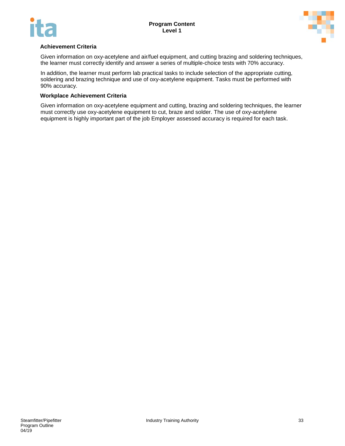



## **Achievement Criteria**

Given information on oxy-acetylene and air/fuel equipment, and cutting brazing and soldering techniques, the learner must correctly identify and answer a series of multiple-choice tests with 70% accuracy.

In addition, the learner must perform lab practical tasks to include selection of the appropriate cutting, soldering and brazing technique and use of oxy-acetylene equipment. Tasks must be performed with 90% accuracy.

### **Workplace Achievement Criteria**

Given information on oxy-acetylene equipment and cutting, brazing and soldering techniques, the learner must correctly use oxy-acetylene equipment to cut, braze and solder. The use of oxy-acetylene equipment is highly important part of the job Employer assessed accuracy is required for each task.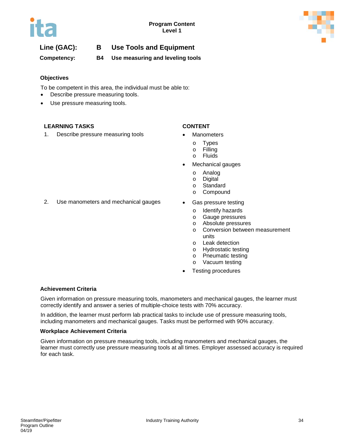

## **Line (GAC): B Use Tools and Equipment**

**Competency: B4 Use measuring and leveling tools**

## **Objectives**

To be competent in this area, the individual must be able to:

- Describe pressure measuring tools.
- Use pressure measuring tools.

### **LEARNING TASKS CONTENT**

1. Describe pressure measuring tools • Manometers

- - o Types<br>o Filling
	- **Filling**
	- o Fluids
- Mechanical gauges
	- o Analog
	- o Digital
	- o Standard<br>o Compour
	- Compound
- - o Identify hazards<br>o Gauge pressure
	- Gauge pressures
	- o Absolute pressures
	- o Conversion between measurement units
	- o Leak detection
	- o Hydrostatic testing<br>
	o Pneumatic testing
	- Pneumatic testing
	- o Vacuum testing
- Testing procedures

### **Achievement Criteria**

Given information on pressure measuring tools, manometers and mechanical gauges, the learner must correctly identify and answer a series of multiple-choice tests with 70% accuracy.

In addition, the learner must perform lab practical tasks to include use of pressure measuring tools, including manometers and mechanical gauges. Tasks must be performed with 90% accuracy.

### **Workplace Achievement Criteria**

Given information on pressure measuring tools, including manometers and mechanical gauges, the learner must correctly use pressure measuring tools at all times. Employer assessed accuracy is required for each task.

2. Use manometers and mechanical gauges • Gas pressure testing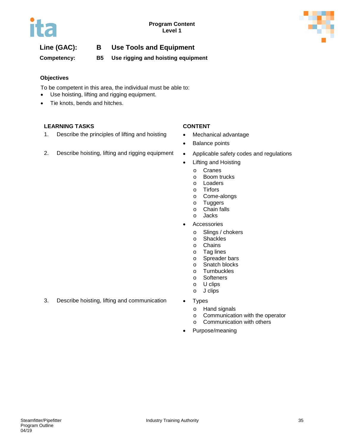

## **Line (GAC): B Use Tools and Equipment**

**Competency: B5 Use rigging and hoisting equipment**

## **Objectives**

To be competent in this area, the individual must be able to:

- Use hoisting, lifting and rigging equipment.
- Tie knots, bends and hitches.

## **LEARNING TASKS CONTENT**

- 1. Describe the principles of lifting and hoisting Mechanical advantage
- 2. Describe hoisting, lifting and rigging equipment Applicable safety codes and regulations

- 
- Balance points
- 
- Lifting and Hoisting
	- o Cranes<br>o Boom ti
	- Boom trucks
	- o Loaders
	- o Tirfors<br>o Come-
	- Come-alongs
	- o Tuggers
	- o Chain falls<br>o Jacks
	- **Jacks**
- **Accessories** 
	- o Slings / chokers<br>o Shackles
	- o Shackles<br>o Chains
	- Chains
	- o Tag lines
	- o Spreader bars<br>
	o Snatch blocks
	- Snatch blocks
	- o Turnbuckles<br>o Softeners **Softeners**
	-
	- o U clips
	- o J clips
- 3. Describe hoisting, lifting and communication Types
	- - o Hand signals
		- o Communication with the operator
		- o Communication with others
	- Purpose/meaning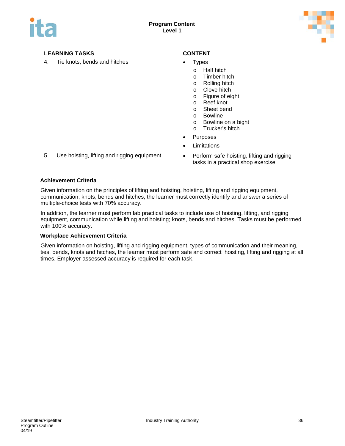

4. Tie knots, bends and hitches • Types

- - o Half hitch<br>o Timber hit
	- o Timber hitch<br>o Rolling hitch
	- **Rolling hitch**
	- o Clove hitch<br>o Figure of eig
	- Figure of eight
	- o Reef knot
	- o Sheet bend<br>o Bowline
	- **Bowline**
	- o Bowline on a bight
	- o Trucker's hitch
- **Purposes**
- **Limitations**
- tasks in a practical shop exercise
- 5. Use hoisting, lifting and rigging equipment Perform safe hoisting, lifting and rigging

#### **Achievement Criteria**

Given information on the principles of lifting and hoisting, hoisting, lifting and rigging equipment, communication, knots, bends and hitches, the learner must correctly identify and answer a series of multiple-choice tests with 70% accuracy.

In addition, the learner must perform lab practical tasks to include use of hoisting, lifting, and rigging equipment, communication while lifting and hoisting; knots, bends and hitches. Tasks must be performed with 100% accuracy.

#### **Workplace Achievement Criteria**

Given information on hoisting, lifting and rigging equipment, types of communication and their meaning, ties, bends, knots and hitches, the learner must perform safe and correct hoisting, lifting and rigging at all times. Employer assessed accuracy is required for each task.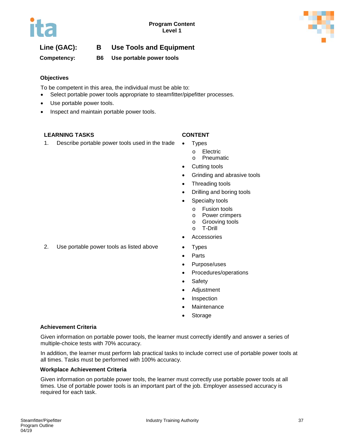



# **Line (GAC): B Use Tools and Equipment**

**Competency: B6 Use portable power tools**

### **Objectives**

To be competent in this area, the individual must be able to:

- Select portable power tools appropriate to steamfitter/pipefitter processes.
- Use portable power tools.
- Inspect and maintain portable power tools.

### **LEARNING TASKS CONTENT**

1. Describe portable power tools used in the trade • Types

- - o Electric<br>o Pneuma
	- Pneumatic
- Cutting tools
- Grinding and abrasive tools
- Threading tools
- Drilling and boring tools
- Specialty tools
	- o Fusion tools
	- o Power crimpers<br>o Grooving tools
	- o Grooving tools<br>o T-Drill
	- o T-Drill
- **Accessories**
- 2. Use portable power tools as listed above Types
	- **Parts**
	- Purpose/uses
	- Procedures/operations
	- Safety
	- Adjustment
	- **Inspection**
	- **Maintenance**
	- **Storage**

#### **Achievement Criteria**

Given information on portable power tools, the learner must correctly identify and answer a series of multiple-choice tests with 70% accuracy.

In addition, the learner must perform lab practical tasks to include correct use of portable power tools at all times. Tasks must be performed with 100% accuracy.

#### **Workplace Achievement Criteria**

Given information on portable power tools, the learner must correctly use portable power tools at all times. Use of portable power tools is an important part of the job. Employer assessed accuracy is required for each task.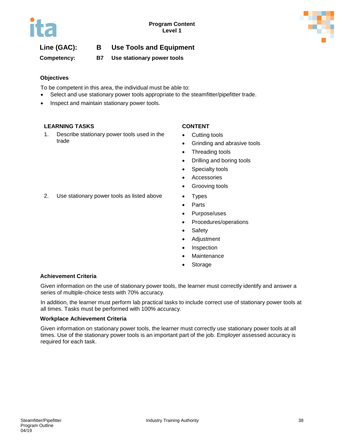

# **Line (GAC): B Use Tools and Equipment**

**Competency: B7 Use stationary power tools**

### **Objectives**

To be competent in this area, the individual must be able to:

- Select and use stationary power tools appropriate to the steamfitter/pipefitter trade.
- Inspect and maintain stationary power tools.

### **LEARNING TASKS CONTENT**

1. Describe stationary power tools used in the trade

- Cutting tools
- Grinding and abrasive tools
- Threading tools
- Drilling and boring tools
- Specialty tools
- Accessories
- Grooving tools
- 2. Use stationary power tools as listed above Types
	- Parts
	- Purpose/uses
	- Procedures/operations
	- Safety
	- Adjustment
	- Inspection
	- **Maintenance**
	- **Storage**

### **Achievement Criteria**

Given information on the use of stationary power tools, the learner must correctly identify and answer a series of multiple-choice tests with 70% accuracy.

In addition, the learner must perform lab practical tasks to include correct use of stationary power tools at all times. Tasks must be performed with 100% accuracy.

#### **Workplace Achievement Criteria**

Given information on stationary power tools, the learner must correctly use stationary power tools at all times. Use of the stationary power tools is an important part of the job. Employer assessed accuracy is required for each task.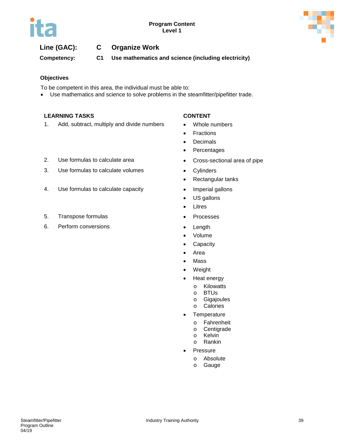



# **Line (GAC): C Organize Work**

**Competency: C1 Use mathematics and science (including electricity)**

#### **Objectives**

To be competent in this area, the individual must be able to:

• Use mathematics and science to solve problems in the steamfitter/pipefitter trade.

#### **LEARNING TASKS CONTENT**

1. Add, subtract, multiply and divide numbers • Whole numbers

- 
- Fractions
- Decimals
- Percentages
- -
- Rectangular tanks
- 
- US gallons
- Litres
- 
- 
- Volume
- Capacity
- Area
- Mass
- Weight
- Heat energy
	- o Kilowatts
	- o BTUs<br>o Gigaio
	- o Gigajoules<br>o Calories
	- **Calories**
- Temperature
	- o Fahrenheit
	- o Centigrade
	- o Kelvin<br>o Rankir Rankin
	-
	- **Pressure** 
		- o Absolute

#### 2. Use formulas to calculate area **•** Cross-sectional area of pipe

- 3. Use formulas to calculate volumes Cylinders
- 4. Use formulas to calculate capacity **•** Imperial gallons
- 5. Transpose formulas Processes
- 6. Perform conversions Length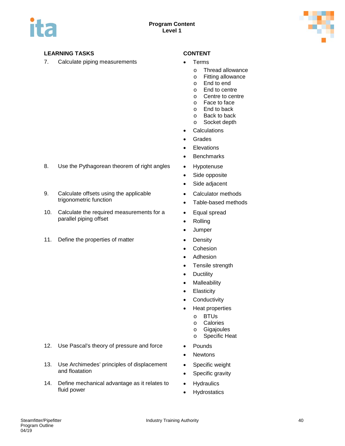

7. Calculate piping measurements • Terms

- - o Thread allowance<br>o Fitting allowance
	- Fitting allowance
	- o End to end
	- o End to centre
	- o Centre to centre
	- o Face to face
	- o End to back
	- o Back to back<br>o Socket depth
	- Socket depth
- **Calculations**
- Grades
- Elevations
- Benchmarks
- 
- Side opposite
- Side adjacent
- Calculator methods
- Table-based methods
- Equal spread
- Rolling
- Jumper
- 
- Cohesion
- Adhesion
- Tensile strength
- Ductility
- Malleability
- Elasticity
- Conductivity
- Heat properties
	- o BTUs
	- o Calories
	- o Gigajoules
	- o Specific Heat
- 
- Newtons
- Specific weight
- Specific gravity
- Hydraulics
- Hydrostatics
- 8. Use the Pythagorean theorem of right angles Hypotenuse
- 9. Calculate offsets using the applicable trigonometric function
- 10. Calculate the required measurements for a parallel piping offset
- 11. Define the properties of matter **•** Density

- 12. Use Pascal's theory of pressure and force Pounds
- 13. Use Archimedes' principles of displacement and floatation
- 14. Define mechanical advantage as it relates to fluid power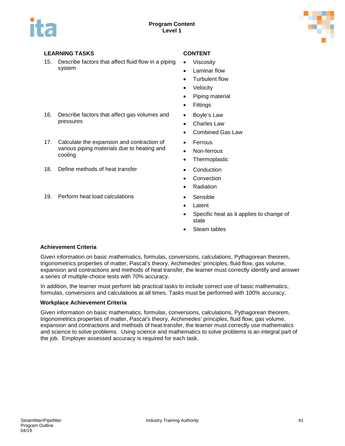

pressures

cooling

15. Describe factors that affect fluid flow in a piping system

16. Describe factors that affect gas volumes and

17. Calculate the expansion and contraction of various piping materials due to heating and

- Viscosity
- Laminar flow
- Turbulent flow
- **Velocity**
- Piping material
- Fittings
- Boyle's Law
- Charles Law
- Combined Gas Law
- Ferrous
- Non-ferrous
- Thermoplastic
- 18. Define methods of heat transfer **•** Conduction
	- **Convection**
	- Radiation
- 19. Perform heat load calculations **•** Sensible
	- Latent
	- Specific heat as it applies to change of state
	- Steam tables

#### **Achievement Criteria**

Given information on basic mathematics, formulas, conversions, calculations, Pythagorean theorem, trigonometrics properties of matter, Pascal's theory, Archimedes' principles, fluid flow, gas volume, expansion and contractions and methods of heat transfer, the learner must correctly identify and answer a series of multiple-choice tests with 70% accuracy.

In addition, the learner must perform lab practical tasks to include correct use of basic mathematics, formulas, conversions and calculations at all times. Tasks must be performed with 100% accuracy.

#### **Workplace Achievement Criteria**

Given information on basic mathematics, formulas, conversions, calculations, Pythagorean theorem, trigonometrics properties of matter, Pascal's theory, Archimedes' principles, fluid flow, gas volume, expansion and contractions and methods of heat transfer, the learner must correctly use mathematics and science to solve problems. Using science and mathematics to solve problems is an integral part of the job. Employer assessed accuracy is required for each task.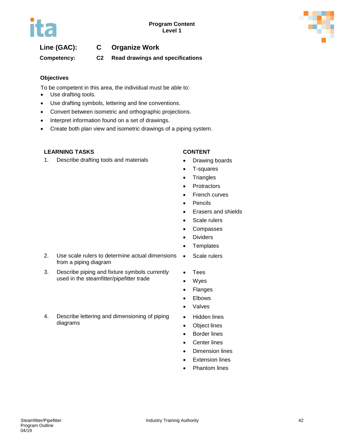

# **Line (GAC): C Organize Work**

**Competency: C2 Read drawings and specifications**

### **Objectives**

To be competent in this area, the individual must be able to:

- Use drafting tools.
- Use drafting symbols, lettering and line conventions.
- Convert between isometric and orthographic projections.
- Interpret information found on a set of drawings.
- Create both plan view and isometric drawings of a piping system.

### **LEARNING TASKS CONTENT**

1. Describe drafting tools and materials **•** Drawing boards

- 
- T-squares
- Triangles
- Protractors
- French curves
- Pencils
- Erasers and shields
- Scale rulers
- Compasses
- Dividers
- Templates
- 2. Use scale rulers to determine actual dimensions from a piping diagram • Scale rulers
- 3. Describe piping and fixture symbols currently used in the steamfitter/pipefitter trade
- Tees
- Wyes
- Flanges
- Elbows • Valves
- Hidden lines
- Object lines
- Border lines
- Center lines
- **Dimension lines**
- **Extension lines**
- **Phantom lines**

# 4. Describe lettering and dimensioning of piping diagrams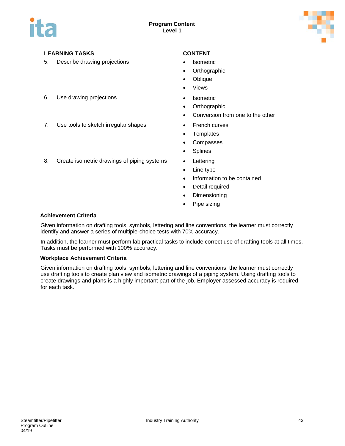

5. Describe drawing projections • Isometric

- 
- Orthographic
- Oblique
- **Views**
- 6. Use drawing projections Isometric
	- Orthographic
	- Conversion from one to the other
- 7. Use tools to sketch irregular shapes French curves
	- Templates
	- Compasses
	- Splines
	-
	- Line type
	- Information to be contained
	- Detail required
	- Dimensioning
	- Pipe sizing

### 8. Create isometric drawings of piping systems • Lettering

#### **Achievement Criteria**

Given information on drafting tools, symbols, lettering and line conventions, the learner must correctly identify and answer a series of multiple-choice tests with 70% accuracy.

In addition, the learner must perform lab practical tasks to include correct use of drafting tools at all times. Tasks must be performed with 100% accuracy.

#### **Workplace Achievement Criteria**

Given information on drafting tools, symbols, lettering and line conventions, the learner must correctly use drafting tools to create plan view and isometric drawings of a piping system. Using drafting tools to create drawings and plans is a highly important part of the job. Employer assessed accuracy is required for each task.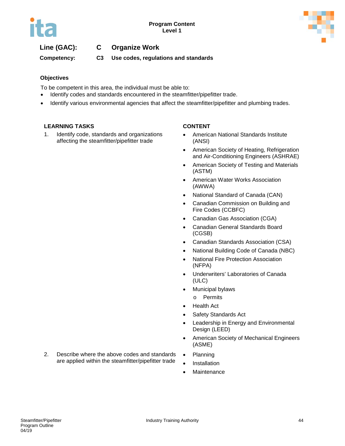

# **Line (GAC): C Organize Work**

**Competency: C3 Use codes, regulations and standards**

#### **Objectives**

To be competent in this area, the individual must be able to:

- Identify codes and standards encountered in the steamfitter/pipefitter trade.
- Identify various environmental agencies that affect the steamfitter/pipefitter and plumbing trades.

#### **LEARNING TASKS CONTENT**

1. Identify code, standards and organizations affecting the steamfitter/pipefitter trade

- American National Standards Institute (ANSI)
- American Society of Heating, Refrigeration and Air-Conditioning Engineers (ASHRAE)
- American Society of Testing and Materials (ASTM)
- American Water Works Association (AWWA)
- National Standard of Canada (CAN)
- Canadian Commission on Building and Fire Codes (CCBFC)
- Canadian Gas Association (CGA)
- Canadian General Standards Board (CGSB)
- Canadian Standards Association (CSA)
- National Building Code of Canada (NBC)
- National Fire Protection Association (NFPA)
- Underwriters' Laboratories of Canada (ULC)
- Municipal bylaws
	- o Permits
- Health Act
- Safety Standards Act
- Leadership in Energy and Environmental Design (LEED)
- American Society of Mechanical Engineers (ASME)
- 2. Describe where the above codes and standards are applied within the steamfitter/pipefitter trade
- Planning
- **Installation**
- Maintenance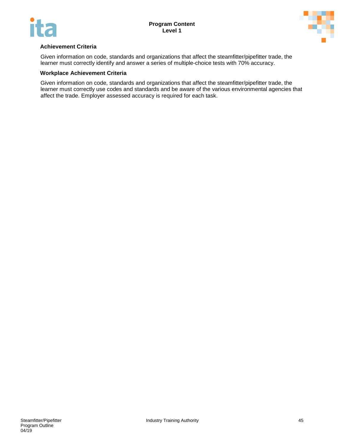



#### **Achievement Criteria**

Given information on code, standards and organizations that affect the steamfitter/pipefitter trade, the learner must correctly identify and answer a series of multiple-choice tests with 70% accuracy.

#### **Workplace Achievement Criteria**

Given information on code, standards and organizations that affect the steamfitter/pipefitter trade, the learner must correctly use codes and standards and be aware of the various environmental agencies that affect the trade. Employer assessed accuracy is required for each task.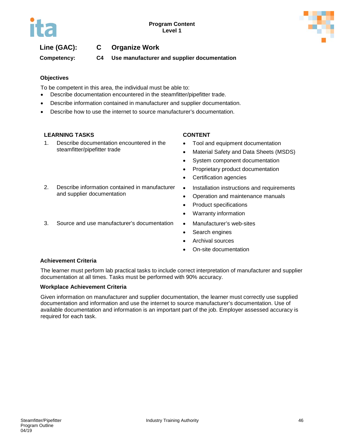

# **Line (GAC): C Organize Work**

**Competency: C4 Use manufacturer and supplier documentation**

### **Objectives**

To be competent in this area, the individual must be able to:

- Describe documentation encountered in the steamfitter/pipefitter trade.
- Describe information contained in manufacturer and supplier documentation.
- Describe how to use the internet to source manufacturer's documentation.

### **LEARNING TASKS CONTENT**

1. Describe documentation encountered in the steamfitter/pipefitter trade

2. Describe information contained in manufacturer

and supplier documentation

- Tool and equipment documentation
- Material Safety and Data Sheets (MSDS)
- System component documentation
- Proprietary product documentation
- Certification agencies
- Installation instructions and requirements
- Operation and maintenance manuals
- Product specifications
- Warranty information
- 3. Source and use manufacturer's documentation Manufacturer's web-sites
	- Search engines
	- Archival sources
	- On-site documentation

#### **Achievement Criteria**

The learner must perform lab practical tasks to include correct interpretation of manufacturer and supplier documentation at all times. Tasks must be performed with 90% accuracy.

#### **Workplace Achievement Criteria**

Given information on manufacturer and supplier documentation, the learner must correctly use supplied documentation and information and use the internet to source manufacturer's documentation. Use of available documentation and information is an important part of the job. Employer assessed accuracy is required for each task.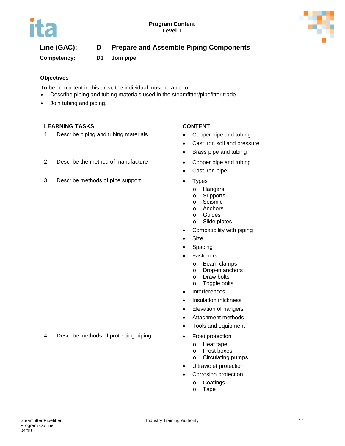



**Competency: D1 Join pipe**

### **Objectives**

To be competent in this area, the individual must be able to:

- Describe piping and tubing materials used in the steamfitter/pipefitter trade.
- Join tubing and piping.

### **LEARNING TASKS CONTENT**

1. Describe piping and tubing materials • Copper pipe and tubing

- 
- Cast iron soil and pressure
- Brass pipe and tubing
- 2. Describe the method of manufacture Copper pipe and tubing
	- Cast iron pipe
- 3. Describe methods of pipe support Types
	- o Hangers
	- o Supports
	- o Seismic<br>o Anchors
	- **Anchors**
	- o Guides
	- o Slide plates
	- Compatibility with piping
	- Size
	- Spacing
	- **Fasteners** 
		-
		- o Beam clamps<br>o Drop-in ancho Drop-in anchors
		- o Draw bolts
		- o Toggle bolts
	- Interferences
	- Insulation thickness
	- Elevation of hangers
	- Attachment methods
	- Tools and equipment
	- - o Heat tape<br>o Frost boxe
		- Frost boxes
		- o Circulating pumps
	- Ultraviolet protection
	- Corrosion protection
		- o Coatings
		- o Tape

- 4. Describe methods of protecting piping Frost protection
- 
-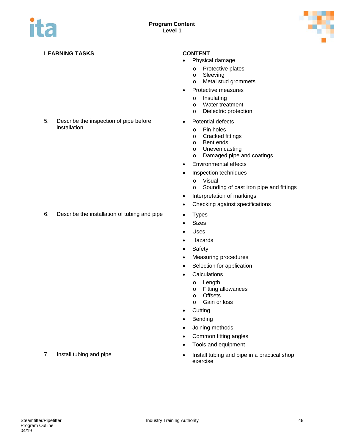

#### 5. Describe the inspection of pipe before installation

6. Describe the installation of tubing and pipe • Types

- Physical damage
	- o Protective plates<br>
	o Sleeving
	- Sleeving
	- o Metal stud grommets
- Protective measures
	- o Insulating<br>o Water trea
	- o Water treatment<br>
	o Dielectric protect
	- Dielectric protection
- Potential defects
	- o Pin holes
	- o Cracked fittings<br>o Bent ends
	- o Bent ends<br>o Uneven ca
	- Uneven casting
	- o Damaged pipe and coatings
- Environmental effects
- Inspection techniques
	- o Visual
	- o Sounding of cast iron pipe and fittings
- Interpretation of markings
- Checking against specifications
- 
- Sizes
- Uses
- Hazards
- Safety
- Measuring procedures
- Selection for application
- Calculations
	- o Length<br>o Fitting
	- o Fitting allowances<br>o Offsets
	- o Offsets<br>o Gain or
	- Gain or loss
- Cutting
- Bending
- Joining methods
- Common fitting angles
- Tools and equipment
- 7. Install tubing and pipe **•** Install tubing and pipe in a practical shop exercise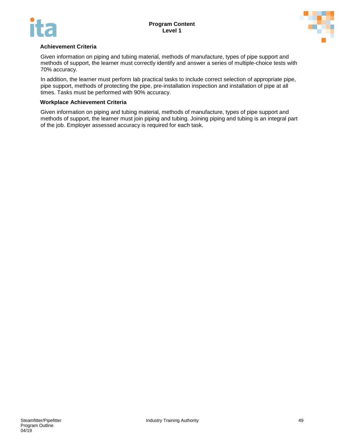



#### **Achievement Criteria**

Given information on piping and tubing material, methods of manufacture, types of pipe support and methods of support, the learner must correctly identify and answer a series of multiple-choice tests with 70% accuracy.

In addition, the learner must perform lab practical tasks to include correct selection of appropriate pipe, pipe support, methods of protecting the pipe, pre-installation inspection and installation of pipe at all times. Tasks must be performed with 90% accuracy.

#### **Workplace Achievement Criteria**

Given information on piping and tubing material, methods of manufacture, types of pipe support and methods of support, the learner must join piping and tubing. Joining piping and tubing is an integral part of the job. Employer assessed accuracy is required for each task.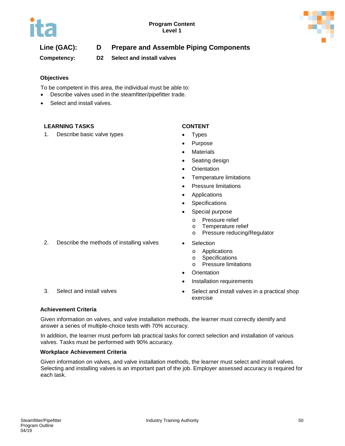

**Competency: D2 Select and install valves**

### **Objectives**

To be competent in this area, the individual must be able to:

- Describe valves used in the steamfitter/pipefitter trade.
- Select and install valves.

### **LEARNING TASKS CONTENT**

1. Describe basic valve types • Types

- 
- **Purpose**
- **Materials**
- Seating design
- Orientation
- Temperature limitations
- Pressure limitations
- Applications
- **Specifications**
- Special purpose
	-
	- o Pressure relief<br>o Temperature re Temperature relief
	- o Pressure reducing/Regulator
- 2. Describe the methods of installing valves Selection
	- o Applications<br>
	o Specification
	- o Specifications<br>o Pressure limita
	- **Pressure limitations**
	- **Orientation**
	- Installation requirements
- 3. Select and install valves **•** Select and install valves in a practical shop exercise
- 

#### **Achievement Criteria**

Given information on valves, and valve installation methods, the learner must correctly identify and answer a series of multiple-choice tests with 70% accuracy.

In addition, the learner must perform lab practical tasks for correct selection and installation of various valves. Tasks must be performed with 90% accuracy.

#### **Workplace Achievement Criteria**

Given information on valves, and valve installation methods, the learner must select and install valves. Selecting and installing valves is an important part of the job. Employer assessed accuracy is required for each task.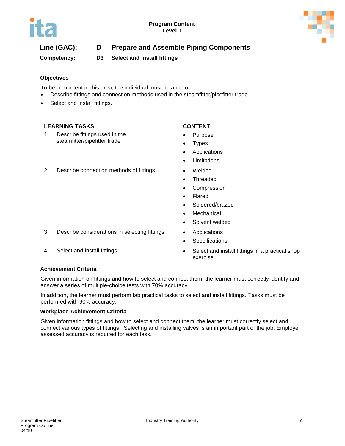

**Competency: D3 Select and install fittings**

### **Objectives**

To be competent in this area, the individual must be able to:

- Describe fittings and connection methods used in the steamfitter/pipefitter trade.
- Select and install fittings.

#### **LEARNING TASKS CONTENT**

1. Describe fittings used in the steamfitter/pipefitter trade

- Purpose
- **Types**
- **Applications**
- **Limitations**
- 2. Describe connection methods of fittings Welded
	- Threaded
	- Compression
	- **Flared**
	- Soldered/brazed
	- **Mechanical**
	- Solvent welded
- 3. Describe considerations in selecting fittings Applications
	- Specifications
- 4. Select and install fittings **•** Select and install fittings in a practical shop exercise

### **Achievement Criteria**

Given information on fittings and how to select and connect them, the learner must correctly identify and answer a series of multiple-choice tests with 70% accuracy.

In addition, the learner must perform lab practical tasks to select and install fittings. Tasks must be performed with 90% accuracy.

#### **Workplace Achievement Criteria**

Given information fittings and how to select and connect them, the learner must correctly select and connect various types of fittings. Selecting and installing valves is an important part of the job. Employer assessed accuracy is required for each task.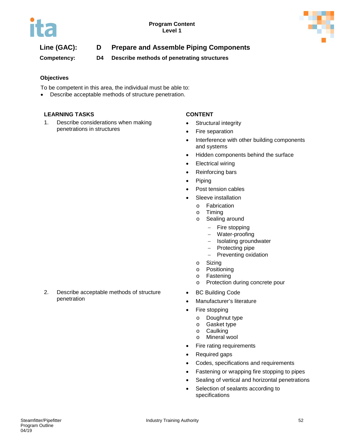

**Competency: D4 Describe methods of penetrating structures**

### **Objectives**

To be competent in this area, the individual must be able to:

Describe acceptable methods of structure penetration.

### **LEARNING TASKS CONTENT**

1. Describe considerations when making penetrations in structures

- Structural integrity
- Fire separation
- Interference with other building components and systems
- Hidden components behind the surface
- Electrical wiring
- Reinforcing bars
- Piping
- Post tension cables
- Sleeve installation
	- o Fabrication<br>o Timing
	- Timing
	- o Sealing around
		- − Fire stopping
		- − Water-proofing
		- − Isolating groundwater
		- − Protecting pipe
		- − Preventing oxidation
	- o Sizing
	- o Positioning
	- o Fastening<br>o Protection
	- Protection during concrete pour
- BC Building Code
- Manufacturer's literature
- Fire stopping
	- o Doughnut type<br>o Gasket type
	- Gasket type
	- o Caulking<br>o Mineral v
	- **Mineral wool**
- Fire rating requirements
- Required gaps
- Codes, specifications and requirements
- Fastening or wrapping fire stopping to pipes
- Sealing of vertical and horizontal penetrations
- Selection of sealants according to specifications

2. Describe acceptable methods of structure penetration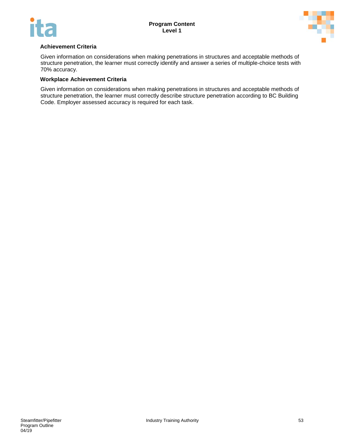



#### **Achievement Criteria**

Given information on considerations when making penetrations in structures and acceptable methods of structure penetration, the learner must correctly identify and answer a series of multiple-choice tests with 70% accuracy.

#### **Workplace Achievement Criteria**

Given information on considerations when making penetrations in structures and acceptable methods of structure penetration, the learner must correctly describe structure penetration according to BC Building Code. Employer assessed accuracy is required for each task.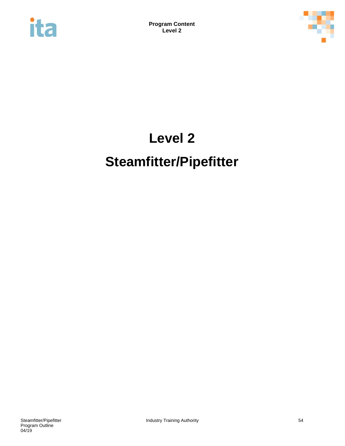



# **Level 2 Steamfitter/Pipefitter**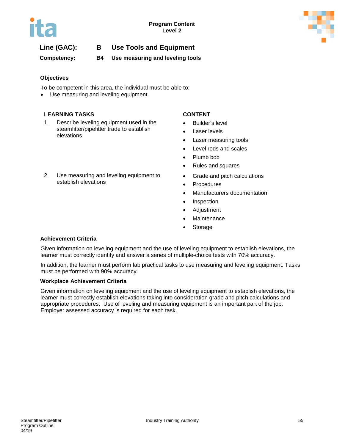

# **Line (GAC): B Use Tools and Equipment**

**Competency: B4 Use measuring and leveling tools**

### **Objectives**

To be competent in this area, the individual must be able to:

Use measuring and leveling equipment.

#### **LEARNING TASKS CONTENT**

- 1. Describe leveling equipment used in the steamfitter/pipefitter trade to establish elevations
- 2. Use measuring and leveling equipment to establish elevations

- Builder's level
- Laser levels
- Laser measuring tools
- Level rods and scales
- Plumb bob
- Rules and squares
- Grade and pitch calculations
- **Procedures**
- Manufacturers documentation
- Inspection
- Adjustment
- **Maintenance**
- **Storage**

#### **Achievement Criteria**

Given information on leveling equipment and the use of leveling equipment to establish elevations, the learner must correctly identify and answer a series of multiple-choice tests with 70% accuracy.

In addition, the learner must perform lab practical tasks to use measuring and leveling equipment. Tasks must be performed with 90% accuracy.

#### **Workplace Achievement Criteria**

Given information on leveling equipment and the use of leveling equipment to establish elevations, the learner must correctly establish elevations taking into consideration grade and pitch calculations and appropriate procedures. Use of leveling and measuring equipment is an important part of the job. Employer assessed accuracy is required for each task.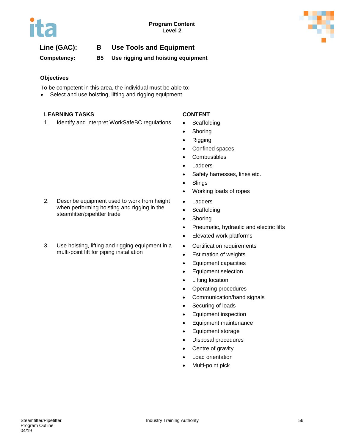

# **Line (GAC): B Use Tools and Equipment**

**Competency: B5 Use rigging and hoisting equipment**

### **Objectives**

To be competent in this area, the individual must be able to:

• Select and use hoisting, lifting and rigging equipment.

#### **LEARNING TASKS CONTENT**

1. Identify and interpret WorkSafeBC regulations • Scaffolding

2. Describe equipment used to work from height when performing hoisting and rigging in the

3. Use hoisting, lifting and rigging equipment in a multi-point lift for piping installation

steamfitter/pipefitter trade

- 
- Shoring
- Rigging
- Confined spaces
- Combustibles
- Ladders
- Safety harnesses, lines etc.
- Slings
- Working loads of ropes
- Ladders
- Scaffolding
- Shoring
- Pneumatic, hydraulic and electric lifts
- Elevated work platforms
- Certification requirements
- Estimation of weights
- Equipment capacities
- Equipment selection
- Lifting location
- Operating procedures
- Communication/hand signals
- Securing of loads
- Equipment inspection
- Equipment maintenance
- Equipment storage
- Disposal procedures
- Centre of gravity
- Load orientation
- Multi-point pick

04/19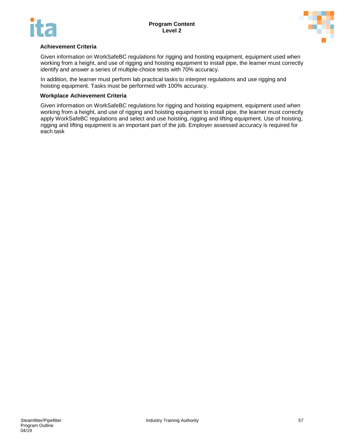



#### **Achievement Criteria**

Given information on WorkSafeBC regulations for rigging and hoisting equipment, equipment used when working from a height, and use of rigging and hoisting equipment to install pipe, the learner must correctly identify and answer a series of multiple-choice tests with 70% accuracy.

In addition, the learner must perform lab practical tasks to interpret regulations and use rigging and hoisting equipment. Tasks must be performed with 100% accuracy.

#### **Workplace Achievement Criteria**

Given information on WorkSafeBC regulations for rigging and hoisting equipment, equipment used when working from a height, and use of rigging and hoisting equipment to install pipe, the learner must correctly apply WorkSafeBC regulations and select and use hoisting, rigging and lifting equipment. Use of hoisting, rigging and lifting equipment is an important part of the job. Employer assessed accuracy is required for each task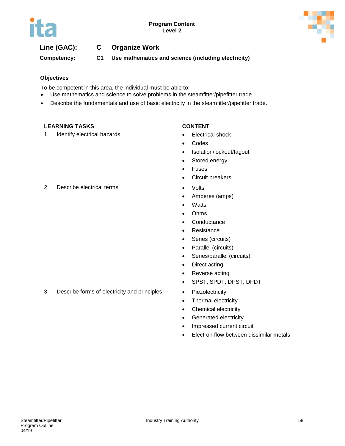



# **Line (GAC): C Organize Work**

**Competency: C1 Use mathematics and science (including electricity)**

#### **Objectives**

To be competent in this area, the individual must be able to:

- Use mathematics and science to solve problems in the steamfitter/pipefitter trade.
- Describe the fundamentals and use of basic electricity in the steamfitter/pipefitter trade.

#### **LEARNING TASKS CONTENT**

1. Identify electrical hazards **•** Electrical shock

- 
- Codes
- Isolation/lockout/tagout
- Stored energy
- Fuses
- Circuit breakers
- 
- Amperes (amps)
- Watts
- Ohms
- Conductance
- Resistance
- Series (circuits)
- Parallel (circuits)
- Series/parallel (circuits)
- Direct acting
- Reverse acting
- SPST, SPDT, DPST, DPDT
- 
- Thermal electricity
- Chemical electricity
- Generated electricity
- Impressed current circuit
- Electron flow between dissimilar metals

2. Describe electrical terms • Volts

3. Describe forms of electricity and principles • Piezolectricity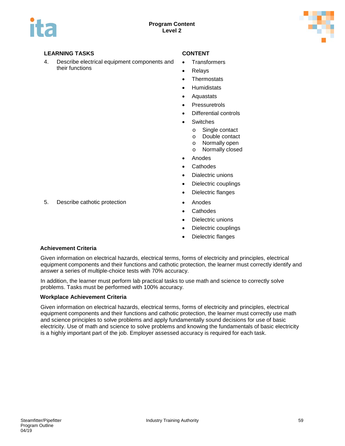

4. Describe electrical equipment components and their functions

- **Transformers**
- **Relays**
- Thermostats
- **Humidistats**
- Aquastats
- Pressuretrols
- Differential controls
- **Switches** 
	- o Single contact
	- o Double contact<br>o Normally open
	- Normally open
	- o Normally closed
- Anodes
- **Cathodes**
- Dialectric unions
- Dielectric couplings
- Dielectric flanges
- 5. Describe cathotic protection Anodes
	- Cathodes
	- Dielectric unions
	- Dielectric couplings
	- Dielectric flanges

# **Achievement Criteria**

Given information on electrical hazards, electrical terms, forms of electricity and principles, electrical equipment components and their functions and cathotic protection, the learner must correctly identify and answer a series of multiple-choice tests with 70% accuracy.

In addition, the learner must perform lab practical tasks to use math and science to correctly solve problems. Tasks must be performed with 100% accuracy.

#### **Workplace Achievement Criteria**

Given information on electrical hazards, electrical terms, forms of electricity and principles, electrical equipment components and their functions and cathotic protection, the learner must correctly use math and science principles to solve problems and apply fundamentally sound decisions for use of basic electricity. Use of math and science to solve problems and knowing the fundamentals of basic electricity is a highly important part of the job. Employer assessed accuracy is required for each task.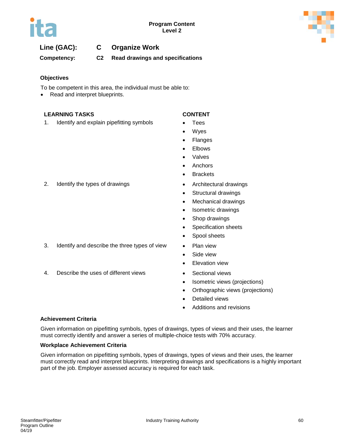

# **Line (GAC): C Organize Work**

**Competency: C2 Read drawings and specifications**

#### **Objectives**

To be competent in this area, the individual must be able to:

Read and interpret blueprints.

#### **LEARNING TASKS CONTENT**

1. Identify and explain pipefitting symbols • Tees

- 
- **Wyes**
- Flanges
- **Elbows**
- Valves
- Anchors
- Brackets
- 
- Structural drawings
- Mechanical drawings
- Isometric drawings
- Shop drawings
- Specification sheets
- Spool sheets
- 
- Side view
- Elevation view
- 
- Isometric views (projections)
- Orthographic views (projections)
- Detailed views
- Additions and revisions

#### **Achievement Criteria**

Given information on pipefitting symbols, types of drawings, types of views and their uses, the learner must correctly identify and answer a series of multiple-choice tests with 70% accuracy.

#### **Workplace Achievement Criteria**

Given information on pipefitting symbols, types of drawings, types of views and their uses, the learner must correctly read and interpret blueprints. Interpreting drawings and specifications is a highly important part of the job. Employer assessed accuracy is required for each task.

2. Identify the types of drawings **•** Architectural drawings

- 3. Identify and describe the three types of view Plan view
- 4. Describe the uses of different views Sectional views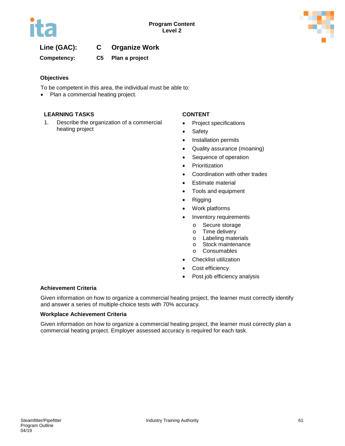

# **Line (GAC): C Organize Work**

**Competency: C5 Plan a project**

#### **Objectives**

To be competent in this area, the individual must be able to:

• Plan a commercial heating project.

#### **LEARNING TASKS CONTENT**

1. Describe the organization of a commercial heating project

- Project specifications
- Safety
- Installation permits
- Quality assurance (moaning)
- Sequence of operation
- Prioritization
- Coordination with other trades
- Estimate material
- Tools and equipment
- Rigging
- Work platforms
- Inventory requirements
	- o Secure storage<br>o Time delivery
	- Time delivery
	- o Labeling materials<br>
	o Stock maintenance
	- o Stock maintenance<br>
	o Consumables
	- **Consumables**
- Checklist utilization
- Cost efficiency
- Post job efficiency analysis

#### **Achievement Criteria**

Given information on how to organize a commercial heating project, the learner must correctly identify and answer a series of multiple-choice tests with 70% accuracy.

#### **Workplace Achievement Criteria**

Given information on how to organize a commercial heating project, the learner must correctly plan a commercial heating project. Employer assessed accuracy is required for each task.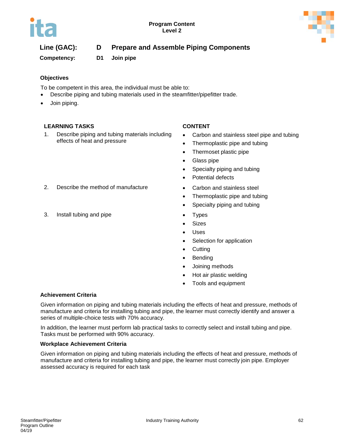

**Competency: D1 Join pipe**

### **Objectives**

To be competent in this area, the individual must be able to:

- Describe piping and tubing materials used in the steamfitter/pipefitter trade.
- Join piping.

### **LEARNING TASKS CONTENT**

1. Describe piping and tubing materials including effects of heat and pressure

- Carbon and stainless steel pipe and tubing
- Thermoplastic pipe and tubing
- Thermoset plastic pipe
- Glass pipe
- Specialty piping and tubing
- Potential defects
- 
- Thermoplastic pipe and tubing
- Specialty piping and tubing
- 
- Sizes
- Uses
- Selection for application
- Cutting
- Bending
- Joining methods
- Hot air plastic welding
- Tools and equipment

### **Achievement Criteria**

Given information on piping and tubing materials including the effects of heat and pressure, methods of manufacture and criteria for installing tubing and pipe, the learner must correctly identify and answer a series of multiple-choice tests with 70% accuracy.

In addition, the learner must perform lab practical tasks to correctly select and install tubing and pipe. Tasks must be performed with 90% accuracy.

#### **Workplace Achievement Criteria**

Given information on piping and tubing materials including the effects of heat and pressure, methods of manufacture and criteria for installing tubing and pipe, the learner must correctly join pipe. Employer assessed accuracy is required for each task

- 2. Describe the method of manufacture Carbon and stainless steel
- 3. Install tubing and pipe **•** Types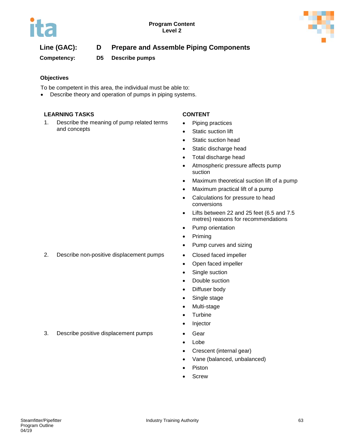

**Competency: D5 Describe pumps**

### **Objectives**

To be competent in this area, the individual must be able to:

• Describe theory and operation of pumps in piping systems.

### **LEARNING TASKS CONTENT**

1. Describe the meaning of pump related terms and concepts

- Piping practices
- Static suction lift
- Static suction head
- Static discharge head
- Total discharge head
- Atmospheric pressure affects pump suction
- Maximum theoretical suction lift of a pump
- Maximum practical lift of a pump
- Calculations for pressure to head conversions
- Lifts between 22 and 25 feet (6.5 and 7.5 metres) reasons for recommendations
- Pump orientation
- Priming
- Pump curves and sizing
- 2. Describe non-positive displacement pumps Closed faced impeller
	- Open faced impeller
	- Single suction
	- Double suction
	- Diffuser body
	- Single stage
	- Multi-stage
	- Turbine
	- Injector
	-
	- Lobe
	- Crescent (internal gear)
	- Vane (balanced, unbalanced)
	- **Piston**
	- **Screw**

3. Describe positive displacement pumps • Gear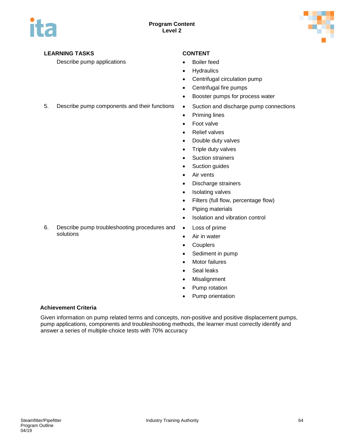

Describe pump applications **•** Boiler feed

- 
- Hydraulics
- Centrifugal circulation pump
- Centrifugal fire pumps
- Booster pumps for process water
- 5. Describe pump components and their functions Suction and discharge pump connections
	- Priming lines
	- Foot valve
	- Relief valves
	- Double duty valves
	- Triple duty valves
	- Suction strainers
	- Suction guides
	- Air vents
	- Discharge strainers
	- Isolating valves
	- Filters (full flow, percentage flow)
	- Piping materials
	- Isolation and vibration control
	- Loss of prime
	- Air in water
	- Couplers
	- Sediment in pump
	- Motor failures
	- Seal leaks
	- Misalignment
	- Pump rotation
	- Pump orientation

#### **Achievement Criteria**

Given information on pump related terms and concepts, non-positive and positive displacement pumps, pump applications, components and troubleshooting methods, the learner must correctly identify and answer a series of multiple-choice tests with 70% accuracy

6. Describe pump troubleshooting procedures and solutions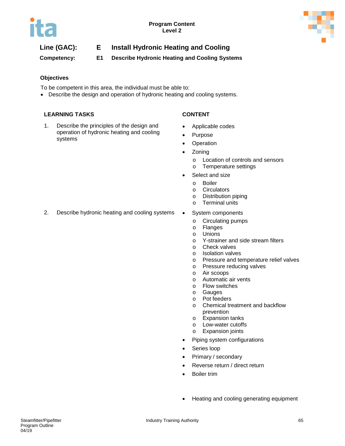

**Competency: E1 Describe Hydronic Heating and Cooling Systems** 

### **Objectives**

To be competent in this area, the individual must be able to:

• Describe the design and operation of hydronic heating and cooling systems.

#### **LEARNING TASKS CONTENT**

1. Describe the principles of the design and operation of hydronic heating and cooling systems

- Applicable codes
- Purpose
- Operation
- Zoning
	- o Location of controls and sensors
	- o Temperature settings
- Select and size
	- o Boiler
	- o Circulators<br>
	o Distribution
	- $\circ$  Distribution piping<br> $\circ$  Terminal units
	- **Terminal units**
- 2. Describe hydronic heating and cooling systems System components
	- - o Circulating pumps<br>o Flanges
		- **Flanges**
		- o Unions<br>o Y-strair
		- $\circ$  Y-strainer and side stream filters<br>  $\circ$  Check valves
		- Check valves
		- o Isolation valves
		- o Pressure and temperature relief valves<br> **O** Pressure reducing valves
		- Pressure reducing valves
		- o Air scoops<br>o Automatic
		- o Automatic air vents<br>
		o Flow switches
		- Flow switches
		- o Gauges<br>
		o Pot feed
		- o Pot feeders
		- Chemical treatment and backflow prevention
		- o Expansion tanks
		- o Low-water cutoffs
		- o Expansion joints
	- Piping system configurations
	- Series loop
	- Primary / secondary
	- Reverse return / direct return
	- Boiler trim
	- Heating and cooling generating equipment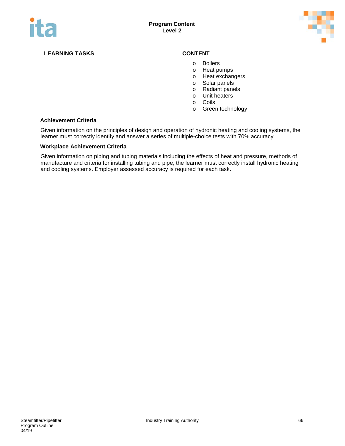

- o Boilers
- o Heat pumps
- o Heat exchangers<br>
o Solar panels
- o Solar panels<br>
o Radiant pane
- o Radiant panels<br>o Unit heaters
- o Unit heaters<br>o Coils
- Coils
- o Green technology

#### **Achievement Criteria**

Given information on the principles of design and operation of hydronic heating and cooling systems, the learner must correctly identify and answer a series of multiple-choice tests with 70% accuracy.

#### **Workplace Achievement Criteria**

Given information on piping and tubing materials including the effects of heat and pressure, methods of manufacture and criteria for installing tubing and pipe, the learner must correctly install hydronic heating and cooling systems. Employer assessed accuracy is required for each task.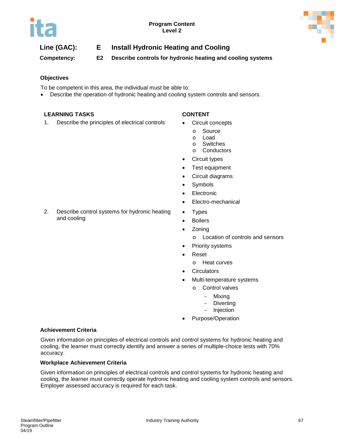

**Competency: E2 Describe controls for hydronic heating and cooling systems**

### **Objectives**

To be competent in this area, the individual must be able to:

• Describe the operation of hydronic heating and cooling system controls and sensors.

#### **LEARNING TASKS CONTENT**

and cooling

1. Describe the principles of electrical controls • Circuit concepts

2. Describe control systems for hydronic heating

- - o Source
	- o Load
	- o Switches
	- o Conductors
- Circuit types
- Test equipment
- Circuit diagrams
- Symbols
- Electronic
- Electro-mechanical
- Types
- Boilers
- Zoning
	- o Location of controls and sensors
- Priority systems
- Reset
	- o Heat curves
- **Circulators**
- Multi-temperature systems
	- o Control valves
		- − Mixing
		- Diverting
		- − Injection
- Purpose/Operation

#### **Achievement Criteria**

Given information on principles of electrical controls and control systems for hydronic heating and cooling, the learner must correctly identify and answer a series of multiple-choice tests with 70% accuracy.

#### **Workplace Achievement Criteria**

Given information on principles of electrical controls and control systems for hydronic heating and cooling, the learner must correctly operate hydronic heating and cooling system controls and sensors. Employer assessed accuracy is required for each task.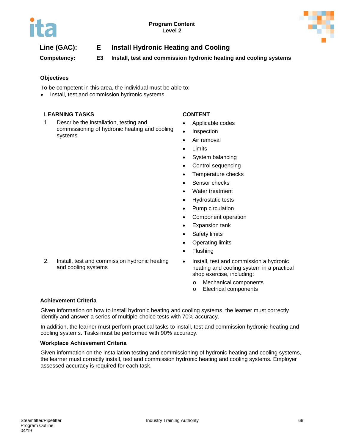

**Competency: E3 Install, test and commission hydronic heating and cooling systems**

### **Objectives**

To be competent in this area, the individual must be able to:

• Install, test and commission hydronic systems.

### **LEARNING TASKS CONTENT**

1. Describe the installation, testing and commissioning of hydronic heating and cooling systems

- Applicable codes
- **Inspection**
- Air removal
- **Limits**
- System balancing
- Control sequencing
- Temperature checks
- Sensor checks
- Water treatment
- Hydrostatic tests
- Pump circulation
- Component operation
- Expansion tank
- Safety limits
- Operating limits
- Flushing
- 2. Install, test and commission hydronic heating and cooling systems
- Install, test and commission a hydronic heating and cooling system in a practical shop exercise, including:
	- o Mechanical components
	- o Electrical components

#### **Achievement Criteria**

Given information on how to install hydronic heating and cooling systems, the learner must correctly identify and answer a series of multiple-choice tests with 70% accuracy.

In addition, the learner must perform practical tasks to install, test and commission hydronic heating and cooling systems. Tasks must be performed with 90% accuracy.

#### **Workplace Achievement Criteria**

Given information on the installation testing and commissioning of hydronic heating and cooling systems, the learner must correctly install, test and commission hydronic heating and cooling systems. Employer assessed accuracy is required for each task.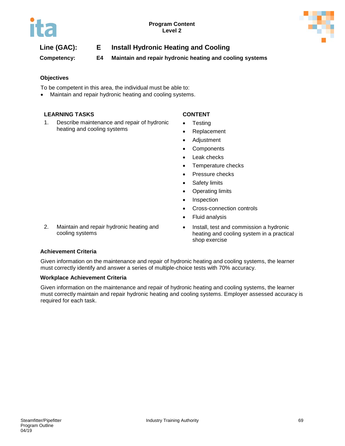

**Competency: E4 Maintain and repair hydronic heating and cooling systems**

### **Objectives**

To be competent in this area, the individual must be able to:

Maintain and repair hydronic heating and cooling systems.

#### **LEARNING TASKS CONTENT**

1. Describe maintenance and repair of hydronic heating and cooling systems

2. Maintain and repair hydronic heating and

- **Testing**
- **Replacement**
- Adjustment
- **Components**
- Leak checks
- Temperature checks
- Pressure checks
- Safety limits
- Operating limits
- Inspection
- Cross-connection controls
- Fluid analysis
- Install, test and commission a hydronic heating and cooling system in a practical shop exercise

# **Achievement Criteria**

cooling systems

Given information on the maintenance and repair of hydronic heating and cooling systems, the learner must correctly identify and answer a series of multiple-choice tests with 70% accuracy.

#### **Workplace Achievement Criteria**

Given information on the maintenance and repair of hydronic heating and cooling systems, the learner must correctly maintain and repair hydronic heating and cooling systems. Employer assessed accuracy is required for each task.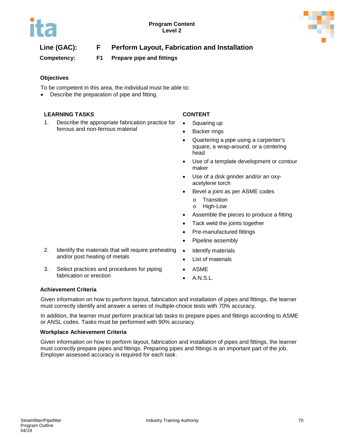

# **Line (GAC): F Perform Layout, Fabrication and Installation**

**Competency: F1 Prepare pipe and fittings**

### **Objectives**

To be competent in this area, the individual must be able to:

Describe the preparation of pipe and fitting.

#### **LEARNING TASKS CONTENT**

1. Describe the appropriate fabrication practice for ferrous and non-ferrous material

2. Identify the materials that will require preheating

3. Select practices and procedures for piping

and/or post heating of metals

- Squaring up
- Backer rings
- Quartering a pipe using a carpenter's square, a wrap-around, or a centering head
- Use of a template development or contour maker
- Use of a disk grinder and/or an oxyacetylene torch
- Bevel a joint as per ASME codes
	- o Transition
	- o High-Low
- Assemble the pieces to produce a fitting
- Tack weld the joints together
- Pre-manufactured fittings
- Pipeline assembly
- Identify materials
- List of materials
- ASME
	- A.N.S.L.

### **Achievement Criteria**

Given information on how to perform layout, fabrication and installation of pipes and fittings, the learner must correctly identify and answer a series of multiple-choice tests with 70% accuracy.

In addition, the learner must perform practical lab tasks to prepare pipes and fittings according to ASME or ANSL codes. Tasks must be performed with 90% accuracy.

#### **Workplace Achievement Criteria**

fabrication or erection

Given information on how to perform layout, fabrication and installation of pipes and fittings, the learner must correctly prepare pipes and fittings. Preparing pipes and fittings is an important part of the job. Employer assessed accuracy is required for each task.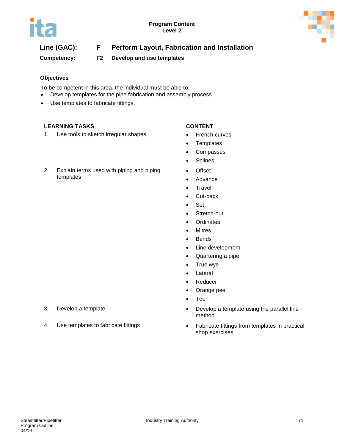

# **Line (GAC): F Perform Layout, Fabrication and Installation**

**Competency: F2 Develop and use templates**

### **Objectives**

To be competent in this area, the individual must be able to:

- Develop templates for the pipe fabrication and assembly process.
- Use templates to fabricate fittings.

### **LEARNING TASKS CONTENT**

templates

1. Use tools to sketch irregular shapes • French curves

2. Explain terms used with piping and piping

- 
- Templates
- Compasses
- Splines
- Offset
- Advance
- Travel
- Cut-back
- Set
- Stretch-out
- Ordinates
- Mitres
- Bends
- Line development
- Quartering a pipe
- True wye
- **Lateral**
- Reducer
- Orange peel
- Tee
- 3. Develop a template  **CERCO •** Develop a template using the parallel line method
- 4. Use templates to fabricate fittings **•** Fabricate fittings from templates in practical shop exercises
- 
-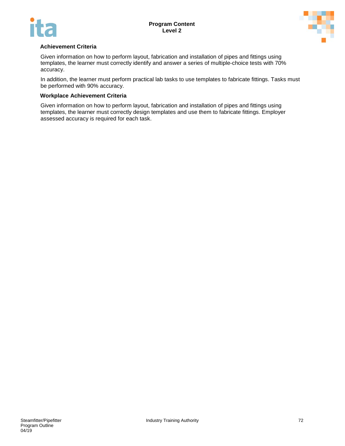



#### **Achievement Criteria**

Given information on how to perform layout, fabrication and installation of pipes and fittings using templates, the learner must correctly identify and answer a series of multiple-choice tests with 70% accuracy.

In addition, the learner must perform practical lab tasks to use templates to fabricate fittings. Tasks must be performed with 90% accuracy.

#### **Workplace Achievement Criteria**

Given information on how to perform layout, fabrication and installation of pipes and fittings using templates, the learner must correctly design templates and use them to fabricate fittings. Employer assessed accuracy is required for each task.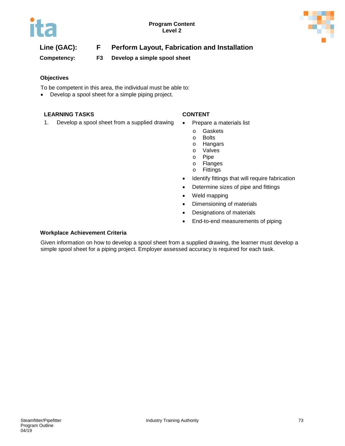

# **Line (GAC): F Perform Layout, Fabrication and Installation**

**Competency: F3 Develop a simple spool sheet**

#### **Objectives**

To be competent in this area, the individual must be able to:

• Develop a spool sheet for a simple piping project.

### **LEARNING TASKS CONTENT**

1. Develop a spool sheet from a supplied drawing . Prepare a materials list

- - o Gaskets
	- o Bolts
	- o Hangars
	- o Valves<br>o Pipe
	- o Pipe<br>o Flano
	- o Flanges<br>o Fittings
	- **Fittings**
- Identify fittings that will require fabrication
- Determine sizes of pipe and fittings
- Weld mapping
- Dimensioning of materials
- Designations of materials
- End-to-end measurements of piping

#### **Workplace Achievement Criteria**

Given information on how to develop a spool sheet from a supplied drawing, the learner must develop a simple spool sheet for a piping project. Employer assessed accuracy is required for each task.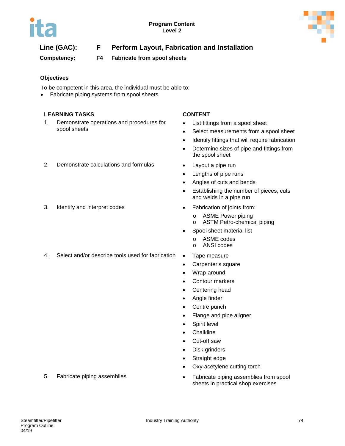

# **Line (GAC): F Perform Layout, Fabrication and Installation**

**Competency: F4 Fabricate from spool sheets**

### **Objectives**

To be competent in this area, the individual must be able to:

• Fabricate piping systems from spool sheets.

#### **LEARNING TASKS CONTENT**

- 1. Demonstrate operations and procedures for spool sheets
- 2. Demonstrate calculations and formulas Layout a pipe run
- 3. Identify and interpret codes Fabrication of joints from:

- List fittings from a spool sheet
- Select measurements from a spool sheet
- Identify fittings that will require fabrication
- Determine sizes of pipe and fittings from the spool sheet
- 
- Lengths of pipe runs
- Angles of cuts and bends
- Establishing the number of pieces, cuts and welds in a pipe run
- - o ASME Power piping
	- o ASTM Petro-chemical piping
	- Spool sheet material list
		- o ASME codes
		- o ANSI codes
- 4. Select and/or describe tools used for fabrication Tape measure
	- Carpenter's square
	- Wrap-around
	- Contour markers
	- Centering head
	- Angle finder
	- Centre punch
	- Flange and pipe aligner
	- Spirit level
	- Chalkline
	- Cut-off saw
	- Disk grinders
	- Straight edge
	- Oxy-acetylene cutting torch
- 5. Fabricate piping assemblies Fabricate piping assemblies from spool sheets in practical shop exercises
-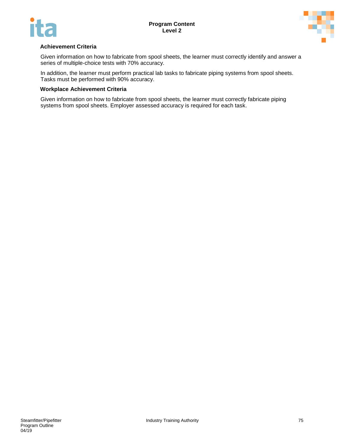



#### **Achievement Criteria**

Given information on how to fabricate from spool sheets, the learner must correctly identify and answer a series of multiple-choice tests with 70% accuracy.

In addition, the learner must perform practical lab tasks to fabricate piping systems from spool sheets. Tasks must be performed with 90% accuracy.

#### **Workplace Achievement Criteria**

Given information on how to fabricate from spool sheets, the learner must correctly fabricate piping systems from spool sheets. Employer assessed accuracy is required for each task.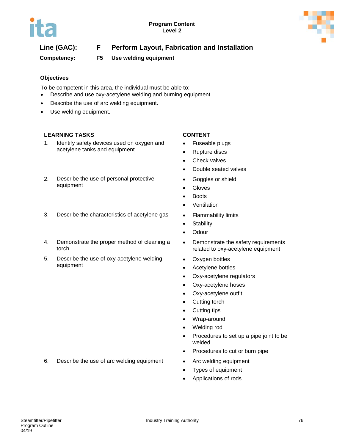

# **Line (GAC): F Perform Layout, Fabrication and Installation**

**Competency: F5 Use welding equipment**

### **Objectives**

To be competent in this area, the individual must be able to:

- Describe and use oxy-acetylene welding and burning equipment.
- Describe the use of arc welding equipment.
- Use welding equipment.

### **LEARNING TASKS CONTENT**

1. Identify safety devices used on oxygen and acetylene tanks and equipment

#### 2. Describe the use of personal protective equipment

- 3. Describe the characteristics of acetylene gas Flammability limits
- 4. Demonstrate the proper method of cleaning a torch
- 5. Describe the use of oxy-acetylene welding equipment

- Fuseable plugs
- Rupture discs
- Check valves
- Double seated valves
- Goggles or shield
- Gloves
- Boots
- Ventilation
- 
- Stability
- Odour
- Demonstrate the safety requirements related to oxy-acetylene equipment
- Oxygen bottles
- Acetylene bottles
- Oxy-acetylene regulators
- Oxy-acetylene hoses
- Oxy-acetylene outfit
- Cutting torch
- Cutting tips
- Wrap-around
- Welding rod
- Procedures to set up a pipe joint to be welded
- Procedures to cut or burn pipe
- 6. Describe the use of arc welding equipment Arc welding equipment
	- Types of equipment
	- Applications of rods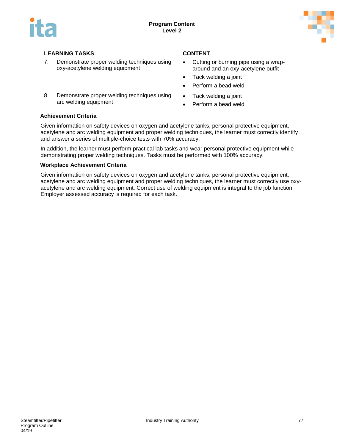



- 7. Demonstrate proper welding techniques using oxy-acetylene welding equipment
- 8. Demonstrate proper welding techniques using arc welding equipment

- Cutting or burning pipe using a wraparound and an oxy-acetylene outfit
- Tack welding a joint
- Perform a bead weld
- Tack welding a joint
- Perform a bead weld

#### **Achievement Criteria**

Given information on safety devices on oxygen and acetylene tanks, personal protective equipment, acetylene and arc welding equipment and proper welding techniques, the learner must correctly identify and answer a series of multiple-choice tests with 70% accuracy.

In addition, the learner must perform practical lab tasks and wear personal protective equipment while demonstrating proper welding techniques. Tasks must be performed with 100% accuracy.

#### **Workplace Achievement Criteria**

Given information on safety devices on oxygen and acetylene tanks, personal protective equipment, acetylene and arc welding equipment and proper welding techniques, the learner must correctly use oxyacetylene and arc welding equipment. Correct use of welding equipment is integral to the job function. Employer assessed accuracy is required for each task.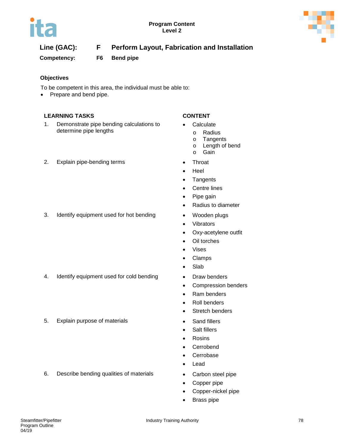

# **Line (GAC): F Perform Layout, Fabrication and Installation**

**Competency: F6 Bend pipe**

### **Objectives**

To be competent in this area, the individual must be able to:

• Prepare and bend pipe.

### **LEARNING TASKS CONTENT**

- 1. Demonstrate pipe bending calculations to determine pipe lengths
- 2. Explain pipe-bending terms Throat

- Calculate
	- o Radius<br>o Tangen
	-
	- o Tangents<br>o Length of o Length of bend<br>o Gain
	- Gain
- 
- Heel
- Tangents
- Centre lines
- Pipe gain
- Radius to diameter
- 
- Vibrators
- Oxy-acetylene outfit
- Oil torches
- Vises
- Clamps
- Slab
- 
- Compression benders
- Ram benders
- Roll benders
- Stretch benders
- 
- Salt fillers
- Rosins
- Cerrobend
- Cerrobase
- Lead
- 
- Copper pipe
- Copper-nickel pipe
- Brass pipe

# 3. Identify equipment used for hot bending • Wooden plugs

- 4. Identify equipment used for cold bending Draw benders
- 5. Explain purpose of materials **•** Sand fillers

6. Describe bending qualities of materials • Carbon steel pipe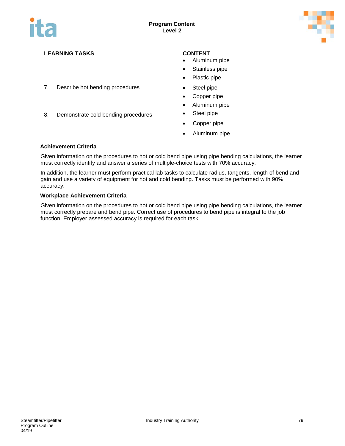

- 7. Describe hot bending procedures Steel pipe
- 8. Demonstrate cold bending procedures Steel pipe

- Aluminum pipe
- Stainless pipe
- Plastic pipe
- 
- Copper pipe
- Aluminum pipe
- 
- Copper pipe
- Aluminum pipe

#### **Achievement Criteria**

Given information on the procedures to hot or cold bend pipe using pipe bending calculations, the learner must correctly identify and answer a series of multiple-choice tests with 70% accuracy.

In addition, the learner must perform practical lab tasks to calculate radius, tangents, length of bend and gain and use a variety of equipment for hot and cold bending. Tasks must be performed with 90% accuracy.

#### **Workplace Achievement Criteria**

Given information on the procedures to hot or cold bend pipe using pipe bending calculations, the learner must correctly prepare and bend pipe. Correct use of procedures to bend pipe is integral to the job function. Employer assessed accuracy is required for each task.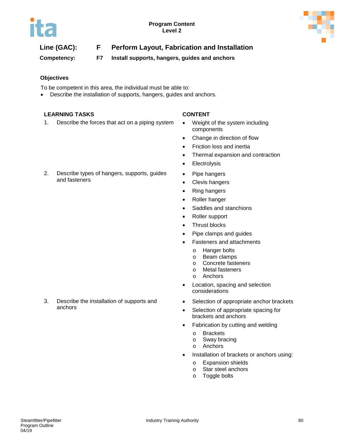

# **Line (GAC): F Perform Layout, Fabrication and Installation**

**Competency: F7 Install supports, hangers, guides and anchors**

### **Objectives**

To be competent in this area, the individual must be able to:

• Describe the installation of supports, hangers, guides and anchors.

#### **LEARNING TASKS CONTENT**

1. Describe the forces that act on a piping system • Weight of the system including

- components
- Change in direction of flow
- Friction loss and inertia
- Thermal expansion and contraction
- Electrolysis
- Pipe hangers
- Clevis hangers
- Ring hangers
- Roller hanger
- Saddles and stanchions
- Roller support
- Thrust blocks
- Pipe clamps and guides
- Fasteners and attachments
	- o Hanger bolts
	- o Beam clamps<br>o Concrete faste
	- o Concrete fasteners<br>
	o Metal fasteners
	- **Metal fasteners**
	- o Anchors
- Location, spacing and selection considerations
- Selection of appropriate anchor brackets
- Selection of appropriate spacing for brackets and anchors
- Fabrication by cutting and welding
	- o Brackets
	- o Sway bracing
	- o Anchors
- Installation of brackets or anchors using:
	- o Expansion shields
	- $\circ$  Star steel anchors<br> $\circ$  Toggle bolts
	- Toggle bolts

2. Describe types of hangers, supports, guides and fasteners

3. Describe the installation of supports and anchors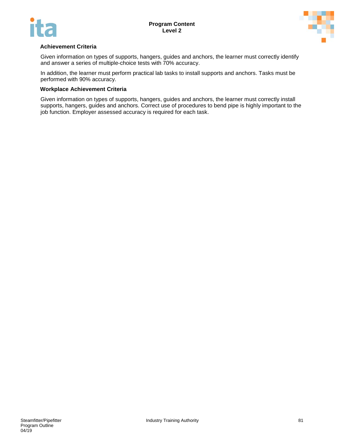



#### **Achievement Criteria**

Given information on types of supports, hangers, guides and anchors, the learner must correctly identify and answer a series of multiple-choice tests with 70% accuracy.

In addition, the learner must perform practical lab tasks to install supports and anchors. Tasks must be performed with 90% accuracy.

#### **Workplace Achievement Criteria**

Given information on types of supports, hangers, guides and anchors, the learner must correctly install supports, hangers, guides and anchors. Correct use of procedures to bend pipe is highly important to the job function. Employer assessed accuracy is required for each task.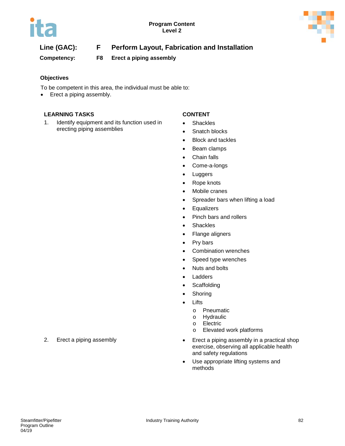

# **Line (GAC): F Perform Layout, Fabrication and Installation**

**Competency: F8 Erect a piping assembly**

### **Objectives**

To be competent in this area, the individual must be able to:

• Erect a piping assembly.

### **LEARNING TASKS CONTENT**

1. Identify equipment and its function used in erecting piping assemblies

- Shackles
- Snatch blocks
- Block and tackles
- Beam clamps
- Chain falls
- Come-a-longs
- Luggers
- Rope knots
- Mobile cranes
- Spreader bars when lifting a load
- Equalizers
- Pinch bars and rollers
- Shackles
- Flange aligners
- Pry bars
- Combination wrenches
- Speed type wrenches
- Nuts and bolts
- Ladders
- **Scaffolding**
- Shoring
- Lifts
	- o Pneumatic
	- o Hydraulic<br>o Electric
	- o Electric<br>o Elevate
	- Elevated work platforms
- 2. Erect a piping assembly **Example 2.** Erect a piping assembly in a practical shop exercise, observing all applicable health and safety regulations
	- Use appropriate lifting systems and methods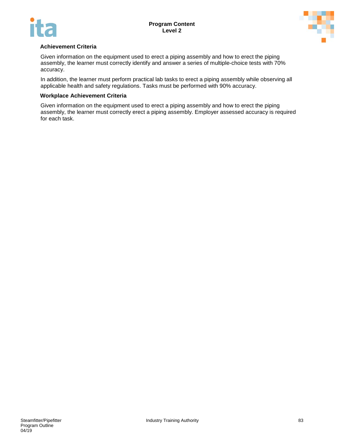



#### **Achievement Criteria**

Given information on the equipment used to erect a piping assembly and how to erect the piping assembly, the learner must correctly identify and answer a series of multiple-choice tests with 70% accuracy.

In addition, the learner must perform practical lab tasks to erect a piping assembly while observing all applicable health and safety regulations. Tasks must be performed with 90% accuracy.

#### **Workplace Achievement Criteria**

Given information on the equipment used to erect a piping assembly and how to erect the piping assembly, the learner must correctly erect a piping assembly. Employer assessed accuracy is required for each task.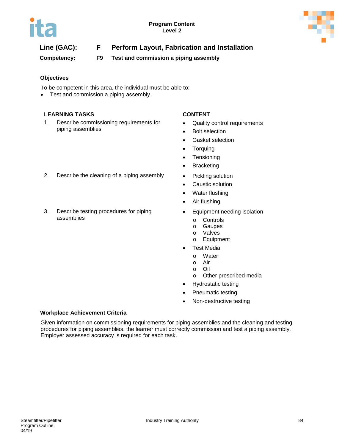

# **Line (GAC): F Perform Layout, Fabrication and Installation**

**Competency: F9 Test and commission a piping assembly**

### **Objectives**

To be competent in this area, the individual must be able to:

• Test and commission a piping assembly.

#### **LEARNING TASKS CONTENT**

1. Describe commissioning requirements for piping assemblies

- Quality control requirements
- Bolt selection
- Gasket selection
- **Torquing**
- Tensioning
- Bracketing
- 2. Describe the cleaning of a piping assembly Pickling solution
	- Caustic solution
	- Water flushing
	- Air flushing
	- Equipment needing isolation
		- o Controls<br>o Gauges
		- **Gauges**
		- o Valves<br>o Equipm
		- **Equipment**
	- **Test Media** 
		- o Water<br>o Air
		- o Air
		- o Oil
		- Other prescribed media
	- Hydrostatic testing
	- Pneumatic testing
	- Non-destructive testing

### **Workplace Achievement Criteria**

Given information on commissioning requirements for piping assemblies and the cleaning and testing procedures for piping assemblies, the learner must correctly commission and test a piping assembly. Employer assessed accuracy is required for each task.

- 
- 3. Describe testing procedures for piping assemblies
-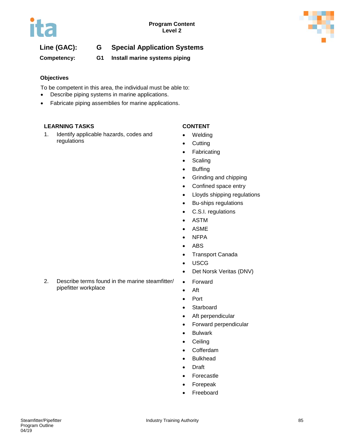

# **Line (GAC): G Special Application Systems**

**Competency: G1 Install marine systems piping** 

#### **Objectives**

To be competent in this area, the individual must be able to:

- Describe piping systems in marine applications.
- Fabricate piping assemblies for marine applications.

#### **LEARNING TASKS CONTENT**

1. Identify applicable hazards, codes and regulations

- Welding
- Cutting
- Fabricating
- Scaling
- Buffing
- Grinding and chipping
- Confined space entry
- Lloyds shipping regulations
- Bu-ships regulations
- C.S.I. regulations
- ASTM
- ASME
- NFPA
- ABS
- Transport Canada
- USCG
- Det Norsk Veritas (DNV)
- Forward
- Aft
- Port
- Starboard
- Aft perpendicular
- Forward perpendicular
- Bulwark
- Ceiling
- Cofferdam
- Bulkhead
- Draft
- Forecastle
- Forepeak
- **Freeboard**

pipefitter workplace

2. Describe terms found in the marine steamfitter/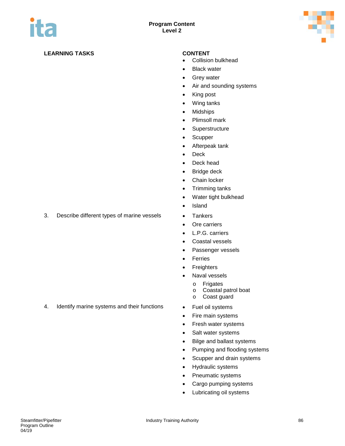

- Collision bulkhead
- Black water
- Grey water
- Air and sounding systems
- King post
- Wing tanks
- Midships
- Plimsoll mark
- Superstructure
- Scupper
- Afterpeak tank
- Deck
- Deck head
- Bridge deck
- Chain locker
- Trimming tanks
- Water tight bulkhead
- Island
- 
- Ore carriers
- L.P.G. carriers
- Coastal vessels
- Passenger vessels
- Ferries
- Freighters
- Naval vessels
	- o Frigates<br>o Coastal
	- o Coastal patrol boat
	- Coast guard
- 
- Fire main systems
- Fresh water systems
- Salt water systems
- Bilge and ballast systems
- Pumping and flooding systems
- Scupper and drain systems
- Hydraulic systems
- Pneumatic systems
- Cargo pumping systems
- Lubricating oil systems

3. Describe different types of marine vessels • Tankers

- 
- 4. Identify marine systems and their functions Fuel oil systems
-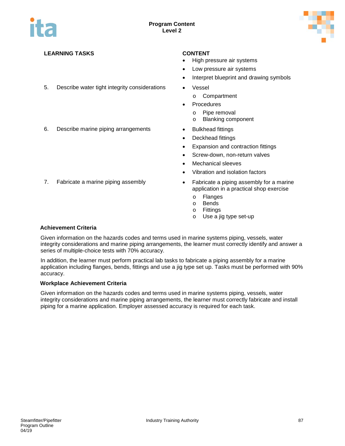

- 5. Describe water tight integrity considerations Vessel
- 6. Describe marine piping arrangements Bulkhead fittings

- High pressure air systems
- Low pressure air systems
- Interpret blueprint and drawing symbols
- - o Compartment
- Procedures
	- o Pipe removal
	- o Blanking component
- 
- Deckhead fittings
- Expansion and contraction fittings
- Screw-down, non-return valves
- Mechanical sleeves
- Vibration and isolation factors
- 7. Fabricate a marine piping assembly **•** Fabricate a piping assembly for a marine application in a practical shop exercise
	- o Flanges<br>o Bends
	- o Bends<br>o Fittings
	- **Fittings**
	- o Use a jig type set-up

#### **Achievement Criteria**

Given information on the hazards codes and terms used in marine systems piping, vessels, water integrity considerations and marine piping arrangements, the learner must correctly identify and answer a series of multiple-choice tests with 70% accuracy.

In addition, the learner must perform practical lab tasks to fabricate a piping assembly for a marine application including flanges, bends, fittings and use a jig type set up. Tasks must be performed with 90% accuracy.

#### **Workplace Achievement Criteria**

Given information on the hazards codes and terms used in marine systems piping, vessels, water integrity considerations and marine piping arrangements, the learner must correctly fabricate and install piping for a marine application. Employer assessed accuracy is required for each task.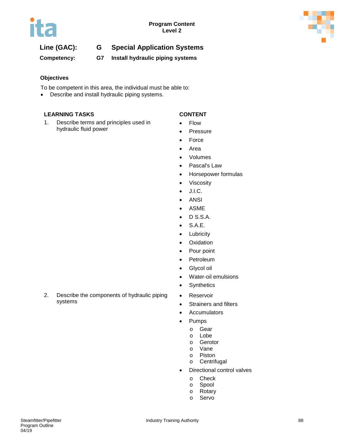

# **Line (GAC): G Special Application Systems**

**Competency: G7 Install hydraulic piping systems**

#### **Objectives**

To be competent in this area, the individual must be able to:

• Describe and install hydraulic piping systems.

#### **LEARNING TASKS CONTENT**

1. Describe terms and principles used in hydraulic fluid power

- Flow
- Pressure
- Force
- Area
- Volumes
- Pascal's Law
- Horsepower formulas
- Viscosity
- J.I.C.
- ANSI
- ASME
- D S.S.A.
- S.A.E.
- Lubricity
- Oxidation
- Pour point
- Petroleum
- Glycol oil
- Water-oil emulsions
- Synthetics
- Reservoir
	- Strainers and filters
	- Accumulators
	- Pumps
		- o Gear<br>o Lobe
		- Lobe
		- o Gerotor
		- o Vane<br>o Pistor
		- Piston
		- o Centrifugal
		- Directional control valves
			- o Check
			- o Spool<br>o Rotary
			- Rotary
			- o Servo

2. Describe the components of hydraulic piping systems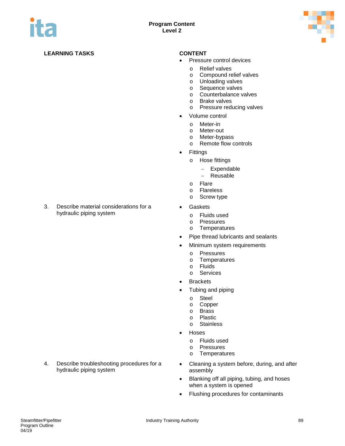

- Pressure control devices
	- o Relief valves<br>
	o Compound re
	- Compound relief valves
	- o Unloading valves
	- o Sequence valves<br>o Counterbalance v
	- o Counterbalance valves<br>o Brake valves
	- o Brake valves<br>o Pressure red
	- Pressure reducing valves
- Volume control
	- - o Meter-in
		- o Meter-out<br>o Meter-byp Meter-bypass
		- o Remote flow controls
- Fittings
	- o Hose fittings
		- − Expendable
		- − Reusable
	-
	- o Flare<br>o Flare **Flareless**
	- o Screw type
- Gaskets
	- o Fluids used<br>o Pressures
	- o Pressures<br>o Temperatu
	- Temperatures
- Pipe thread lubricants and sealants
- Minimum system requirements
	- o Pressures<br>o Temperatu
	- o Temperatures<br>o Fluids
	- **Fluids**
	- o Services
- **Brackets**
- Tubing and piping
	- o Steel<br>o Copp
	- Copper
	- o Brass<br>o Plastic
	- o Plastic<br>o Stainle
	- **Stainless**
- Hoses
	- o Fluids used
	- o Pressures
	- o Temperatures
- Cleaning a system before, during, and after assembly
- Blanking off all piping, tubing, and hoses when a system is opened
- Flushing procedures for contaminants

3. Describe material considerations for a hydraulic piping system

4. Describe troubleshooting procedures for a hydraulic piping system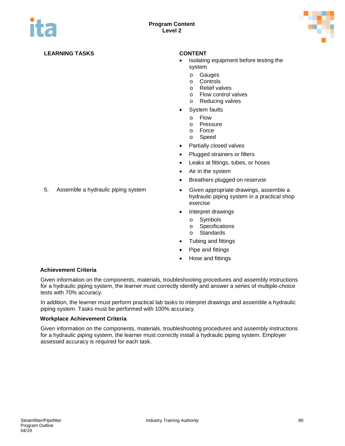

- Isolating equipment before testing the system
	- o Gauges
	- o Controls
	- o Relief valves
	-
	- o Flow control valves<br>
	o Reducing valves Reducing valves
- System faults
	- o Flow
	-
	- o Pressure<br>o Force
	- o Force<br>o Speed Speed
- Partially closed valves
- Plugged strainers or filters
- Leaks at fittings, tubes, or hoses
- Air in the system
- Breathers plugged on reservoir
- 5. Assemble a hydraulic piping system Given appropriate drawings, assemble a hydraulic piping system in a practical shop exercise
	- Interpret drawings
		- o Symbols<br>o Specifica
		- Specifications
		- o Standards
	- Tubing and fittings
	- Pipe and fittings
	- Hose and fittings

#### **Achievement Criteria**

Given information on the components, materials, troubleshooting procedures and assembly instructions for a hydraulic piping system, the learner must correctly identify and answer a series of multiple-choice tests with 70% accuracy.

In addition, the learner must perform practical lab tasks to interpret drawings and assemble a hydraulic piping system. Tasks must be performed with 100% accuracy.

#### **Workplace Achievement Criteria**

Given information on the components, materials, troubleshooting procedures and assembly instructions for a hydraulic piping system, the learner must correctly install a hydraulic piping system. Employer assessed accuracy is required for each task.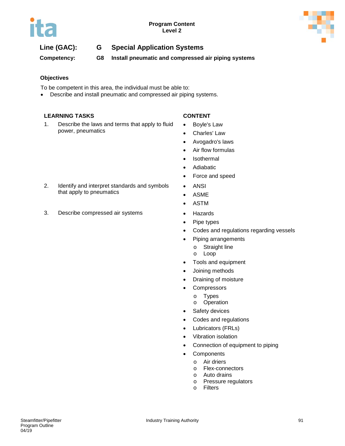

# **Line (GAC): G Special Application Systems**

**Competency: G8 Install pneumatic and compressed air piping systems**

### **Objectives**

To be competent in this area, the individual must be able to:

• Describe and install pneumatic and compressed air piping systems.

### **LEARNING TASKS CONTENT**

1. Describe the laws and terms that apply to fluid power, pneumatics

- Boyle's Law
- Charles' Law
- Avogadro's laws
- Air flow formulas
- Isothermal
- Adiabatic
- Force and speed
- ANSI
- ASME
- ASTM
- 
- Pipe types
- Codes and regulations regarding vessels
- Piping arrangements
	- o Straight line<br>o Loop
	- Loop
- Tools and equipment
- Joining methods
- Draining of moisture
- Compressors
	- o Types
	- o Operation
- Safety devices
- Codes and regulations
- Lubricators (FRLs)
- Vibration isolation
- Connection of equipment to piping
- Components
	- o Air driers
		- o Flex-connectors
		- o Auto drains
		- o Pressure regulators
		- o Filters

2. Identify and interpret standards and symbols that apply to pneumatics

3. Describe compressed air systems • Hazards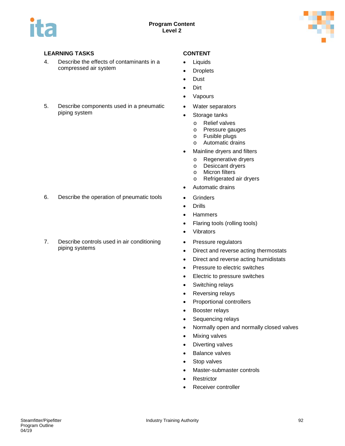

- 4. Describe the effects of contaminants in a compressed air system
- 5. Describe components used in a pneumatic piping system

- 6. Describe the operation of pneumatic tools Grinders
- 7. Describe controls used in air conditioning piping systems

- Liquids
- Droplets
- Dust
- Dirt
- Vapours
- Water separators
- Storage tanks
	- o Relief valves<br>o Pressure gau
	- o Pressure gauges<br>o Fusible plugs
	- o Fusible plugs<br>o Automatic dra
	- Automatic drains
- Mainline dryers and filters
	- o Regenerative dryers<br>o Desiccant dryers
	- o Desiccant dryers<br>o Micron filters
	- o Micron filters<br>o Refrigerated
	- Refrigerated air dryers
- Automatic drains
- 
- Drills
- Hammers
- Flaring tools (rolling tools)
- Vibrators
- Pressure regulators
- Direct and reverse acting thermostats
- Direct and reverse acting humidistats
- Pressure to electric switches
- Electric to pressure switches
- Switching relays
- Reversing relays
- Proportional controllers
- Booster relays
- Sequencing relays
- Normally open and normally closed valves
- Mixing valves
- Diverting valves
- Balance valves
- Stop valves
- Master-submaster controls
- **Restrictor**
- Receiver controller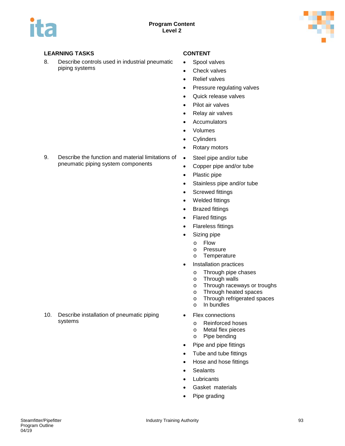

8. Describe controls used in industrial pneumatic piping systems

- Spool valves
- Check valves
- Relief valves
- Pressure regulating valves
- Quick release valves
- Pilot air valves
- Relay air valves
- Accumulators
- Volumes
- Cylinders
- Rotary motors
- Steel pipe and/or tube
- Copper pipe and/or tube
- Plastic pipe
- Stainless pipe and/or tube
- Screwed fittings
- Welded fittings
- Brazed fittings
- Flared fittings
- Flareless fittings
- Sizing pipe
	- o Flow
	- o Pressure<br>o Temperat
	- Temperature
- Installation practices
	- o Through pipe chases<br>o Through walls
	- o Through walls<br>o Through racew
	- Through raceways or troughs
	- o Through heated spaces<br>
	o Through refrigerated spa
	- o Through refrigerated spaces<br>o In bundles
	- In bundles
- **Flex connections** 
	- o Reinforced hoses<br>o Metal flex pieces
	- **Metal flex pieces**
	- o Pipe bending
- Pipe and pipe fittings
- Tube and tube fittings
- Hose and hose fittings
- Sealants
- **Lubricants**
- Gasket materials
- Pipe grading

9. Describe the function and material limitations of pneumatic piping system components

10. Describe installation of pneumatic piping systems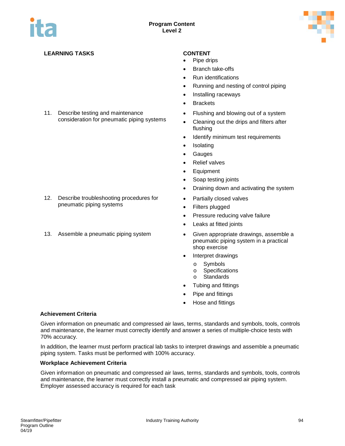

- Pipe drips
- Branch take-offs
- Run identifications
- Running and nesting of control piping
- Installing raceways
- Brackets
- Flushing and blowing out of a system
- Cleaning out the drips and filters after flushing
- Identify minimum test requirements
- Isolating
- Gauges
- Relief valves
- Equipment
- Soap testing joints
- Draining down and activating the system
- Partially closed valves
- Filters plugged
- Pressure reducing valve failure
- Leaks at fitted joints
- 13. Assemble a pneumatic piping system Given appropriate drawings, assemble a pneumatic piping system in a practical shop exercise
	- Interpret drawings
		- o Symbols
		- o Specifications<br>o Standards
		- **Standards**
	- Tubing and fittings
	- Pipe and fittings
	- Hose and fittings

#### **Achievement Criteria**

Given information on pneumatic and compressed air laws, terms, standards and symbols, tools, controls and maintenance, the learner must correctly identify and answer a series of multiple-choice tests with 70% accuracy.

In addition, the learner must perform practical lab tasks to interpret drawings and assemble a pneumatic piping system. Tasks must be performed with 100% accuracy.

#### **Workplace Achievement Criteria**

Given information on pneumatic and compressed air laws, terms, standards and symbols, tools, controls and maintenance, the learner must correctly install a pneumatic and compressed air piping system. Employer assessed accuracy is required for each task

- 12. Describe troubleshooting procedures for
	- pneumatic piping systems

11. Describe testing and maintenance

consideration for pneumatic piping systems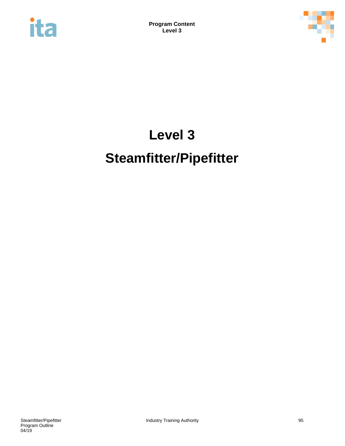



# **Level 3 Steamfitter/Pipefitter**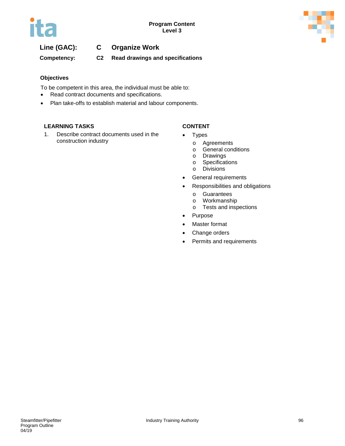

# **Line (GAC): C Organize Work**

### **Competency: C2 Read drawings and specifications**

#### **Objectives**

To be competent in this area, the individual must be able to:

- Read contract documents and specifications.
- Plan take-offs to establish material and labour components.

#### **LEARNING TASKS CONTENT**

1. Describe contract documents used in the construction industry

- **Types** 
	- o Agreements<br>o General cone
	- General conditions
	- o Drawings<br>
	o Specificat
	- o Specifications<br>o Divisions
	- **Divisions**
- General requirements
- Responsibilities and obligations
	-
	- o Guarantees<br>o Workmansh
	- o Workmanship<br>o Tests and insp Tests and inspections
- Purpose
- Master format
- Change orders
- Permits and requirements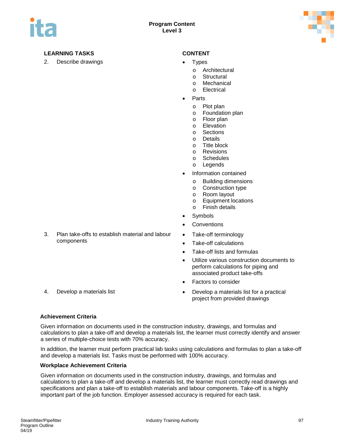

2. Describe drawings **•** Types

- - o Architectural<br>o Structural
	- o Structural<br>o Mechanica
	- Mechanical
	- o Electrical
- **Parts** 
	- o Plot plan
	- o Foundation plan<br>o Floor plan
	- o Floor plan<br>o Elevation
	- o Elevation<br>o Sections
	- o Sections<br>o Details
	- o Details<br>o Title blo
	- o Title block<br>o Revisions
	- o Revisions<br>
	o Schedules
	- **Schedules**
	- o Legends
- Information contained
	- o Building dimensions
	- o Construction type
	- o Room layout<br>o Equipment lo
	- $\circ$  Equipment locations<br> $\circ$  Finish details
	- **Finish details**
- Symbols
- **Conventions**
- Take-off terminology
- Take-off calculations
- Take-off lists and formulas
- Utilize various construction documents to perform calculations for piping and associated product take-offs
- Factors to consider
- 4. Develop a materials list **•** Develop a materials list for a practical project from provided drawings

#### **Achievement Criteria**

Given information on documents used in the construction industry, drawings, and formulas and calculations to plan a take-off and develop a materials list, the learner must correctly identify and answer a series of multiple-choice tests with 70% accuracy.

In addition, the learner must perform practical lab tasks using calculations and formulas to plan a take-off and develop a materials list. Tasks must be performed with 100% accuracy.

#### **Workplace Achievement Criteria**

Given information on documents used in the construction industry, drawings, and formulas and calculations to plan a take-off and develop a materials list, the learner must correctly read drawings and specifications and plan a take-off to establish materials and labour components. Take-off is a highly important part of the job function. Employer assessed accuracy is required for each task.

- 
- 3. Plan take-offs to establish material and labour components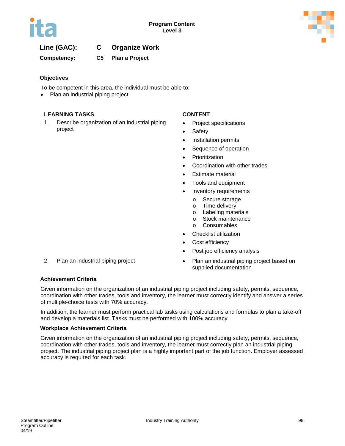

# **Line (GAC): C Organize Work**

**Competency: C5 Plan a Project** 

#### **Objectives**

To be competent in this area, the individual must be able to:

• Plan an industrial piping project.

#### **LEARNING TASKS CONTENT**

1. Describe organization of an industrial piping project

- Project specifications
- Safety
- Installation permits
- Sequence of operation
- Prioritization
- Coordination with other trades
- Estimate material
- Tools and equipment
- Inventory requirements
	- o Secure storage
	- o Time delivery<br>o Labeling mate
	- o Labeling materials<br>
	o Stock maintenance
	- o Stock maintenance<br>
	o Consumables
	- **Consumables**
- Checklist utilization
- Cost efficiency
- Post job efficiency analysis
- 2. Plan an industrial piping project Plan an industrial piping project based on supplied documentation

#### **Achievement Criteria**

Given information on the organization of an industrial piping project including safety, permits, sequence, coordination with other trades, tools and inventory, the learner must correctly identify and answer a series of multiple-choice tests with 70% accuracy.

In addition, the learner must perform practical lab tasks using calculations and formulas to plan a take-off and develop a materials list. Tasks must be performed with 100% accuracy.

#### **Workplace Achievement Criteria**

Given information on the organization of an industrial piping project including safety, permits, sequence, coordination with other trades, tools and inventory, the learner must correctly plan an industrial piping project. The industrial piping project plan is a highly important part of the job function. Employer assessed accuracy is required for each task.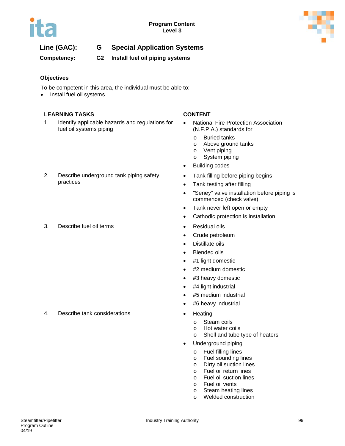

# **Line (GAC): G Special Application Systems**

**Competency: G2 Install fuel oil piping systems**

### **Objectives**

To be competent in this area, the individual must be able to:

• Install fuel oil systems.

### **LEARNING TASKS CONTENT**

- 1. Identify applicable hazards and regulations for fuel oil systems piping
- 2. Describe underground tank piping safety practices
- 3. Describe fuel oil terms **•** Residual oils

4. Describe tank considerations **•** Heating

- National Fire Protection Association (N.F.P.A.) standards for
	- o Buried tanks
	- o Above ground tanks
	- o Vent piping<br>o System pipi
	- System piping
- Building codes
- Tank filling before piping begins
- Tank testing after filling
- "Seney" valve installation before piping is commenced (check valve)
- Tank never left open or empty
- Cathodic protection is installation
- 
- Crude petroleum
- Distillate oils
- Blended oils
- #1 light domestic
- #2 medium domestic
- #3 heavy domestic
- #4 light industrial
- #5 medium industrial
- #6 heavy industrial
- -
	- o Steam coils<br>o Hot water co o Hot water coils<br>
	o Shell and tube
	- Shell and tube type of heaters
- Underground piping
	- o Fuel filling lines<br>
	o Fuel sounding li
	- Fuel sounding lines
	- o Dirty oil suction lines<br>
	o Fuel oil return lines
	- $\circ$  Fuel oil return lines
	- Fuel oil suction lines
	- o Fuel oil vents
	- o Steam heating lines<br>
	o Welded construction
	- Welded construction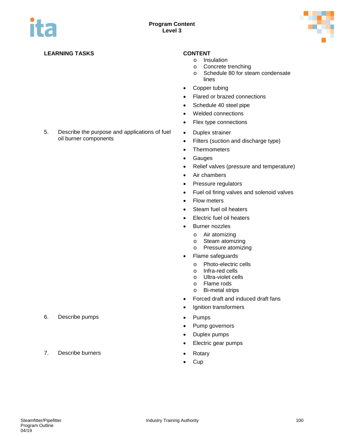

5. Describe the purpose and applications of fuel

oil burner components

- o Insulation
- o Concrete trenching
- o Schedule 80 for steam condensate lines
- Copper tubing
- Flared or brazed connections
- Schedule 40 steel pipe
- Welded connections
- Flex type connections
- Duplex strainer
- Filters (suction and discharge type)
- Thermometers
- Gauges
- Relief valves (pressure and temperature)
- Air chambers
- Pressure regulators
- Fuel oil firing valves and solenoid valves
- Flow meters
- Steam fuel oil heaters
- Electric fuel oil heaters
- Burner nozzles
	- o Air atomizing
	- o Steam atomizing
	- o Pressure atomizing
- Flame safeguards
	- o Photo-electric cells
	- o Infra-red cells
	- o Ultra-violet cells<br>o Flame rods
	- Flame rods
	- o Bi-metal strips
- Forced draft and induced draft fans
- Ignition transformers
- 
- Pump governors
- Duplex pumps
- Electric gear pumps
- 
- Cup
- 6. Describe pumps **•** Pumps
- 7. Describe burners **•** Rotary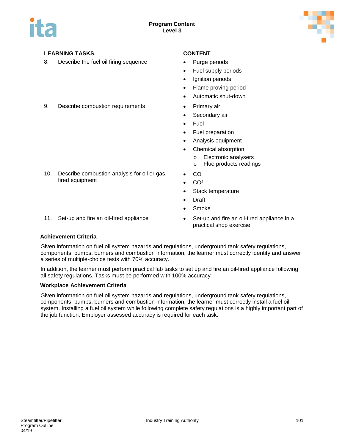

8. Describe the fuel oil firing sequence • Purge periods

- 
- Fuel supply periods
- Ignition periods
- Flame proving period
- Automatic shut-down
- 9. Describe combustion requirements Primary air
	- Secondary air
	- Fuel
	- Fuel preparation
	- Analysis equipment
	- Chemical absorption
	- o Electronic analysers
		- o Flue products readings
	- CO
	- $\bullet$  CO<sup>2</sup>
	- Stack temperature
	- Draft
	- Smoke
- 

10. Describe combustion analysis for oil or gas

11. Set-up and fire an oil-fired appliance • Set-up and fire an oil-fired appliance in a practical shop exercise

#### **Achievement Criteria**

fired equipment

Given information on fuel oil system hazards and regulations, underground tank safety regulations, components, pumps, burners and combustion information, the learner must correctly identify and answer a series of multiple-choice tests with 70% accuracy.

In addition, the learner must perform practical lab tasks to set up and fire an oil-fired appliance following all safety regulations. Tasks must be performed with 100% accuracy.

#### **Workplace Achievement Criteria**

Given information on fuel oil system hazards and regulations, underground tank safety regulations, components, pumps, burners and combustion information, the learner must correctly install a fuel oil system. Installing a fuel oil system while following complete safety regulations is a highly important part of the job function. Employer assessed accuracy is required for each task.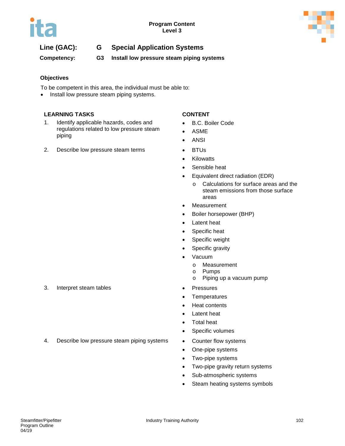

# **Line (GAC): G Special Application Systems**

**Competency: G3 Install low pressure steam piping systems**

### **Objectives**

To be competent in this area, the individual must be able to:

• Install low pressure steam piping systems.

### **LEARNING TASKS CONTENT**

- 1. Identify applicable hazards, codes and regulations related to low pressure steam piping
- 2. Describe low pressure steam terms BTUs

- B.C. Boiler Code
- ASME
- ANSI
- 
- Kilowatts
- Sensible heat
- Equivalent direct radiation (EDR)
	- o Calculations for surface areas and the steam emissions from those surface areas
- Measurement
- Boiler horsepower (BHP)
- Latent heat
- Specific heat
- Specific weight
- Specific gravity
- Vacuum
	- o Measurement<br>o Pumps
	- o Pumps<br>o Piping u
	- Piping up a vacuum pump
- 
- Temperatures
- Heat contents
- Latent heat
- Total heat
- Specific volumes
- 4. Describe low pressure steam piping systems Counter flow systems
	- One-pipe systems
	- Two-pipe systems
	- Two-pipe gravity return systems
	- Sub-atmospheric systems
	- Steam heating systems symbols
- 3. Interpret steam tables **•** Pressures
-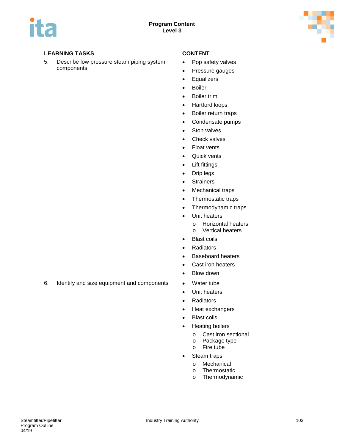

5. Describe low pressure steam piping system components

- Pop safety valves
- Pressure gauges
- Equalizers
- Boiler
- Boiler trim
- Hartford loops
- Boiler return traps
- Condensate pumps
- Stop valves
- Check valves
- Float vents
- Quick vents
- Lift fittings
- Drip legs
- Strainers
- Mechanical traps
- Thermostatic traps
- Thermodynamic traps
- Unit heaters
	- o Horizontal heaters<br>
	o Vertical heaters
	- **Vertical heaters**
- Blast coils
- Radiators
- Baseboard heaters
- Cast iron heaters
- Blow down
- 
- Unit heaters
- Radiators
- Heat exchangers
- Blast coils
- Heating boilers
	- o Cast iron sectional<br>o Package type
	- o Package type<br>o Fire tube
	- Fire tube
- Steam traps
	- o Mechanical<br>o Thermostati
	- o Thermostatic<br>o Thermodynar
	- Thermodynamic
- 6. Identify and size equipment and components Water tube
-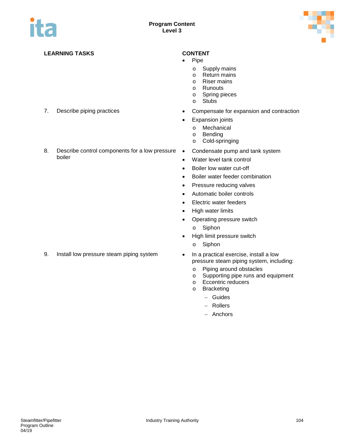

boiler

- Pipe
	- $\circ$  Supply mains
	- o Return mains<br>o Riser mains
	- o Riser mains<br>o Runouts
	- o Runouts<br>o Spring pi
	- o Spring pieces
	- **Stubs**
- 7. Describe piping practices **•** Compensate for expansion and contraction
	- Expansion joints
		- o Mechanical
		- o Bending<br>o Cold-spr
		- Cold-springing
- 8. Describe control components for a low pressure . • Condensate pump and tank system
	- Water level tank control
	- Boiler low water cut-off
	- Boiler water feeder combination
	- Pressure reducing valves
	- Automatic boiler controls
	- Electric water feeders
	- High water limits
	- Operating pressure switch
		- o Siphon
	- High limit pressure switch
		- o Siphon
	- pressure steam piping system, including:
		- o Piping around obstacles<br>
		o Supporting pipe runs and
		- Supporting pipe runs and equipment
		- o Eccentric reducers
		- o Bracketing
			- − Guides
			- − Rollers
			- − Anchors

9. Install low pressure steam piping system • In a practical exercise, install a low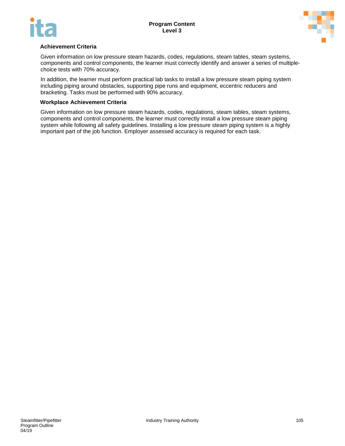



#### **Achievement Criteria**

Given information on low pressure steam hazards, codes, regulations, steam tables, steam systems, components and control components, the learner must correctly identify and answer a series of multiplechoice tests with 70% accuracy.

In addition, the learner must perform practical lab tasks to install a low pressure steam piping system including piping around obstacles, supporting pipe runs and equipment, eccentric reducers and bracketing. Tasks must be performed with 90% accuracy.

#### **Workplace Achievement Criteria**

Given information on low pressure steam hazards, codes, regulations, steam tables, steam systems, components and control components, the learner must correctly install a low pressure steam piping system while following all safety guidelines. Installing a low pressure steam piping system is a highly important part of the job function. Employer assessed accuracy is required for each task.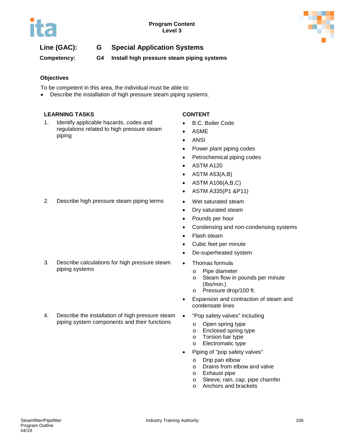

# **Line (GAC): G Special Application Systems**

**Competency: G4 Install high pressure steam piping systems**

### **Objectives**

To be competent in this area, the individual must be able to:

• Describe the installation of high pressure steam piping systems.

### **LEARNING TASKS CONTENT**

1. Identify applicable hazards, codes and regulations related to high pressure steam piping

- B.C. Boiler Code
- ASME
- ANSI
- Power plant piping codes
- Petrochemical piping codes
- ASTM A120
- ASTM A53(A,B)
- ASTM A106(A,B,C)
- ASTM A335(P1 &P11)
- 
- Dry saturated steam
- Pounds per hour
- Condensing and non-condensing systems
- Flash steam
- Cubic feet per minute
- De-superheated system
- Thomas formula
	- o Pipe diameter
	- o Steam flow in pounds per minute (Ibs/min.)
	- o Pressure drop/100 ft.
- Expansion and contraction of steam and condensate lines
- "Pop safety valves" including
	- o Open spring type<br>o Enclosed spring t
	- o Enclosed spring type<br>o Torsion bar type
	- Torsion bar type
	- o Electromatic type
- Piping of "pop safety valves"
	- o Drip pan elbow
	- o Drains from elbow and valve<br>
	o Exhaust pipe
	- Exhaust pipe
	- o Sleeve, rain, cap, pipe chamfer
	- o Anchors and brackets

2. Describe high pressure steam piping terms • Wet saturated steam

- 3. Describe calculations for high pressure steam piping systems
- 4. Describe the installation of high pressure steam piping system components and their functions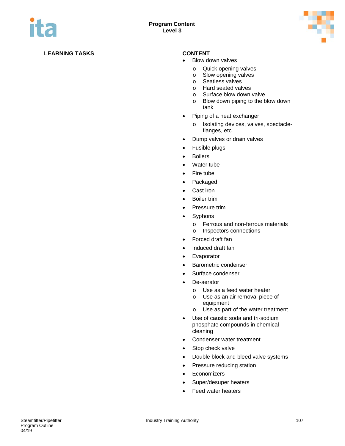

- Blow down valves
	- o Quick opening valves<br>
	o Slow opening valves
	- o Slow opening valves<br>
	o Seatless valves
	- o Seatless valves<br>
	o Hard seated valve
	- o Hard seated valves<br>
	o Surface blow down
	- $\circ$  Surface blow down valve  $\circ$  Blow down piping to the b
	- Blow down piping to the blow down tank
- Piping of a heat exchanger
	- o Isolating devices, valves, spectacleflanges, etc.
- Dump valves or drain valves
- Fusible plugs
- Boilers
- Water tube
- Fire tube
- Packaged
- Cast iron
- Boiler trim
- Pressure trim
- Syphons
	- o Ferrous and non-ferrous materials<br>
	o Inspectors connections
	- Inspectors connections
- Forced draft fan
- Induced draft fan
- Evaporator
- Barometric condenser
- Surface condenser
- De-aerator
	- o Use as a feed water heater
	- o Use as an air removal piece of equipment
	- o Use as part of the water treatment
- Use of caustic soda and tri-sodium phosphate compounds in chemical cleaning
- Condenser water treatment
- Stop check valve
- Double block and bleed valve systems
- Pressure reducing station
- Economizers
- Super/desuper heaters
- Feed water heaters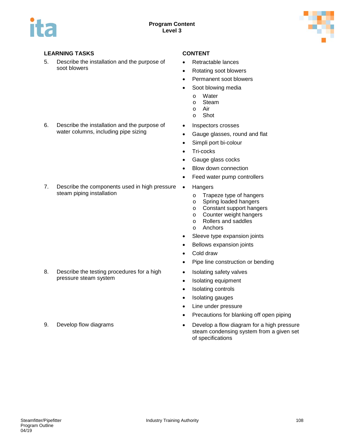

5. Describe the installation and the purpose of soot blowers

6. Describe the installation and the purpose of water columns, including pipe sizing

- Retractable lances
- Rotating soot blowers
- Permanent soot blowers
- Soot blowing media
	- o Water<br>o Steam
	- o Steam<br>o Air
	- o Air
	- Shot
- Inspectors crosses
- Gauge glasses, round and flat
- Simpli port bi-colour
- Tri-cocks
- Gauge glass cocks
- Blow down connection
- Feed water pump controllers
- Hangers
	- o Trapeze type of hangers<br>
	o Spring loaded hangers
	- o Spring loaded hangers<br>
	o Constant support hange
	- Constant support hangers
	- Counter weight hangers<br>○ Rollers and saddles
	- o Rollers and saddles
	- Anchors
	- Sleeve type expansion joints
	- Bellows expansion joints
	- Cold draw
	- Pipe line construction or bending
	- Isolating safety valves
	- Isolating equipment
	- Isolating controls
	- Isolating gauges
	- Line under pressure
	- Precautions for blanking off open piping
- 9. Develop flow diagrams **•** Develop a flow diagram for a high pressure steam condensing system from a given set of specifications

7. Describe the components used in high pressure .

steam piping installation

- 8. Describe the testing procedures for a high pressure steam system
-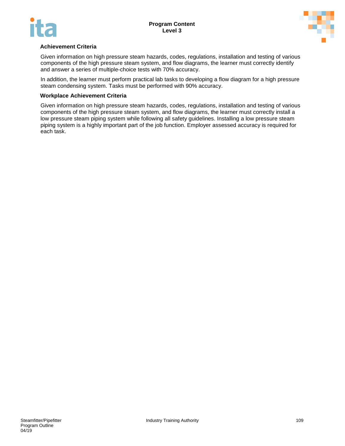



#### **Achievement Criteria**

Given information on high pressure steam hazards, codes, regulations, installation and testing of various components of the high pressure steam system, and flow diagrams, the learner must correctly identify and answer a series of multiple-choice tests with 70% accuracy.

In addition, the learner must perform practical lab tasks to developing a flow diagram for a high pressure steam condensing system. Tasks must be performed with 90% accuracy.

#### **Workplace Achievement Criteria**

Given information on high pressure steam hazards, codes, regulations, installation and testing of various components of the high pressure steam system, and flow diagrams, the learner must correctly install a low pressure steam piping system while following all safety guidelines. Installing a low pressure steam piping system is a highly important part of the job function. Employer assessed accuracy is required for each task.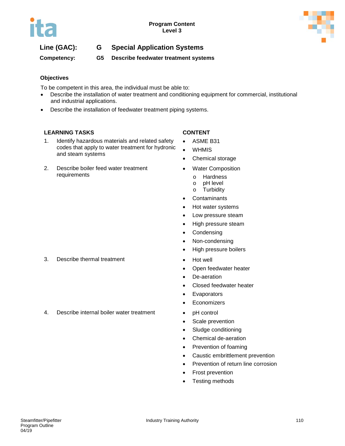



**Competency: G5 Describe feedwater treatment systems** 

### **Objectives**

To be competent in this area, the individual must be able to:

- Describe the installation of water treatment and conditioning equipment for commercial, institutional and industrial applications.
- Describe the installation of feedwater treatment piping systems.

#### **LEARNING TASKS CONTENT**

- 1. Identify hazardous materials and related safety codes that apply to water treatment for hydronic and steam systems
- 2. Describe boiler feed water treatment requirements

- ASME B31
- WHMIS
- Chemical storage
- Water Composition
	- o Hardness
	- o pH level
	- o Turbidity
- Contaminants
- Hot water systems
- Low pressure steam
- High pressure steam
- Condensing
- Non-condensing
- High pressure boilers
- 
- Open feedwater heater
- De-aeration
- Closed feedwater heater
- Evaporators
- Economizers
- 4. Describe internal boiler water treatment pH control
	- Scale prevention
	- Sludge conditioning
	- Chemical de-aeration
	- Prevention of foaming
	- Caustic embrittlement prevention
	- Prevention of return line corrosion
	- Frost prevention
	- Testing methods

#### 3. Describe thermal treatment • Hot well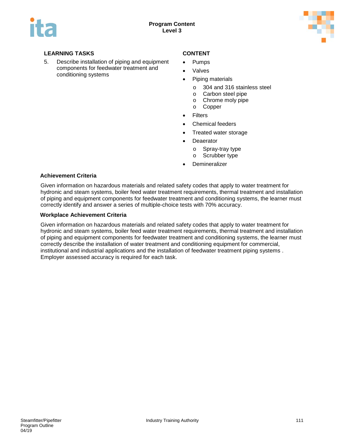

5. Describe installation of piping and equipment components for feedwater treatment and conditioning systems

- Pumps
- **Valves**
- Piping materials
	- o 304 and 316 stainless steel
	- o Carbon steel pipe<br>
	o Chrome moly pipe
	- o Chrome moly pipe<br>o Copper
	- **Copper**
- Filters
- Chemical feeders
- Treated water storage
- Deaerator
	- o Spray-tray type
	- o Scrubber type
- **Demineralizer**

#### **Achievement Criteria**

Given information on hazardous materials and related safety codes that apply to water treatment for hydronic and steam systems, boiler feed water treatment requirements, thermal treatment and installation of piping and equipment components for feedwater treatment and conditioning systems, the learner must correctly identify and answer a series of multiple-choice tests with 70% accuracy.

#### **Workplace Achievement Criteria**

Given information on hazardous materials and related safety codes that apply to water treatment for hydronic and steam systems, boiler feed water treatment requirements, thermal treatment and installation of piping and equipment components for feedwater treatment and conditioning systems, the learner must correctly describe the installation of water treatment and conditioning equipment for commercial, institutional and industrial applications and the installation of feedwater treatment piping systems . Employer assessed accuracy is required for each task.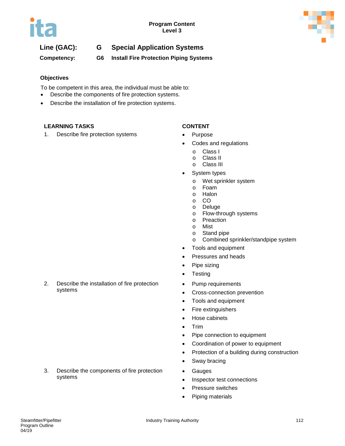

**Competency: G6 Install Fire Protection Piping Systems**

### **Objectives**

To be competent in this area, the individual must be able to:

- Describe the components of fire protection systems.
- Describe the installation of fire protection systems.

#### **LEARNING TASKS CONTENT**

1. Describe fire protection systems • Purpose

- 
- Codes and regulations
	-
	- o Class I<br>o Class II o Class II<br>o Class III
	- **Class III**
- System types
	- o Wet sprinkler system
	- o Foam<br>o Halon
	- o Halon<br>o CO
	- o CO
	- o Deluge<br>o Flow-th
	- Flow-through systems
	- o Preaction
	- o Mist<br>o Stan
	- Stand pipe
	- o Combined sprinkler/standpipe system
- Tools and equipment
- Pressures and heads
- Pipe sizing
- Testing
- Pump requirements
- Cross-connection prevention
- Tools and equipment
- Fire extinguishers
- Hose cabinets
- Trim
- Pipe connection to equipment
- Coordination of power to equipment
- Protection of a building during construction
- Sway bracing
- Gauges
- Inspector test connections
- Pressure switches
- Piping materials

2. Describe the installation of fire protection systems

3. Describe the components of fire protection systems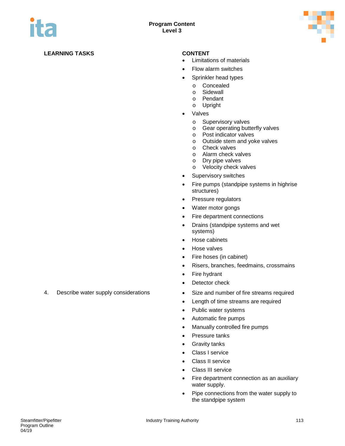

- Limitations of materials
- Flow alarm switches
- Sprinkler head types
	- o Concealed<br>o Sidewall
	- o Sidewall<br>o Pendant
	- o Pendant<br>o Upright
	- **Upright**
- Valves
	- o Supervisory valves<br>
	o Gear operating butt
	- Gear operating butterfly valves
	- o Post indicator valves
	- o Outside stem and yoke valves
	- o Check valves
	- o Alarm check valves<br>
	o Drv pipe valves
	- o Dry pipe valves<br>
	o Velocity check v
	- Velocity check valves
- Supervisory switches
- Fire pumps (standpipe systems in highrise structures)
- Pressure regulators
- Water motor gongs
- Fire department connections
- Drains (standpipe systems and wet systems)
- Hose cabinets
- Hose valves
- Fire hoses (in cabinet)
- Risers, branches, feedmains, crossmains
- Fire hydrant
- Detector check
- 4. Describe water supply considerations Size and number of fire streams required
	- Length of time streams are required
	- Public water systems
	- Automatic fire pumps
	- Manually controlled fire pumps
	- Pressure tanks
	- Gravity tanks
	- Class I service
	- Class II service
	- Class III service
	- Fire department connection as an auxiliary water supply.
	- Pipe connections from the water supply to the standpipe system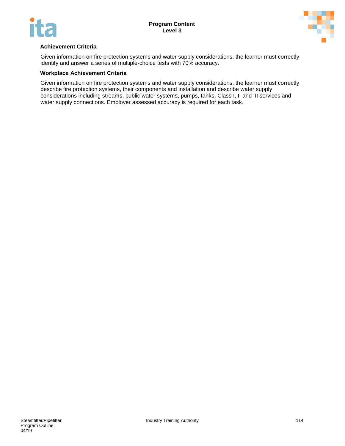



#### **Achievement Criteria**

Given information on fire protection systems and water supply considerations, the learner must correctly identify and answer a series of multiple-choice tests with 70% accuracy.

#### **Workplace Achievement Criteria**

Given information on fire protection systems and water supply considerations, the learner must correctly describe fire protection systems, their components and installation and describe water supply considerations including streams, public water systems, pumps, tanks, Class I, II and III services and water supply connections. Employer assessed accuracy is required for each task.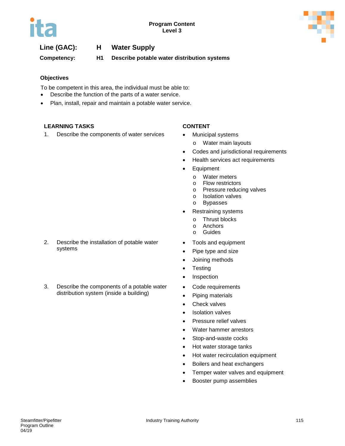

# **Line (GAC): H Water Supply**

**Competency: H1 Describe potable water distribution systems**

### **Objectives**

To be competent in this area, the individual must be able to:

- Describe the function of the parts of a water service.
- Plan, install, repair and maintain a potable water service.

### **LEARNING TASKS CONTENT**

1. Describe the components of water services • Municipal systems

- - o Water main layouts
- Codes and jurisdictional requirements
- Health services act requirements
- Equipment
	- o Water meters
	- o Flow restrictors
	- o Pressure reducing valves<br>
	o Isolation valves
	- Isolation valves
	- o Bypasses
- Restraining systems
	- o Thrust blocks<br>o Anchors
	- Anchors
	- o Guides
- Tools and equipment
- Pipe type and size
- Joining methods
- Testing
- Inspection
- Code requirements
- Piping materials
- Check valves
- Isolation valves
- Pressure relief valves
- Water hammer arrestors
- Stop-and-waste cocks
- Hot water storage tanks
- Hot water recirculation equipment
- Boilers and heat exchangers
- Temper water valves and equipment
- Booster pump assemblies
- 2. Describe the installation of potable water systems
- 3. Describe the components of a potable water distribution system (inside a building)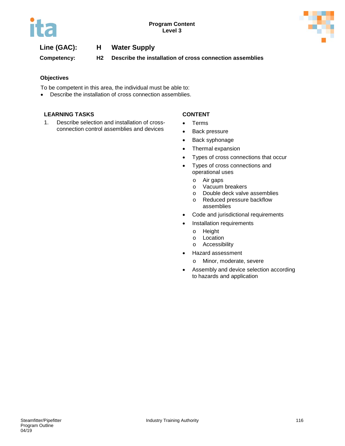



# **Line (GAC): H Water Supply**

**Competency: H2 Describe the installation of cross connection assemblies**

#### **Objectives**

To be competent in this area, the individual must be able to:

• Describe the installation of cross connection assemblies.

#### **LEARNING TASKS CONTENT**

1. Describe selection and installation of crossconnection control assemblies and devices

- Terms
- Back pressure
- Back syphonage
- Thermal expansion
- Types of cross connections that occur
- Types of cross connections and operational uses
	- o Air gaps
	- o Vacuum breakers<br>
	o Double deck valve
	- o Double deck valve assemblies<br>
	o Reduced pressure backflow
	- Reduced pressure backflow assemblies
- Code and jurisdictional requirements
- Installation requirements
	- o Height<br>o Locatio
	- o Location<br>o Accessib
	- Accessibility
- Hazard assessment
	- o Minor, moderate, severe
- Assembly and device selection according to hazards and application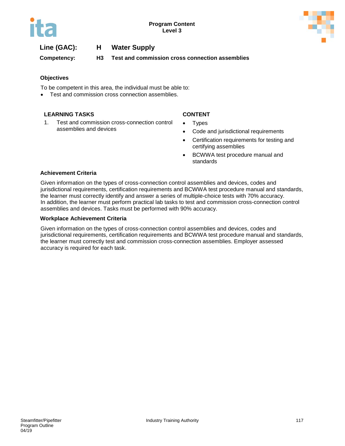

# **Line (GAC): H Water Supply**

**Competency: H3 Test and commission cross connection assemblies**

#### **Objectives**

To be competent in this area, the individual must be able to:

• Test and commission cross connection assemblies.

### **LEARNING TASKS CONTENT**

1. Test and commission cross-connection control assemblies and devices

- Types
- Code and jurisdictional requirements
- Certification requirements for testing and certifying assemblies
- BCWWA test procedure manual and standards

#### **Achievement Criteria**

Given information on the types of cross-connection control assemblies and devices, codes and jurisdictional requirements, certification requirements and BCWWA test procedure manual and standards, the learner must correctly identify and answer a series of multiple-choice tests with 70% accuracy. In addition, the learner must perform practical lab tasks to test and commission cross-connection control assemblies and devices. Tasks must be performed with 90% accuracy.

#### **Workplace Achievement Criteria**

Given information on the types of cross-connection control assemblies and devices, codes and jurisdictional requirements, certification requirements and BCWWA test procedure manual and standards, the learner must correctly test and commission cross-connection assemblies. Employer assessed accuracy is required for each task.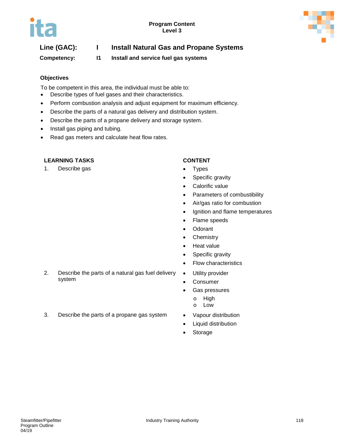

# **Line (GAC): I Install Natural Gas and Propane Systems**

**Competency: I1 Install and service fuel gas systems**

### **Objectives**

To be competent in this area, the individual must be able to:

- Describe types of fuel gases and their characteristics.
- Perform combustion analysis and adjust equipment for maximum efficiency.
- Describe the parts of a natural gas delivery and distribution system.
- Describe the parts of a propane delivery and storage system.
- Install gas piping and tubing.
- Read gas meters and calculate heat flow rates.

#### **LEARNING TASKS CONTENT**

1. Describe gas **•** Types

- 
- Specific gravity
- Calorific value
- Parameters of combustibility
- Air/gas ratio for combustion
- Ignition and flame temperatures
- Flame speeds
- Odorant
- Chemistry
- Heat value
- Specific gravity
- Flow characteristics
- Utility provider
- Consumer
- Gas pressures
	- o High
	- o Low
- 3. Describe the parts of a propane gas system Vapour distribution
	- Liquid distribution
	- Storage

2. Describe the parts of a natural gas fuel delivery system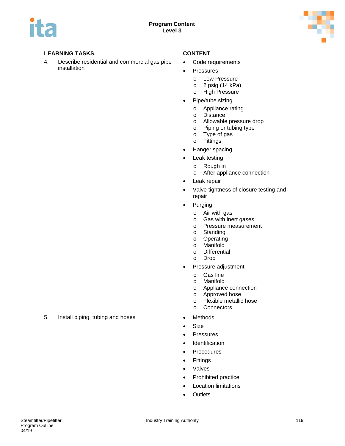

4. Describe residential and commercial gas pipe installation

- Code requirements
- Pressures
	- o Low Pressure
	- o 2 psig (14 kPa)
	- o High Pressure
- Pipe/tube sizing
	- o Appliance rating
	- o Distance
	- o Allowable pressure drop<br>
	o Piping or tubing type
	- Piping or tubing type
	- o Type of gas<br>o Fittings
	- **Fittings**
- Hanger spacing
- Leak testing
	- o Rough in
	- o After appliance connection
- Leak repair
- Valve tightness of closure testing and repair
- Purging
	- o Air with gas
	- o Gas with inert gases
	- o Pressure measurement
	- o Standing
	- o Operating<br>o Manifold
	- o Manifold
	- **Differential**
	- o Drop
- Pressure adjustment
	- o Gas line<br>o Manifold
	- Manifold
	- o Appliance connection<br>o Approved hose
	- o Approved hose<br>o Flexible metallic
	- o Flexible metallic hose<br>o Connectors
	- **Connectors**
- 
- Size
- Pressures
- Identification
- Procedures
- Fittings
- Valves
- Prohibited practice
- Location limitations
- Outlets

5. Install piping, tubing and hoses • Methods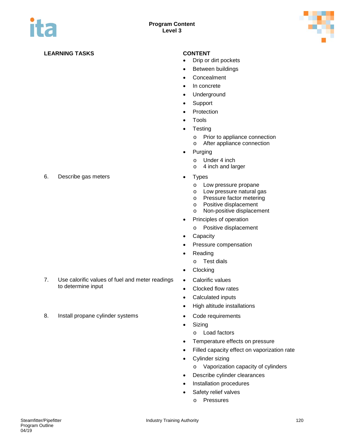

- Drip or dirt pockets
- Between buildings
- Concealment
- In concrete
- Underground
- Support
- Protection
- Tools
- Testing
	- o Prior to appliance connection<br>
	o After appliance connection
	- After appliance connection
- Purging
	- o Under 4 inch<br>o 4 inch and lare
	- 4 inch and larger
- - o Low pressure propane
	- o Low pressure natural gas
	- o Pressure factor metering
	- o Positive displacement
	- o Non-positive displacement
- Principles of operation
	- o Positive displacement
- **Capacity**
- Pressure compensation
- Reading
	- o Test dials
- Clocking
- Calorific values
- Clocked flow rates
- Calculated inputs
- High altitude installations
- 
- Sizing
	- o Load factors
- Temperature effects on pressure
- Filled capacity effect on vaporization rate
- Cylinder sizing
	- o Vaporization capacity of cylinders
- Describe cylinder clearances
- Installation procedures
- Safety relief valves
	- o Pressures

6. Describe gas meters **•** Types

- 7. Use calorific values of fuel and meter readings to determine input
- 8. Install propane cylinder systems Code requirements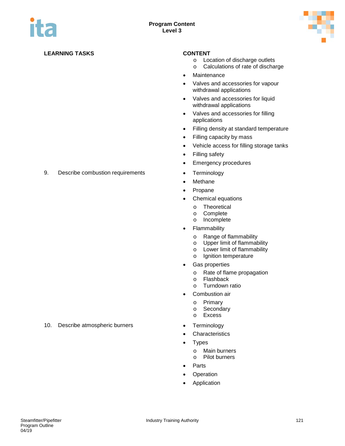

- o Location of discharge outlets
	- o Calculations of rate of discharge
- Maintenance
- Valves and accessories for vapour withdrawal applications
- Valves and accessories for liquid withdrawal applications
- Valves and accessories for filling applications
- Filling density at standard temperature
- Filling capacity by mass
- Vehicle access for filling storage tanks
- Filling safety
- Emergency procedures
- 
- Methane
- Propane
- Chemical equations
	- o Theoretical
	- o Complete
	- Incomplete
- **Flammability** 
	- o Range of flammability
	- o Upper limit of flammability<br>
	o Lower limit of flammability
	- Lower limit of flammability
	- o Ignition temperature
- Gas properties
	- o Rate of flame propagation<br>o Flashback
	- o Flashback<br>o Turndown
	- **Turndown ratio**
- Combustion air
	- o Primary<br>o Seconda
	- o Secondary<br>o Excess
	- **Excess**
- 
- **Characteristics**
- Types
	- o Main burners<br>o Pilot burners Pilot burners
	-
- **Parts**
- **Operation**
- Application

9. Describe combustion requirements • Terminology

10. Describe atmospheric burners • Terminology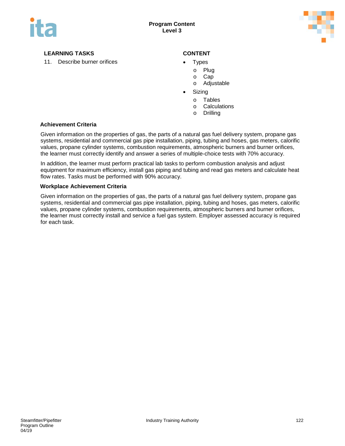

11. Describe burner orifices **•** Types

- -
	- o Plug<br>o Cap Cap
	- o Adjustable
- **Sizing** 
	- o Tables
	- o Calculations
	- o Drilling

#### **Achievement Criteria**

Given information on the properties of gas, the parts of a natural gas fuel delivery system, propane gas systems, residential and commercial gas pipe installation, piping, tubing and hoses, gas meters, calorific values, propane cylinder systems, combustion requirements, atmospheric burners and burner orifices, the learner must correctly identify and answer a series of multiple-choice tests with 70% accuracy.

In addition, the learner must perform practical lab tasks to perform combustion analysis and adjust equipment for maximum efficiency, install gas piping and tubing and read gas meters and calculate heat flow rates. Tasks must be performed with 90% accuracy.

#### **Workplace Achievement Criteria**

Given information on the properties of gas, the parts of a natural gas fuel delivery system, propane gas systems, residential and commercial gas pipe installation, piping, tubing and hoses, gas meters, calorific values, propane cylinder systems, combustion requirements, atmospheric burners and burner orifices, the learner must correctly install and service a fuel gas system. Employer assessed accuracy is required for each task.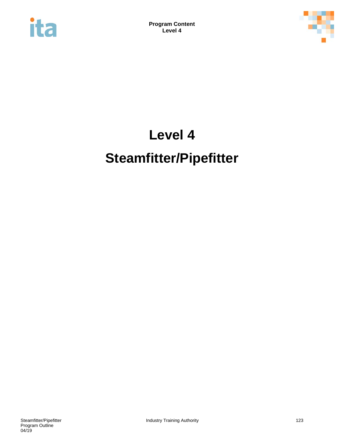



# **Level 4 Steamfitter/Pipefitter**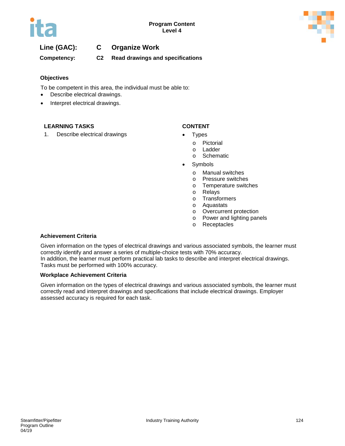

# **Line (GAC): C Organize Work**

**Competency: C2 Read drawings and specifications**

#### **Objectives**

To be competent in this area, the individual must be able to:

- Describe electrical drawings.
- Interpret electrical drawings.

#### **LEARNING TASKS CONTENT**

1. Describe electrical drawings **•** Types

- - o Pictorial
	- o Ladder
	- o Schematic
- **Symbols** 
	- o Manual switches
	- o Pressure switches
	- o Temperature switches<br>o Relays
	- Relays
	- o Transformers<br>o Aquastats
	- Aquastats
	- o Overcurrent protection
	- o Power and lighting panels
	- o Receptacles

#### **Achievement Criteria**

Given information on the types of electrical drawings and various associated symbols, the learner must correctly identify and answer a series of multiple-choice tests with 70% accuracy. In addition, the learner must perform practical lab tasks to describe and interpret electrical drawings. Tasks must be performed with 100% accuracy.

#### **Workplace Achievement Criteria**

Given information on the types of electrical drawings and various associated symbols, the learner must correctly read and interpret drawings and specifications that include electrical drawings. Employer assessed accuracy is required for each task.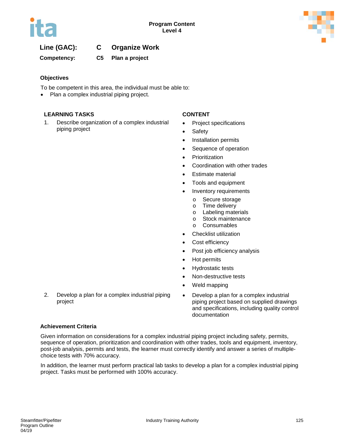

# **Line (GAC): C Organize Work**

**Competency: C5 Plan a project**

### **Objectives**

To be competent in this area, the individual must be able to:

• Plan a complex industrial piping project.

### **LEARNING TASKS CONTENT**

1. Describe organization of a complex industrial piping project

- Project specifications
- Safety
- Installation permits
- Sequence of operation
- Prioritization
- Coordination with other trades
- Estimate material
- Tools and equipment
- Inventory requirements
	- o Secure storage
	- o Time delivery<br>o Labeling mate
	- o Labeling materials<br>
	o Stock maintenance
	- o Stock maintenance<br>○ Consumables
	- **Consumables**
- Checklist utilization
- Cost efficiency
- Post job efficiency analysis
- Hot permits
- Hydrostatic tests
- Non-destructive tests
- Weld mapping
- 2. Develop a plan for a complex industrial piping project
- Develop a plan for a complex industrial piping project based on supplied drawings and specifications, including quality control documentation

#### **Achievement Criteria**

Given information on considerations for a complex industrial piping project including safety, permits, sequence of operation, prioritization and coordination with other trades, tools and equipment, inventory, post-job analysis, permits and tests, the learner must correctly identify and answer a series of multiplechoice tests with 70% accuracy.

In addition, the learner must perform practical lab tasks to develop a plan for a complex industrial piping project. Tasks must be performed with 100% accuracy.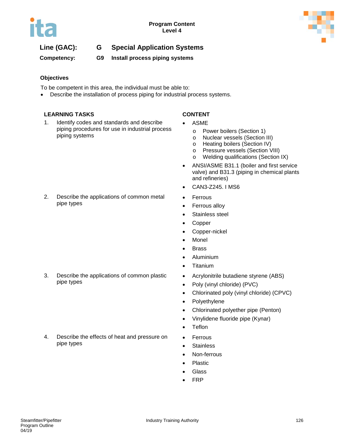

**Competency: G9 Install process piping systems**

### **Objectives**

To be competent in this area, the individual must be able to:

• Describe the installation of process piping for industrial process systems.

### **LEARNING TASKS CONTENT**

1. Identify codes and standards and describe piping procedures for use in industrial process piping systems

- **ASME** 
	- o Power boilers (Section 1)
	- o Nuclear vessels (Section III)
	- o Heating boilers (Section IV)
	- o Pressure vessels (Section VIII)<br>o Welding qualifications (Section
	- Welding qualifications (Section IX)
- ANSI/ASME B31.1 (boiler and first service valve) and B31.3 (piping in chemical plants and refineries)
- CAN3-Z245. I MS6
- Ferrous
- Ferrous alloy
- Stainless steel
- Copper
- Copper-nickel
- Monel
- Brass
- Aluminium
- Titanium
- Acrylonitrile butadiene styrene (ABS)
- Poly (vinyl chloride) (PVC)
- Chlorinated poly (vinyl chloride) (CPVC)
- Polyethylene
- Chlorinated polyether pipe (Penton)
- Vinylidene fluoride pipe (Kynar)
- **Teflon**
- Ferrous
- Stainless
- Non-ferrous
- **Plastic**
- **Glass**
- FRP

2. Describe the applications of common metal pipe types

3. Describe the applications of common plastic pipe types

4. Describe the effects of heat and pressure on pipe types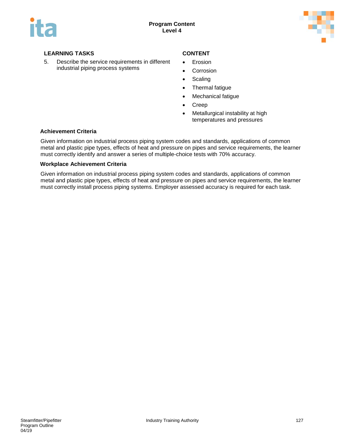

5. Describe the service requirements in different industrial piping process systems

- Erosion
- Corrosion
- Scaling
- Thermal fatigue
- Mechanical fatigue
- Creep
- Metallurgical instability at high temperatures and pressures

#### **Achievement Criteria**

Given information on industrial process piping system codes and standards, applications of common metal and plastic pipe types, effects of heat and pressure on pipes and service requirements, the learner must correctly identify and answer a series of multiple-choice tests with 70% accuracy.

#### **Workplace Achievement Criteria**

Given information on industrial process piping system codes and standards, applications of common metal and plastic pipe types, effects of heat and pressure on pipes and service requirements, the learner must correctly install process piping systems. Employer assessed accuracy is required for each task.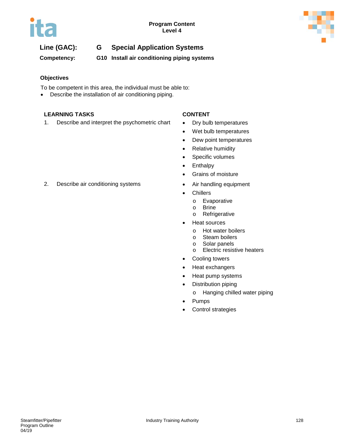

**Competency: G10 Install air conditioning piping systems**

### **Objectives**

To be competent in this area, the individual must be able to:

• Describe the installation of air conditioning piping.

### **LEARNING TASKS CONTENT**

1. Describe and interpret the psychometric chart • Dry bulb temperatures

- 
- Wet bulb temperatures
- Dew point temperatures
- Relative humidity
- Specific volumes
- Enthalpy
- Grains of moisture
- 
- Chillers
	- o Evaporative
	- o Brine<br>o Refric
	- Refrigerative
- Heat sources
	- o Hot water boilers<br>
	o Steam boilers
	- o Steam boilers<br>
	o Solar panels
	- Solar panels
	- o Electric resistive heaters
- Cooling towers
- Heat exchangers
- Heat pump systems
- Distribution piping
	- o Hanging chilled water piping
- Pumps
- Control strategies

### 2. Describe air conditioning systems • Air handling equipment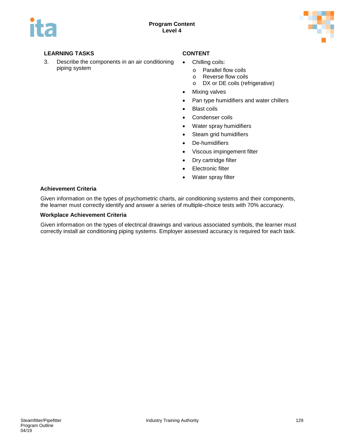

3. Describe the components in an air conditioning piping system

- Chilling coils:
	- o Parallel flow coils<br>
	o Reverse flow coils
	- o Reverse flow coils<br>
	o DX or DE coils (ref
	- DX or DE coils (refrigerative)
- Mixing valves
- Pan type humidifiers and water chillers
- Blast coils
- Condenser coils
- Water spray humidifiers
- Steam grid humidifiers
- De-humidifiers
- Viscous impingement filter
- Dry cartridge filter
- Electronic filter
- Water spray filter

#### **Achievement Criteria**

Given information on the types of psychometric charts, air conditioning systems and their components, the learner must correctly identify and answer a series of multiple-choice tests with 70% accuracy.

#### **Workplace Achievement Criteria**

Given information on the types of electrical drawings and various associated symbols, the learner must correctly install air conditioning piping systems. Employer assessed accuracy is required for each task.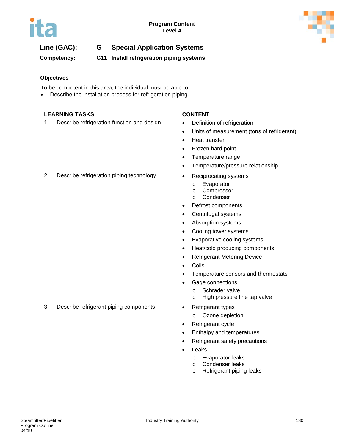

**Competency: G11 Install refrigeration piping systems**

### **Objectives**

To be competent in this area, the individual must be able to:

Describe the installation process for refrigeration piping.

### **LEARNING TASKS CONTENT**

1. Describe refrigeration function and design **•** Definition of refrigeration

- 
- Units of measurement (tons of refrigerant)
- Heat transfer
- Frozen hard point
- Temperature range
- Temperature/pressure relationship
- - o Evaporator
	- o Compressor
	- o Condenser
- Defrost components
- Centrifugal systems
- Absorption systems
- Cooling tower systems
- Evaporative cooling systems
- Heat/cold producing components
- Refrigerant Metering Device
- Coils
- Temperature sensors and thermostats
- Gage connections
	- o Schrader valve
	- o High pressure line tap valve
- - o Ozone depletion
- Refrigerant cycle
- Enthalpy and temperatures
- Refrigerant safety precautions
- **Leaks** 
	- o Evaporator leaks
	- o Condenser leaks<br>o Refrigerant piping
	- Refrigerant piping leaks

2. Describe refrigeration piping technology • Reciprocating systems

3. Describe refrigerant piping components • Refrigerant types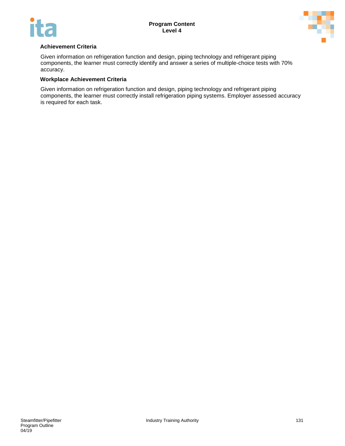



#### **Achievement Criteria**

Given information on refrigeration function and design, piping technology and refrigerant piping components, the learner must correctly identify and answer a series of multiple-choice tests with 70% accuracy.

#### **Workplace Achievement Criteria**

Given information on refrigeration function and design, piping technology and refrigerant piping components, the learner must correctly install refrigeration piping systems. Employer assessed accuracy is required for each task.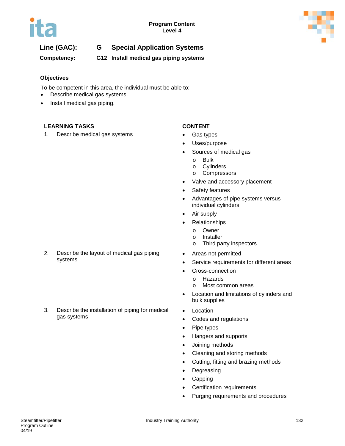

**Competency: G12 Install medical gas piping systems**

### **Objectives**

To be competent in this area, the individual must be able to:

- Describe medical gas systems.
- Install medical gas piping.

### **LEARNING TASKS CONTENT**

1. Describe medical gas systems • Gas types

- 
- Uses/purpose
- Sources of medical gas
	- o Bulk<br>o Cvlin
	- o Cylinders<br>
	o Compress
	- **Compressors**
- Valve and accessory placement
- Safety features
- Advantages of pipe systems versus individual cylinders
- Air supply
- Relationships
	- o Owner<br>o Installe
	- **Installer**
	- o Third party inspectors
- Areas not permitted
- Service requirements for different areas
- Cross-connection
	- o Hazards<br>o Most con
	- Most common areas
- Location and limitations of cylinders and bulk supplies
- **Location**
- Codes and regulations
- Pipe types
- Hangers and supports
- Joining methods
- Cleaning and storing methods
- Cutting, fitting and brazing methods
- Degreasing
- Capping
- Certification requirements
- Purging requirements and procedures
- 2. Describe the layout of medical gas piping systems
- 3. Describe the installation of piping for medical gas systems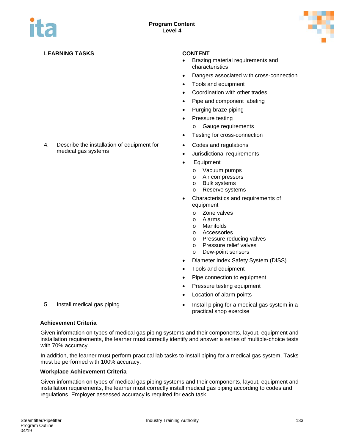

4. Describe the installation of equipment for

medical gas systems

- Brazing material requirements and characteristics
- Dangers associated with cross-connection
- Tools and equipment
- Coordination with other trades
- Pipe and component labeling
- Purging braze piping
- Pressure testing
	- o Gauge requirements
- Testing for cross-connection
- Codes and regulations
- Jurisdictional requirements
- Equipment
	- o Vacuum pumps<br>
	o Air compressors
	- Air compressors
	- o Bulk systems
	- o Reserve systems
- Characteristics and requirements of equipment
	- o Zone valves
	- o Alarms<br>o Manifol
	- Manifolds
	- o Accessories
	- o Pressure reducing valves<br>
	o Pressure relief valves
	- Pressure relief valves
	- o Dew-point sensors
- Diameter Index Safety System (DISS)
- Tools and equipment
- Pipe connection to equipment
- Pressure testing equipment
- Location of alarm points
- 5. Install medical gas piping **the end of the system in a** last system in a practical shop exercise
- 

#### **Achievement Criteria**

Given information on types of medical gas piping systems and their components, layout, equipment and installation requirements, the learner must correctly identify and answer a series of multiple-choice tests with 70% accuracy.

In addition, the learner must perform practical lab tasks to install piping for a medical gas system. Tasks must be performed with 100% accuracy.

#### **Workplace Achievement Criteria**

Given information on types of medical gas piping systems and their components, layout, equipment and installation requirements, the learner must correctly install medical gas piping according to codes and regulations. Employer assessed accuracy is required for each task.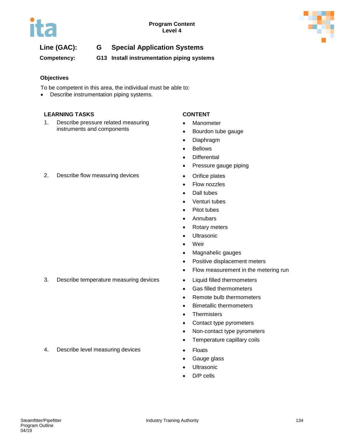

**Competency: G13 Install instrumentation piping systems**

### **Objectives**

To be competent in this area, the individual must be able to:

• Describe instrumentation piping systems.

#### **LEARNING TASKS CONTENT**

1. Describe pressure related measuring instruments and components

- Manometer
- Bourdon tube gauge
- Diaphragm
- Bellows
- Differential
- Pressure gauge piping
- 
- Flow nozzles
- Dall tubes
- Venturi tubes
- Pitot tubes
- Annubars
- Rotary meters
- Ultrasonic
- Weir
- Magnahelic gauges
- Positive displacement meters
- Flow measurement in the metering run
- 
- Gas filled thermometers
- Remote bulb thermometers
- Bimetallic thermometers
- Thermisters
- Contact type pyrometers
- Non-contact type pyrometers
- Temperature capillary coils
- 
- Gauge glass
- **Ultrasonic**
- D/P cells

2. Describe flow measuring devices **•** Orifice plates

3. Describe temperature measuring devices • Liquid filled thermometers

4. Describe level measuring devices • Floats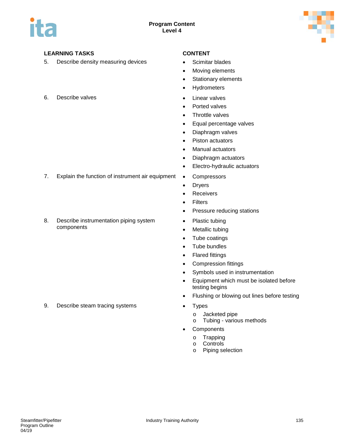

5. Describe density measuring devices • Scimitar blades

### 6. Describe valves **by a strategier of the set of the Second** Second Contract of the Linear valves

- 
- Moving elements
- Stationary elements
- Hydrometers
- 
- Ported valves
- Throttle valves
- Equal percentage valves
- Diaphragm valves
- Piston actuators
- Manual actuators
- Diaphragm actuators
- Electro-hydraulic actuators
- 7. Explain the function of instrument air equipment Compressors
	- Dryers
	- Receivers
	- Filters
	- Pressure reducing stations
	- Plastic tubing
	- Metallic tubing
	- Tube coatings
	- Tube bundles
	- Flared fittings
	- Compression fittings
	- Symbols used in instrumentation
	- Equipment which must be isolated before testing begins
	- Flushing or blowing out lines before testing
	- - o Jacketed pipe
		- o Tubing various methods
	- Components
		- o Trapping
		- o **Controls**<br>o **Piping se**
		- Piping selection

8. Describe instrumentation piping system components

9. Describe steam tracing systems • Types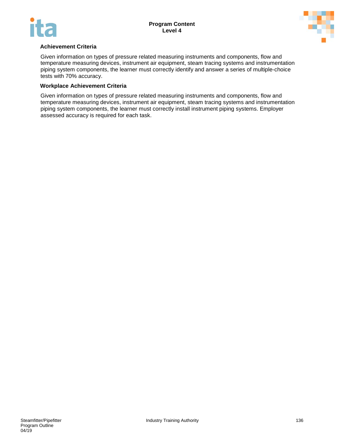

#### **Achievement Criteria**

Given information on types of pressure related measuring instruments and components, flow and temperature measuring devices, instrument air equipment, steam tracing systems and instrumentation piping system components, the learner must correctly identify and answer a series of multiple-choice tests with 70% accuracy.

#### **Workplace Achievement Criteria**

Given information on types of pressure related measuring instruments and components, flow and temperature measuring devices, instrument air equipment, steam tracing systems and instrumentation piping system components, the learner must correctly install instrument piping systems. Employer assessed accuracy is required for each task.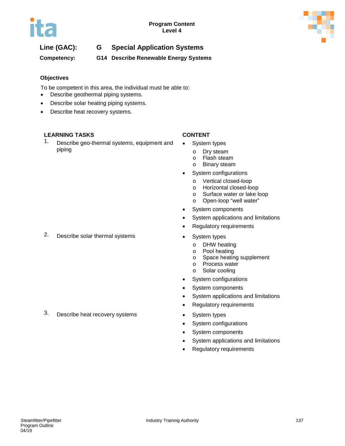



**Competency: G14 Describe Renewable Energy Systems** 

### **Objectives**

To be competent in this area, the individual must be able to:

- Describe geothermal piping systems.
- Describe solar heating piping systems.
- Describe heat recovery systems.

### **LEARNING TASKS CONTENT**

1. Describe geo-thermal systems, equipment and piping

- System types
	-
	- o Dry steam<br>o Flash stea
	- o Flash steam<br>o Binary steam **Binary steam**
- System configurations
	- o Vertical closed-loop
	- o Horizontal closed-loop<br>
	o Surface water or lake lo
	- o Surface water or lake loop<br>
	o Open-loop "well water"
	- Open-loop "well water"
- System components
- System applications and limitations
- Regulatory requirements
- - o DHW heating<br>o Pool heating
	- Pool heating
	- o Space heating supplement
	- o Process water<br>o Solar cooling
	- Solar cooling
- System configurations
- System components
- System applications and limitations
- Regulatory requirements
- 
- System configurations
- System components
- System applications and limitations
- Regulatory requirements
- 
- 3. Describe heat recovery systems System types

# 2. Describe solar thermal systems • System types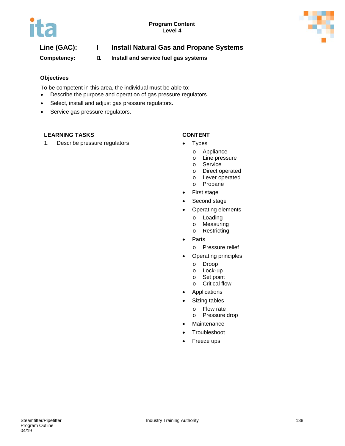

# **Line (GAC): I Install Natural Gas and Propane Systems**

**Competency: I1 Install and service fuel gas systems**

#### **Objectives**

To be competent in this area, the individual must be able to:

- Describe the purpose and operation of gas pressure regulators.
- Select, install and adjust gas pressure regulators.
- Service gas pressure regulators.

### **LEARNING TASKS CONTENT**

1. Describe pressure regulators **•** Types

- - o Appliance
	- o Line pressure
	- o Service
	- o Direct operated
	- o Lever operated
	- o Propane
- First stage
- Second stage
- Operating elements
	- o Loading<br>o Measurii
	- Measuring
	- o Restricting
- Parts
	- o Pressure relief
- Operating principles
	-
	- o Droop<br>o Lock-u Lock-up
	- o Set point
	- o Critical flow
- Applications
- Sizing tables
	- o Flow rate<br>o Pressure
	- Pressure drop
- Maintenance
- Troubleshoot
- Freeze ups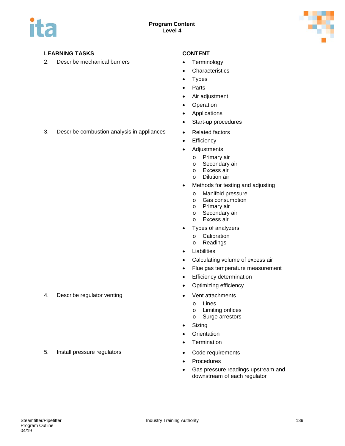

2. Describe mechanical burners **•** Terminology

- 
- Characteristics
- Types
- Parts
- Air adjustment
- Operation
- Applications
- Start-up procedures
- 3. Describe combustion analysis in appliances Related factors
	- Efficiency
	- Adjustments
		- o Primary air<br>o Secondary
		- o Secondary air<br>o Excess air
		- o Excess air
		- **Dilution air**
	- Methods for testing and adjusting
		-
		- o Manifold pressure<br>
		o Gas consumption o Gas consumption<br>o Primary air
		- o Primary air<br>o Secondary
		- o Secondary air<br>o Excess air
		- Excess air
	- Types of analyzers
		- o Calibration<br>
		o Readings
		- Readings
	- **Liabilities**
	- Calculating volume of excess air
	- Flue gas temperature measurement
	- Efficiency determination
	- Optimizing efficiency
- 4. Describe regulator venting example to the Vent attachments
	- o **Lines**<br>o **Limitir**
	- o Limiting orifices<br>
	o Surge arrestors
	- Surge arrestors
	- Sizing
	- Orientation
	- Termination
	-
	- Procedures
	- Gas pressure readings upstream and downstream of each regulator

5. Install pressure regulators • Code requirements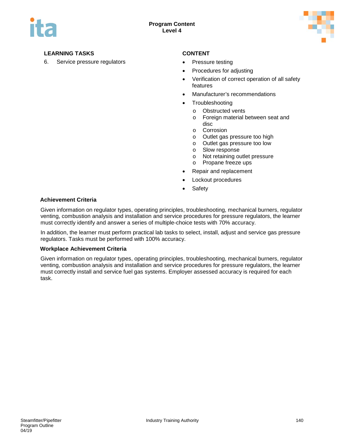

6. Service pressure regulators • Pressure testing

- 
- Procedures for adjusting
- Verification of correct operation of all safety features
- Manufacturer's recommendations
- Troubleshooting
	- o Obstructed vents
	- o Foreign material between seat and disc
	- o Corrosion
	- o Outlet gas pressure too high
	- o Outlet gas pressure too low
	- o Slow response
	- o Not retaining outlet pressure
	- o Propane freeze ups
- Repair and replacement
- Lockout procedures
- **Safety**

#### **Achievement Criteria**

Given information on regulator types, operating principles, troubleshooting, mechanical burners, regulator venting, combustion analysis and installation and service procedures for pressure regulators, the learner must correctly identify and answer a series of multiple-choice tests with 70% accuracy.

In addition, the learner must perform practical lab tasks to select, install, adjust and service gas pressure regulators. Tasks must be performed with 100% accuracy.

#### **Workplace Achievement Criteria**

Given information on regulator types, operating principles, troubleshooting, mechanical burners, regulator venting, combustion analysis and installation and service procedures for pressure regulators, the learner must correctly install and service fuel gas systems. Employer assessed accuracy is required for each task.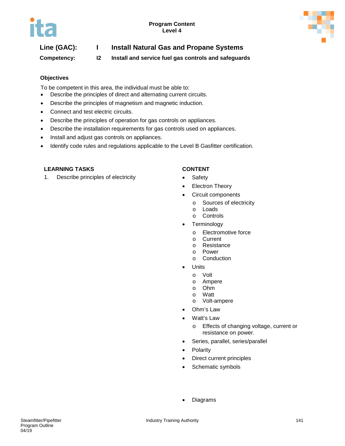

# **Line (GAC): I Install Natural Gas and Propane Systems**

**Competency: I2 Install and service fuel gas controls and safeguards**

### **Objectives**

To be competent in this area, the individual must be able to:

- Describe the principles of direct and alternating current circuits.
- Describe the principles of magnetism and magnetic induction.
- Connect and test electric circuits.
- Describe the principles of operation for gas controls on appliances.
- Describe the installation requirements for gas controls used on appliances.
- Install and adjust gas controls on appliances.
- Identify code rules and regulations applicable to the Level B Gasfitter certification.

#### **LEARNING TASKS CONTENT**

1. Describe principles of electricity **•** Safety

- 
- Electron Theory
- Circuit components
	- o Sources of electricity<br>o Loads
	- Loads
	- o Controls
- Terminology
	- o Electromotive force
	- **Current**
	- o Resistance
	- o Power<br>o Condu
	- **Conduction**
- Units
	- - o Volt o Ampere<br>o Ohm
		- **Ohm**
		- o Watt<br>o Volt-
	- Volt-ampere
- Ohm's Law
- Watt's Law
	- o Effects of changing voltage, current or resistance on power.
- Series, parallel, series/parallel
- Polarity
- Direct current principles
- Schematic symbols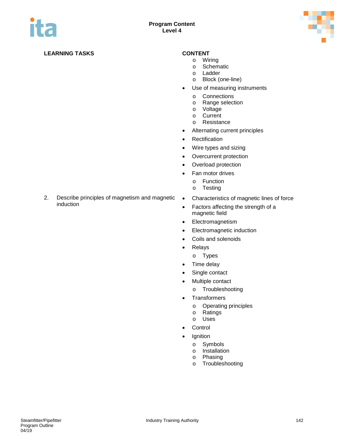

- o Wiring
- o Schematic
- o Ladder
- o Block (one-line)
- Use of measuring instruments
	- o Connections<br>
	o Range select
	- o Range selection<br>o Voltage
	- o Voltage
	- o Current<br>o Resistar
	- Resistance
- Alternating current principles
- Rectification
- Wire types and sizing
- Overcurrent protection
- Overload protection
- Fan motor drives
	- o Function<br>o Testing
	- **Testing**
- 2. Describe principles of magnetism and magnetic induction
- Characteristics of magnetic lines of force
- Factors affecting the strength of a magnetic field
- Electromagnetism
- Electromagnetic induction
- Coils and solenoids
- Relays
	- o Types
- Time delay
- Single contact
- Multiple contact
	- o Troubleshooting
- Transformers
	- o Operating principles<br>
	o Ratings
	- o Ratings<br>o Uses
	- Uses
- Control
- Ignition
	- o Symbols<br>o Installatio
	- o Installation<br>o Phasing
	- Phasing
	- o Troubleshooting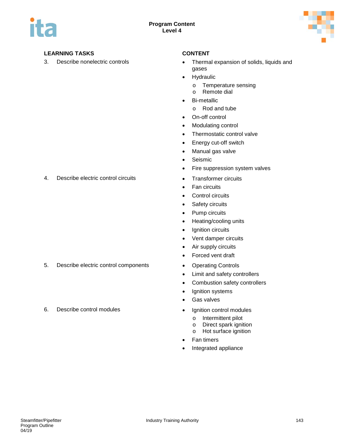

- 3. Describe nonelectric controls **•** Thermal expansion of solids, liquids and gases
	- Hydraulic
		- o Temperature sensing<br>o Remote dial
		- Remote dial
	- Bi-metallic
		- o Rod and tube
	- On-off control
	- Modulating control
	- Thermostatic control valve
	- Energy cut-off switch
	- Manual gas valve
	- Seismic
	- Fire suppression system valves
	-
	- Fan circuits
	- Control circuits
	- Safety circuits
	- Pump circuits
	- Heating/cooling units
	- Ignition circuits
	- Vent damper circuits
	- Air supply circuits
	- Forced vent draft
	-
	- Limit and safety controllers
	- Combustion safety controllers
	- Ignition systems
	- Gas valves
	- - o Intermittent pilot<br>
		o Direct spark ignis
		- o Direct spark ignition<br>
		o Hot surface ignition
		- Hot surface ignition
	- Fan timers
	- Integrated appliance

4. Describe electric control circuits **•** Transformer circuits

- 5. Describe electric control components Operating Controls
- 6. Describe control modules Ignition control modules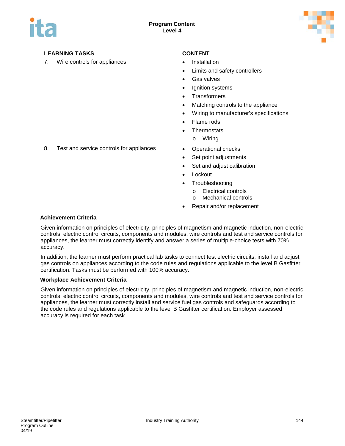

7. Wire controls for appliances **•** Installation

- 
- Limits and safety controllers
- Gas valves
- Ignition systems
- **Transformers**
- Matching controls to the appliance
- Wiring to manufacturer's specifications
- Flame rods
- **Thermostats** 
	- o Wiring
- 8. Test and service controls for appliances Operational checks
	- Set point adjustments
	- Set and adjust calibration
	- Lockout
	- **Troubleshooting** 
		- o Electrical controls
		- o Mechanical controls
	- Repair and/or replacement

### **Achievement Criteria**

Given information on principles of electricity, principles of magnetism and magnetic induction, non-electric controls, electric control circuits, components and modules, wire controls and test and service controls for appliances, the learner must correctly identify and answer a series of multiple-choice tests with 70% accuracy.

In addition, the learner must perform practical lab tasks to connect test electric circuits, install and adjust gas controls on appliances according to the code rules and regulations applicable to the level B Gasfitter certification. Tasks must be performed with 100% accuracy.

### **Workplace Achievement Criteria**

Given information on principles of electricity, principles of magnetism and magnetic induction, non-electric controls, electric control circuits, components and modules, wire controls and test and service controls for appliances, the learner must correctly install and service fuel gas controls and safeguards according to the code rules and regulations applicable to the level B Gasfitter certification. Employer assessed accuracy is required for each task.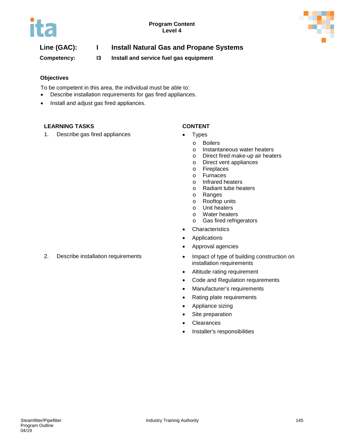

### **Line (GAC): I Install Natural Gas and Propane Systems**

**Competency: I3 Install and service fuel gas equipment**

### **Objectives**

To be competent in this area, the individual must be able to:

- Describe installation requirements for gas fired appliances.
- Install and adjust gas fired appliances.

### **LEARNING TASKS CONTENT**

1. Describe gas fired appliances • Types

- - o Boilers
	- o Instantaneous water heaters
	- o Direct fired make-up air heaters
	- o Direct vent appliances
	- o Fireplaces<br>o Furnaces
	- o Furnaces
	- o Infrared heaters<br>
	o Radiant tube hea
	- o Radiant tube heaters<br>
	o Ranges
	- o Ranges<br>o Rooftop
	- o Rooftop units
	- Unit heaters
	- o Water heaters
	- o Gas fired refrigerators
- Characteristics
- **Applications**
- Approval agencies
- 2. Describe installation requirements Impact of type of building construction on installation requirements
	- Altitude rating requirement
	- Code and Regulation requirements
	- Manufacturer's requirements
	- Rating plate requirements
	- Appliance sizing
	- Site preparation
	- Clearances
	- Installer's responsibilities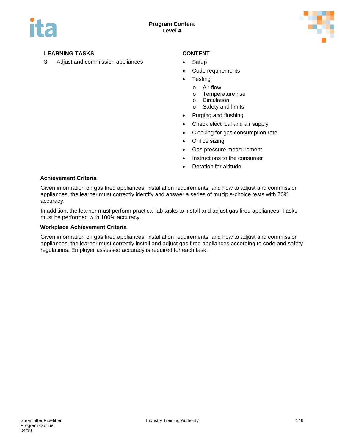

3. Adjust and commission appliances • Setup

- 
- Code requirements
- **Testing** 
	- o Air flow
	- o Temperature rise
	- o Circulation<br>
	o Safety and
	- Safety and limits
- Purging and flushing
- Check electrical and air supply
- Clocking for gas consumption rate
- Orifice sizing
- Gas pressure measurement
- Instructions to the consumer
- Deration for altitude

### **Achievement Criteria**

Given information on gas fired appliances, installation requirements, and how to adjust and commission appliances, the learner must correctly identify and answer a series of multiple-choice tests with 70% accuracy.

In addition, the learner must perform practical lab tasks to install and adjust gas fired appliances. Tasks must be performed with 100% accuracy.

### **Workplace Achievement Criteria**

Given information on gas fired appliances, installation requirements, and how to adjust and commission appliances, the learner must correctly install and adjust gas fired appliances according to code and safety regulations. Employer assessed accuracy is required for each task.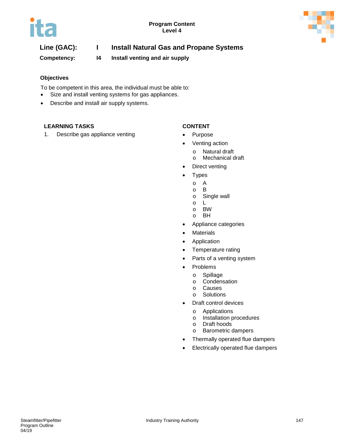

### **Line (GAC): I Install Natural Gas and Propane Systems**

**Competency: I4 Install venting and air supply**

### **Objectives**

To be competent in this area, the individual must be able to:

- Size and install venting systems for gas appliances.
- Describe and install air supply systems.

### **LEARNING TASKS CONTENT**

1. Describe gas appliance venting **•** Purpose

- 
- Venting action
	-
	- o Natural draft Mechanical draft
- Direct venting
- Types
	- o A
	- o B
	- Single wall<br>L
	- $\circ$
	- o BW
	- **BH**
- Appliance categories
- Materials
- Application
- Temperature rating
- Parts of a venting system
- Problems
	- - o Spillage<br>o Condens o Condensation<br>o Causes
		- o Causes<br>o Solution
		- **Solutions**
- Draft control devices
	- o Applications
	- o Installation procedures<br>
	o Draft hoods
		- Draft hoods
	- o Barometric dampers
- Thermally operated flue dampers
- Electrically operated flue dampers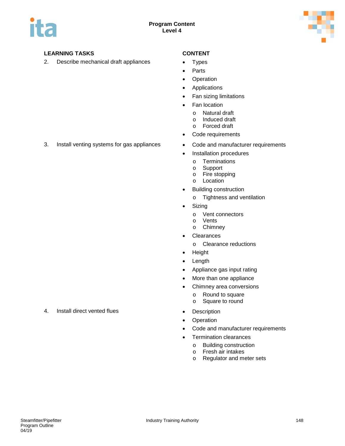

2. Describe mechanical draft appliances • Types

- 
- Parts
- Operation
- Applications
- Fan sizing limitations
- Fan location
	- o Natural draft<br>o Induced draft
	- o Induced draft<br>o Forced draft
	- Forced draft
- Code requirements
- 3. Install venting systems for gas appliances Code and manufacturer requirements
	- Installation procedures
		- o Terminations<br>o Support
		- Support
		- o Fire stopping
		- o Location
	- Building construction
		- o Tightness and ventilation
	- Sizing
		- o Vent connectors
		- o Vents
		- o Chimney
	- Clearances
		- o Clearance reductions
	- Height
	- Length
	- Appliance gas input rating
	- More than one appliance
	- Chimney area conversions
		- o Round to square
		- o Square to round
- 4. Install direct vented flues **•** Description
	- Operation
	- Code and manufacturer requirements
	- Termination clearances
		- o Building construction<br>
		o Fresh air intakes
		- o Fresh air intakes<br>o Regulator and me
		- Regulator and meter sets

- 
-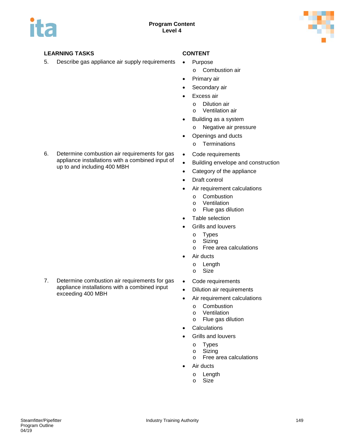

5. Describe gas appliance air supply requirements • Purpose

- - o Combustion air
- Primary air
- Secondary air
- Excess air
	- o Dilution air
	- Ventilation air
- Building as a system
	- o Negative air pressure
- Openings and ducts
	- o Terminations
- Code requirements
- Building envelope and construction
- Category of the appliance
- Draft control
- Air requirement calculations
	- o Combustion<br>o Ventilation
	- o Ventilation<br>o Flue gas di
	- Flue gas dilution
- Table selection
- Grills and louvers
	- o Types<br>o Sizing
	- o Sizing<br>o Free a
	- Free area calculations
- Air ducts
	- o Length
	- o Size
- Code requirements
- Dilution air requirements
- Air requirement calculations
	-
	- o Combustion<br>o Ventilation Ventilation
	- o Flue gas dilution
- Calculations
- Grills and louvers
	- o Types
	- o Sizing
	- o Free area calculations
- Air ducts
	- o Length<br>o Size
	- Size

6. Determine combustion air requirements for gas appliance installations with a combined input of up to and including 400 MBH

7. Determine combustion air requirements for gas appliance installations with a combined input exceeding 400 MBH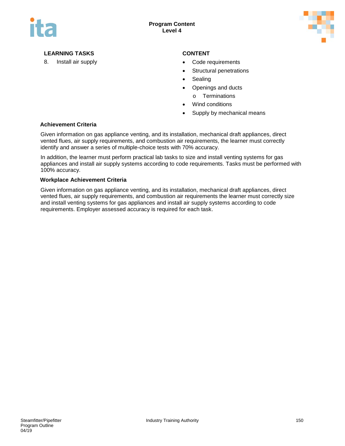

- 8. Install air supply **EXALC 20 ASSESSED VALUATION** Code requirements
	- Structural penetrations
	- **Sealing**
	- Openings and ducts
	- o Terminations
	- Wind conditions
	- Supply by mechanical means

### **Achievement Criteria**

Given information on gas appliance venting, and its installation, mechanical draft appliances, direct vented flues, air supply requirements, and combustion air requirements, the learner must correctly identify and answer a series of multiple-choice tests with 70% accuracy.

In addition, the learner must perform practical lab tasks to size and install venting systems for gas appliances and install air supply systems according to code requirements. Tasks must be performed with 100% accuracy.

### **Workplace Achievement Criteria**

Given information on gas appliance venting, and its installation, mechanical draft appliances, direct vented flues, air supply requirements, and combustion air requirements the learner must correctly size and install venting systems for gas appliances and install air supply systems according to code requirements. Employer assessed accuracy is required for each task.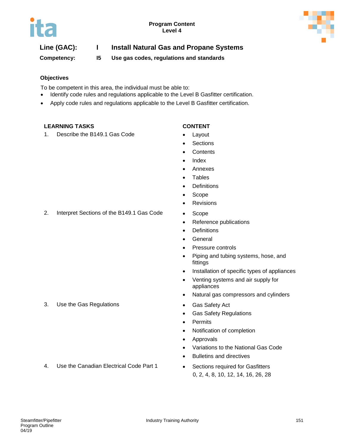

### **Line (GAC): I Install Natural Gas and Propane Systems**

**Competency: I5 Use gas codes, regulations and standards**

### **Objectives**

To be competent in this area, the individual must be able to:

- Identify code rules and regulations applicable to the Level B Gasfitter certification.
- Apply code rules and regulations applicable to the Level B Gasfitter certification.

### **LEARNING TASKS CONTENT**

1. Describe the B149.1 Gas Code • Layout

- 
- **Sections**
- **Contents**
- **Index**
- Annexes
- Tables
- Definitions
- Scope
- Revisions
- 2. Interpret Sections of the B149.1 Gas Code Scope
	- Reference publications
	- Definitions
	- General
	- Pressure controls
	- Piping and tubing systems, hose, and fittings
	- Installation of specific types of appliances
	- Venting systems and air supply for appliances
	- Natural gas compressors and cylinders
	-
	- Gas Safety Regulations
	- Permits
	- Notification of completion
	- Approvals
	- Variations to the National Gas Code
	- Bulletins and directives
	- 0, 2, 4, 8, 10, 12, 14, 16, 26, 28

3. Use the Gas Regulations **• Gas Safety Act** 

4. Use the Canadian Electrical Code Part 1 • Sections required for Gasfitters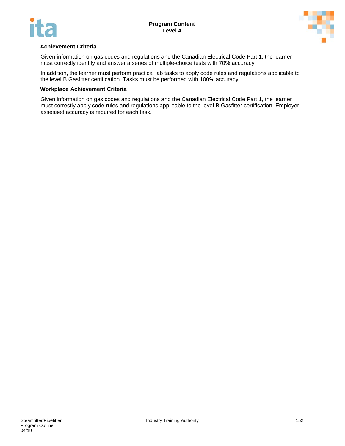



### **Achievement Criteria**

Given information on gas codes and regulations and the Canadian Electrical Code Part 1, the learner must correctly identify and answer a series of multiple-choice tests with 70% accuracy.

In addition, the learner must perform practical lab tasks to apply code rules and regulations applicable to the level B Gasfitter certification. Tasks must be performed with 100% accuracy.

### **Workplace Achievement Criteria**

Given information on gas codes and regulations and the Canadian Electrical Code Part 1, the learner must correctly apply code rules and regulations applicable to the level B Gasfitter certification. Employer assessed accuracy is required for each task.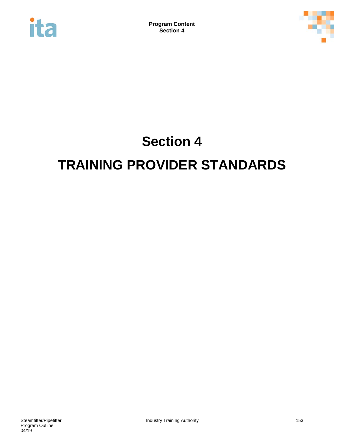



# **Section 4 TRAINING PROVIDER STANDARDS**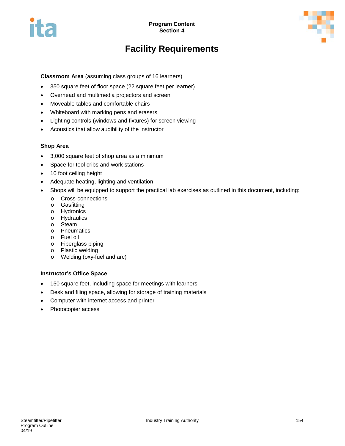



# **Facility Requirements**

**Classroom Area** (assuming class groups of 16 learners)

- 350 square feet of floor space (22 square feet per learner)
- Overhead and multimedia projectors and screen
- Moveable tables and comfortable chairs
- Whiteboard with marking pens and erasers
- Lighting controls (windows and fixtures) for screen viewing
- Acoustics that allow audibility of the instructor

### **Shop Area**

- 3,000 square feet of shop area as a minimum
- Space for tool cribs and work stations
- 10 foot ceiling height
- Adequate heating, lighting and ventilation
- Shops will be equipped to support the practical lab exercises as outlined in this document, including:
	- o Cross-connections
	- o Gasfitting
	- o Hydronics
	- o Hydraulics
	- o Steam
	- o Pneumatics
	- o Fuel oil
	- o Fiberglass piping
	- o Plastic welding
	- o Welding (oxy-fuel and arc)

### **Instructor's Office Space**

- 150 square feet, including space for meetings with learners
- Desk and filing space, allowing for storage of training materials
- Computer with internet access and printer
- Photocopier access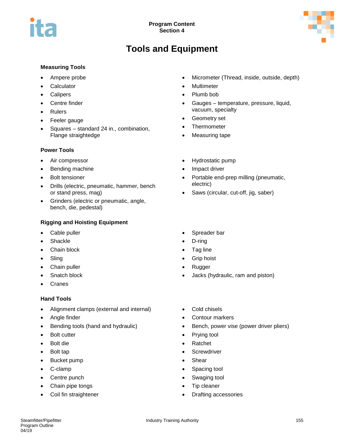

# **Tools and Equipment**

### **Measuring Tools**

- Ampere probe
- **Calculator**
- **Calipers**
- Centre finder
- **Rulers**
- Feeler gauge
- Squares standard 24 in., combination, Flange straightedge

### **Power Tools**

- Air compressor
- Bending machine
- Bolt tensioner
- Drills (electric, pneumatic, hammer, bench or stand press, mag)
- Grinders (electric or pneumatic, angle, bench, die, pedestal)

### **Rigging and Hoisting Equipment**

- Cable puller
- **Shackle**
- Chain block
- **Sling**
- Chain puller
- Snatch block
- **Cranes**

### **Hand Tools**

- Alignment clamps (external and internal)
- Angle finder
- Bending tools (hand and hydraulic)
- Bolt cutter
- Bolt die
- Bolt tap
- Bucket pump
- C-clamp
- Centre punch
- Chain pipe tongs
- Coil fin straightener
- Micrometer (Thread, inside, outside, depth)
- Multimeter
- Plumb bob
- Gauges temperature, pressure, liquid, vacuum, specialty
- Geometry set
- Thermometer
- Measuring tape
- Hydrostatic pump
- Impact driver
- Portable end-prep milling (pneumatic, electric)
- Saws (circular, cut-off, jig, saber)
- Spreader bar
- D-ring
- Tag line
- Grip hoist
- Rugger
- Jacks (hydraulic, ram and piston)
- Cold chisels
- Contour markers
- Bench, power vise (power driver pliers)
- Prying tool
- Ratchet
- Screwdriver
- Shear
- Spacing tool
- Swaging tool
- Tip cleaner
- Drafting accessories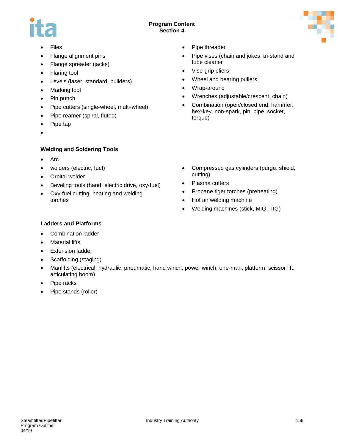### **Program Content Section 4**



- **Files**
- Flange alignment pins
- Flange spreader (jacks)
- Flaring tool
- Levels (laser, standard, builders)
- Marking tool
- Pin punch
- Pipe cutters (single-wheel, multi-wheel)
- Pipe reamer (spiral, fluted)
- Pipe tap
- •

### **Welding and Soldering Tools**

- Arc
- welders (electric, fuel)
- Orbital welder
- Beveling tools (hand, electric drive, oxy-fuel)
- Oxy-fuel cutting, heating and welding torches
- Pipe threader
- Pipe vises (chain and jokes, tri-stand and tube cleaner
- Vise-grip pliers
- Wheel and bearing pullers
- Wrap-around
- Wrenches (adjustable/crescent, chain)
- Combination (open/closed end, hammer, hex-key, non-spark, pin, pipe, socket, torque)
- Compressed gas cylinders (purge, shield, cutting)
- Plasma cutters
- Propane tiger torches (preheating)
- Hot air welding machine
- Welding machines (stick, MIG, TIG)

### **Ladders and Platforms**

- Combination ladder
- Material lifts
- **Extension ladder**
- Scaffolding (staging)
- Manlifts (electrical, hydraulic, pneumatic, hand winch, power winch, one-man, platform, scissor lift, articulating boom)
- Pipe racks
- Pipe stands (roller)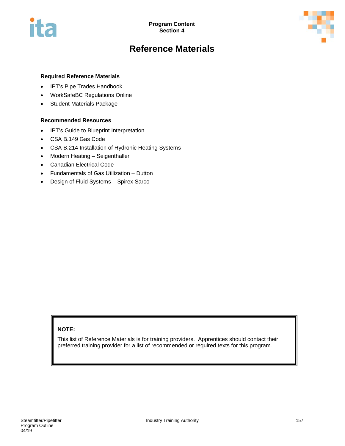

## **Reference Materials**

### **Required Reference Materials**

- IPT's Pipe Trades Handbook
- WorkSafeBC Regulations Online
- Student Materials Package

### **Recommended Resources**

- IPT's Guide to Blueprint Interpretation
- CSA B.149 Gas Code
- CSA B.214 Installation of Hydronic Heating Systems
- Modern Heating Seigenthaller
- Canadian Electrical Code
- Fundamentals of Gas Utilization Dutton
- Design of Fluid Systems Spirex Sarco

### **NOTE:**

This list of Reference Materials is for training providers. Apprentices should contact their preferred training provider for a list of recommended or required texts for this program.